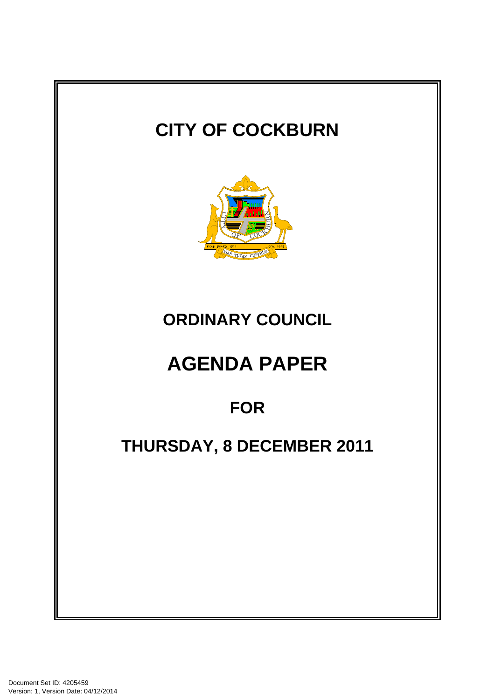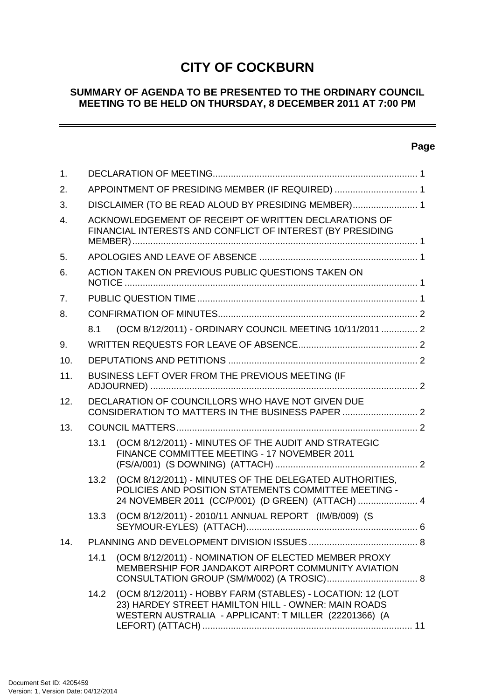# **CITY OF COCKBURN**

### **SUMMARY OF AGENDA TO BE PRESENTED TO THE ORDINARY COUNCIL MEETING TO BE HELD ON THURSDAY, 8 DECEMBER 2011 AT 7:00 PM**

# **Page**

 $\equiv$ 

| $\mathbf{1}$ . |                                                                                                                     |                                                                                                                                                                            |  |
|----------------|---------------------------------------------------------------------------------------------------------------------|----------------------------------------------------------------------------------------------------------------------------------------------------------------------------|--|
| 2.             | APPOINTMENT OF PRESIDING MEMBER (IF REQUIRED)  1                                                                    |                                                                                                                                                                            |  |
| 3.             | DISCLAIMER (TO BE READ ALOUD BY PRESIDING MEMBER) 1                                                                 |                                                                                                                                                                            |  |
| $\mathbf{4}$ . | ACKNOWLEDGEMENT OF RECEIPT OF WRITTEN DECLARATIONS OF<br>FINANCIAL INTERESTS AND CONFLICT OF INTEREST (BY PRESIDING |                                                                                                                                                                            |  |
| 5.             |                                                                                                                     |                                                                                                                                                                            |  |
| 6.             | ACTION TAKEN ON PREVIOUS PUBLIC QUESTIONS TAKEN ON                                                                  |                                                                                                                                                                            |  |
| 7 <sub>1</sub> |                                                                                                                     |                                                                                                                                                                            |  |
| 8.             |                                                                                                                     |                                                                                                                                                                            |  |
|                | 8.1                                                                                                                 | (OCM 8/12/2011) - ORDINARY COUNCIL MEETING 10/11/2011  2                                                                                                                   |  |
| 9.             |                                                                                                                     |                                                                                                                                                                            |  |
| 10.            |                                                                                                                     |                                                                                                                                                                            |  |
| 11.            | BUSINESS LEFT OVER FROM THE PREVIOUS MEETING (IF                                                                    |                                                                                                                                                                            |  |
| 12.            | DECLARATION OF COUNCILLORS WHO HAVE NOT GIVEN DUE<br>CONSIDERATION TO MATTERS IN THE BUSINESS PAPER  2              |                                                                                                                                                                            |  |
| 13.            |                                                                                                                     |                                                                                                                                                                            |  |
|                | 13.1                                                                                                                | (OCM 8/12/2011) - MINUTES OF THE AUDIT AND STRATEGIC<br>FINANCE COMMITTEE MEETING - 17 NOVEMBER 2011                                                                       |  |
|                | 13.2                                                                                                                | (OCM 8/12/2011) - MINUTES OF THE DELEGATED AUTHORITIES,<br>POLICIES AND POSITION STATEMENTS COMMITTEE MEETING -<br>24 NOVEMBER 2011 (CC/P/001) (D GREEN) (ATTACH)  4       |  |
|                | 13.3                                                                                                                | (OCM 8/12/2011) - 2010/11 ANNUAL REPORT (IM/B/009) (S                                                                                                                      |  |
| 14.            |                                                                                                                     |                                                                                                                                                                            |  |
|                | 14.1                                                                                                                | (OCM 8/12/2011) - NOMINATION OF ELECTED MEMBER PROXY<br>MEMBERSHIP FOR JANDAKOT AIRPORT COMMUNITY AVIATION                                                                 |  |
|                | 14.2                                                                                                                | (OCM 8/12/2011) - HOBBY FARM (STABLES) - LOCATION: 12 (LOT<br>23) HARDEY STREET HAMILTON HILL - OWNER: MAIN ROADS<br>WESTERN AUSTRALIA - APPLICANT: T MILLER (22201366) (A |  |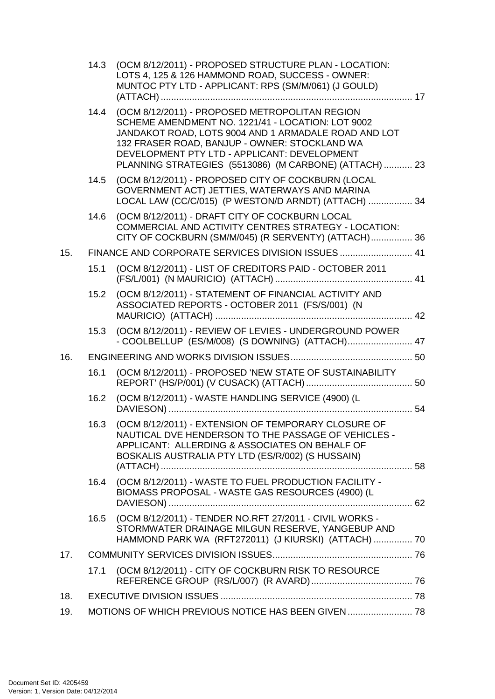|     | 14.3 | (OCM 8/12/2011) - PROPOSED STRUCTURE PLAN - LOCATION:<br>LOTS 4, 125 & 126 HAMMOND ROAD, SUCCESS - OWNER:<br>MUNTOC PTY LTD - APPLICANT: RPS (SM/M/061) (J GOULD)                                                                                                                                                           |  |  |
|-----|------|-----------------------------------------------------------------------------------------------------------------------------------------------------------------------------------------------------------------------------------------------------------------------------------------------------------------------------|--|--|
|     |      | 14.4 (OCM 8/12/2011) - PROPOSED METROPOLITAN REGION<br>SCHEME AMENDMENT NO. 1221/41 - LOCATION: LOT 9002<br>JANDAKOT ROAD, LOTS 9004 AND 1 ARMADALE ROAD AND LOT<br>132 FRASER ROAD, BANJUP - OWNER: STOCKLAND WA<br>DEVELOPMENT PTY LTD - APPLICANT: DEVELOPMENT<br>PLANNING STRATEGIES (5513086) (M CARBONE) (ATTACH)  23 |  |  |
|     | 14.5 | (OCM 8/12/2011) - PROPOSED CITY OF COCKBURN (LOCAL<br>GOVERNMENT ACT) JETTIES, WATERWAYS AND MARINA<br>LOCAL LAW (CC/C/015) (P WESTON/D ARNDT) (ATTACH)  34                                                                                                                                                                 |  |  |
|     | 14.6 | (OCM 8/12/2011) - DRAFT CITY OF COCKBURN LOCAL<br>COMMERCIAL AND ACTIVITY CENTRES STRATEGY - LOCATION:<br>CITY OF COCKBURN (SM/M/045) (R SERVENTY) (ATTACH) 36                                                                                                                                                              |  |  |
| 15. |      | FINANCE AND CORPORATE SERVICES DIVISION ISSUES  41                                                                                                                                                                                                                                                                          |  |  |
|     | 15.1 | (OCM 8/12/2011) - LIST OF CREDITORS PAID - OCTOBER 2011                                                                                                                                                                                                                                                                     |  |  |
|     | 15.2 | (OCM 8/12/2011) - STATEMENT OF FINANCIAL ACTIVITY AND<br>ASSOCIATED REPORTS - OCTOBER 2011 (FS/S/001) (N                                                                                                                                                                                                                    |  |  |
|     | 15.3 | (OCM 8/12/2011) - REVIEW OF LEVIES - UNDERGROUND POWER<br>- COOLBELLUP (ES/M/008) (S DOWNING) (ATTACH) 47                                                                                                                                                                                                                   |  |  |
| 16. |      |                                                                                                                                                                                                                                                                                                                             |  |  |
|     | 16.1 | (OCM 8/12/2011) - PROPOSED 'NEW STATE OF SUSTAINABILITY                                                                                                                                                                                                                                                                     |  |  |
|     | 16.2 | (OCM 8/12/2011) - WASTE HANDLING SERVICE (4900) (L                                                                                                                                                                                                                                                                          |  |  |
|     | 16.3 | (OCM 8/12/2011) - EXTENSION OF TEMPORARY CLOSURE OF<br>NAUTICAL DVE HENDERSON TO THE PASSAGE OF VEHICLES -<br>APPLICANT: ALLERDING & ASSOCIATES ON BEHALF OF<br>BOSKALIS AUSTRALIA PTY LTD (ES/R/002) (S HUSSAIN)                                                                                                           |  |  |
|     | 16.4 | (OCM 8/12/2011) - WASTE TO FUEL PRODUCTION FACILITY -<br>BIOMASS PROPOSAL - WASTE GAS RESOURCES (4900) (L                                                                                                                                                                                                                   |  |  |
|     | 16.5 | (OCM 8/12/2011) - TENDER NO.RFT 27/2011 - CIVIL WORKS -<br>STORMWATER DRAINAGE MILGUN RESERVE, YANGEBUP AND<br>HAMMOND PARK WA (RFT272011) (J KIURSKI) (ATTACH)  70                                                                                                                                                         |  |  |
| 17. |      |                                                                                                                                                                                                                                                                                                                             |  |  |
|     | 17.1 | (OCM 8/12/2011) - CITY OF COCKBURN RISK TO RESOURCE                                                                                                                                                                                                                                                                         |  |  |
| 18. |      |                                                                                                                                                                                                                                                                                                                             |  |  |
| 19. |      | MOTIONS OF WHICH PREVIOUS NOTICE HAS BEEN GIVEN  78                                                                                                                                                                                                                                                                         |  |  |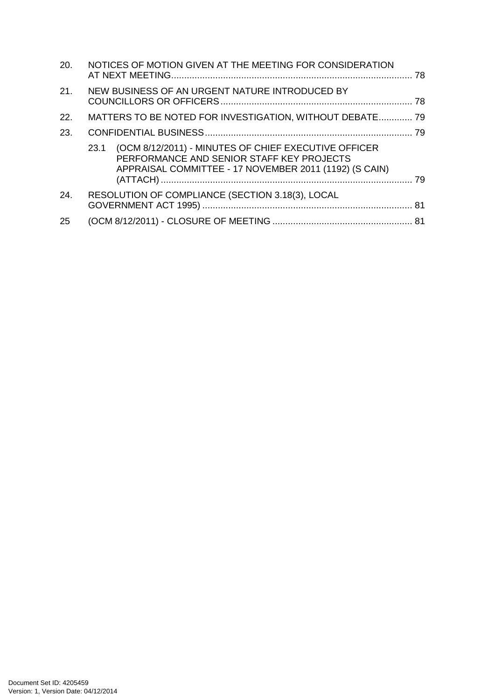| 20.        | NOTICES OF MOTION GIVEN AT THE MEETING FOR CONSIDERATION                                                                                                            |  |
|------------|---------------------------------------------------------------------------------------------------------------------------------------------------------------------|--|
| 21.        | NEW BUSINESS OF AN URGENT NATURE INTRODUCED BY                                                                                                                      |  |
| <b>22.</b> | MATTERS TO BE NOTED FOR INVESTIGATION, WITHOUT DEBATE 79                                                                                                            |  |
| 23.        |                                                                                                                                                                     |  |
|            | (OCM 8/12/2011) - MINUTES OF CHIEF EXECUTIVE OFFICER<br>23.1<br>PERFORMANCE AND SENIOR STAFF KEY PROJECTS<br>APPRAISAL COMMITTEE - 17 NOVEMBER 2011 (1192) (S CAIN) |  |
| 24.        | RESOLUTION OF COMPLIANCE (SECTION 3.18(3), LOCAL                                                                                                                    |  |
| 25         |                                                                                                                                                                     |  |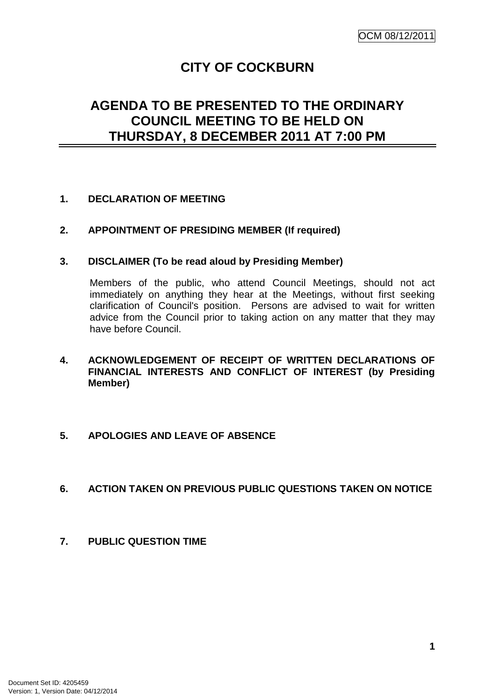# **CITY OF COCKBURN**

# **AGENDA TO BE PRESENTED TO THE ORDINARY COUNCIL MEETING TO BE HELD ON THURSDAY, 8 DECEMBER 2011 AT 7:00 PM**

### **1. DECLARATION OF MEETING**

### **2. APPOINTMENT OF PRESIDING MEMBER (If required)**

#### **3. DISCLAIMER (To be read aloud by Presiding Member)**

Members of the public, who attend Council Meetings, should not act immediately on anything they hear at the Meetings, without first seeking clarification of Council's position. Persons are advised to wait for written advice from the Council prior to taking action on any matter that they may have before Council.

### **4. ACKNOWLEDGEMENT OF RECEIPT OF WRITTEN DECLARATIONS OF FINANCIAL INTERESTS AND CONFLICT OF INTEREST (by Presiding Member)**

#### **5. APOLOGIES AND LEAVE OF ABSENCE**

#### **6. ACTION TAKEN ON PREVIOUS PUBLIC QUESTIONS TAKEN ON NOTICE**

**7. PUBLIC QUESTION TIME**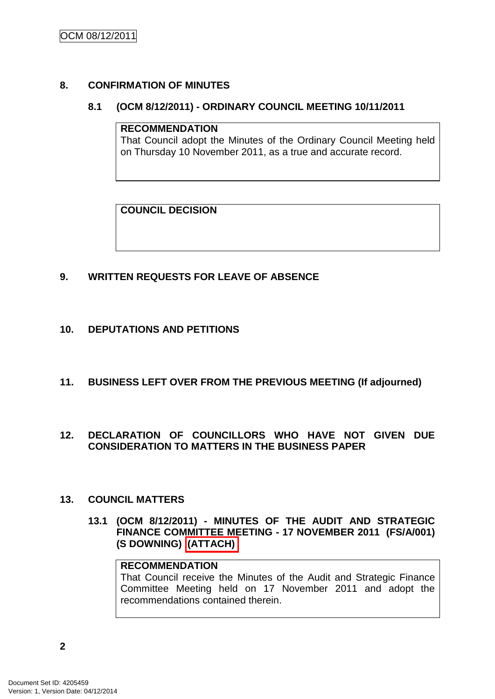### **8. CONFIRMATION OF MINUTES**

#### **8.1 (OCM 8/12/2011) - ORDINARY COUNCIL MEETING 10/11/2011**

#### **RECOMMENDATION**

That Council adopt the Minutes of the Ordinary Council Meeting held on Thursday 10 November 2011, as a true and accurate record.

### **COUNCIL DECISION**

### **9. WRITTEN REQUESTS FOR LEAVE OF ABSENCE**

### **10. DEPUTATIONS AND PETITIONS**

**11. BUSINESS LEFT OVER FROM THE PREVIOUS MEETING (If adjourned)**

#### **12. DECLARATION OF COUNCILLORS WHO HAVE NOT GIVEN DUE CONSIDERATION TO MATTERS IN THE BUSINESS PAPER**

#### **13. COUNCIL MATTERS**

**13.1 (OCM 8/12/2011) - MINUTES OF THE AUDIT AND STRATEGIC FINANCE COMMITTEE MEETING - 17 NOVEMBER 2011 (FS/A/001) (S DOWNING) (ATTACH)**

#### **RECOMMENDATION**

That Council receive the Minutes of the Audit and Strategic Finance Committee Meeting held on 17 November 2011 and adopt the recommendations contained therein.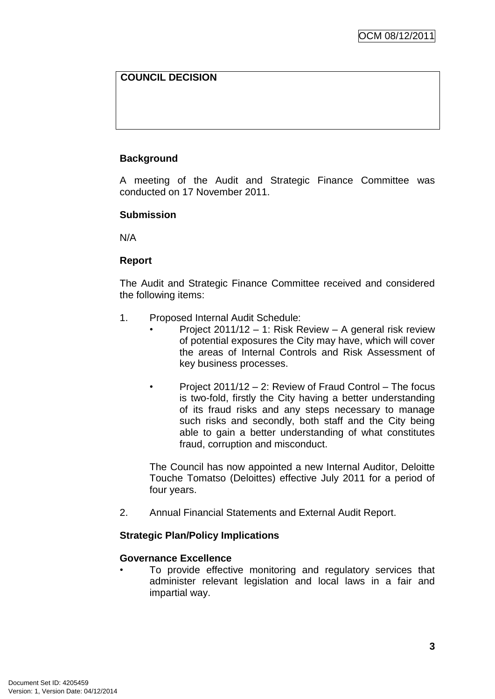### **COUNCIL DECISION**

### **Background**

A meeting of the Audit and Strategic Finance Committee was conducted on 17 November 2011.

#### **Submission**

N/A

### **Report**

The Audit and Strategic Finance Committee received and considered the following items:

- 1. Proposed Internal Audit Schedule:
	- Project 2011/12 1: Risk Review A general risk review of potential exposures the City may have, which will cover the areas of Internal Controls and Risk Assessment of key business processes.
	- Project 2011/12 2: Review of Fraud Control The focus is two-fold, firstly the City having a better understanding of its fraud risks and any steps necessary to manage such risks and secondly, both staff and the City being able to gain a better understanding of what constitutes fraud, corruption and misconduct.

The Council has now appointed a new Internal Auditor, Deloitte Touche Tomatso (Deloittes) effective July 2011 for a period of four years.

2. Annual Financial Statements and External Audit Report.

### **Strategic Plan/Policy Implications**

#### **Governance Excellence**

To provide effective monitoring and regulatory services that administer relevant legislation and local laws in a fair and impartial way.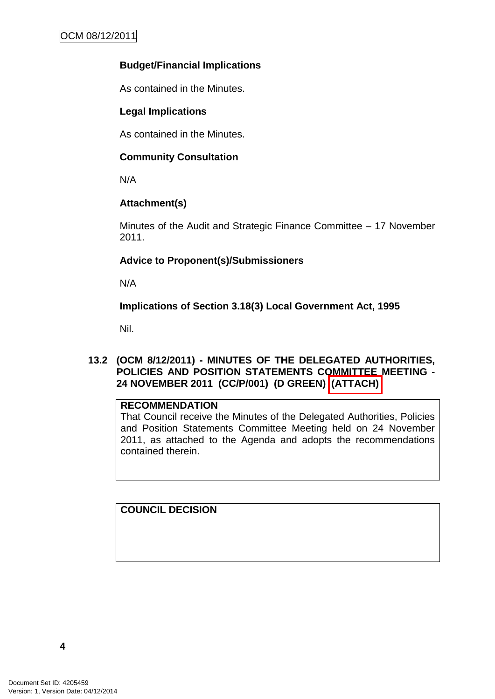### **Budget/Financial Implications**

As contained in the Minutes.

### **Legal Implications**

As contained in the Minutes.

### **Community Consultation**

N/A

# **Attachment(s)**

Minutes of the Audit and Strategic Finance Committee – 17 November 2011.

# **Advice to Proponent(s)/Submissioners**

N/A

**Implications of Section 3.18(3) Local Government Act, 1995**

Nil.

### **13.2 (OCM 8/12/2011) - MINUTES OF THE DELEGATED AUTHORITIES, POLICIES AND POSITION STATEMENTS COMMITTEE MEETING - 24 NOVEMBER 2011 (CC/P/001) (D GREEN) (ATTACH)**

### **RECOMMENDATION**

That Council receive the Minutes of the Delegated Authorities, Policies and Position Statements Committee Meeting held on 24 November 2011, as attached to the Agenda and adopts the recommendations contained therein.

**COUNCIL DECISION**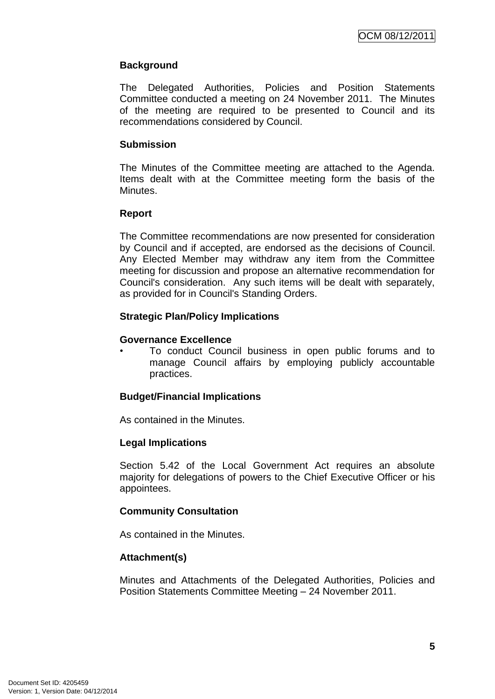### **Background**

The Delegated Authorities, Policies and Position Statements Committee conducted a meeting on 24 November 2011. The Minutes of the meeting are required to be presented to Council and its recommendations considered by Council.

### **Submission**

The Minutes of the Committee meeting are attached to the Agenda. Items dealt with at the Committee meeting form the basis of the Minutes.

#### **Report**

The Committee recommendations are now presented for consideration by Council and if accepted, are endorsed as the decisions of Council. Any Elected Member may withdraw any item from the Committee meeting for discussion and propose an alternative recommendation for Council's consideration. Any such items will be dealt with separately, as provided for in Council's Standing Orders.

### **Strategic Plan/Policy Implications**

#### **Governance Excellence**

• To conduct Council business in open public forums and to manage Council affairs by employing publicly accountable practices.

### **Budget/Financial Implications**

As contained in the Minutes.

#### **Legal Implications**

Section 5.42 of the Local Government Act requires an absolute majority for delegations of powers to the Chief Executive Officer or his appointees.

#### **Community Consultation**

As contained in the Minutes.

### **Attachment(s)**

Minutes and Attachments of the Delegated Authorities, Policies and Position Statements Committee Meeting – 24 November 2011.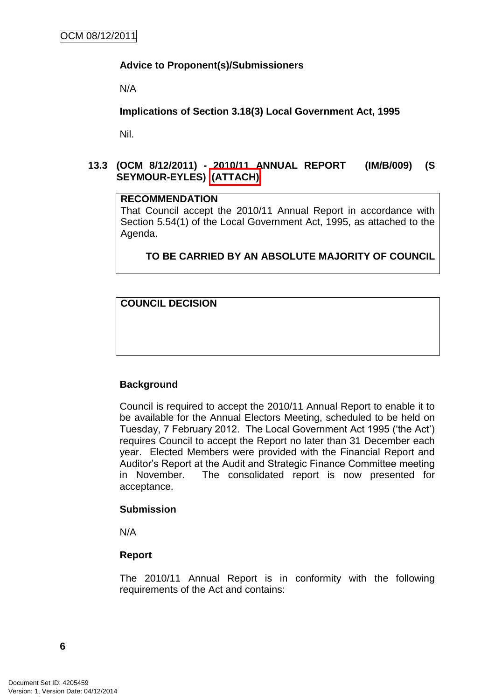### **Advice to Proponent(s)/Submissioners**

N/A

**Implications of Section 3.18(3) Local Government Act, 1995**

Nil.

### **13.3 (OCM 8/12/2011) - 2010/11 ANNUAL REPORT (IM/B/009) (S SEYMOUR-EYLES) (ATTACH)**

### **RECOMMENDATION**

That Council accept the 2010/11 Annual Report in accordance with Section 5.54(1) of the Local Government Act, 1995, as attached to the Agenda.

# **TO BE CARRIED BY AN ABSOLUTE MAJORITY OF COUNCIL**

**COUNCIL DECISION**

### **Background**

Council is required to accept the 2010/11 Annual Report to enable it to be available for the Annual Electors Meeting, scheduled to be held on Tuesday, 7 February 2012. The Local Government Act 1995 ('the Act') requires Council to accept the Report no later than 31 December each year. Elected Members were provided with the Financial Report and Auditor's Report at the Audit and Strategic Finance Committee meeting in November. The consolidated report is now presented for acceptance.

#### **Submission**

N/A

#### **Report**

The 2010/11 Annual Report is in conformity with the following requirements of the Act and contains: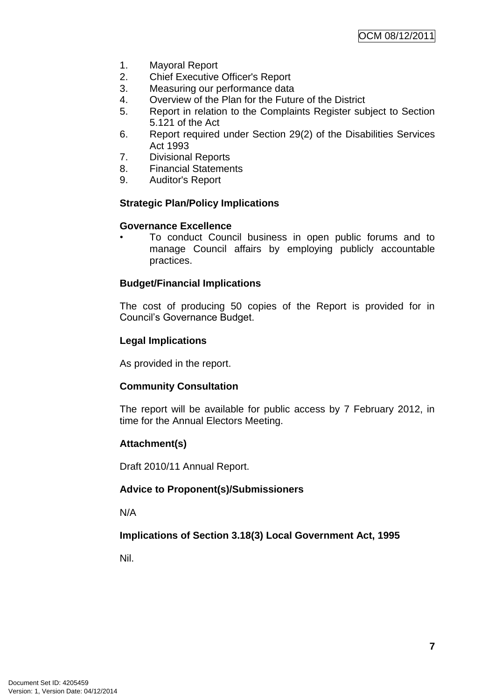- 1. Mayoral Report
- 2. Chief Executive Officer's Report
- 3. Measuring our performance data
- 4. Overview of the Plan for the Future of the District
- 5. Report in relation to the Complaints Register subject to Section 5.121 of the Act
- 6. Report required under Section 29(2) of the Disabilities Services Act 1993
- 7. Divisional Reports
- 8. Financial Statements
- 9. Auditor's Report

### **Strategic Plan/Policy Implications**

#### **Governance Excellence**

• To conduct Council business in open public forums and to manage Council affairs by employing publicly accountable practices.

### **Budget/Financial Implications**

The cost of producing 50 copies of the Report is provided for in Council's Governance Budget.

### **Legal Implications**

As provided in the report.

#### **Community Consultation**

The report will be available for public access by 7 February 2012, in time for the Annual Electors Meeting.

#### **Attachment(s)**

Draft 2010/11 Annual Report.

### **Advice to Proponent(s)/Submissioners**

N/A

### **Implications of Section 3.18(3) Local Government Act, 1995**

Nil.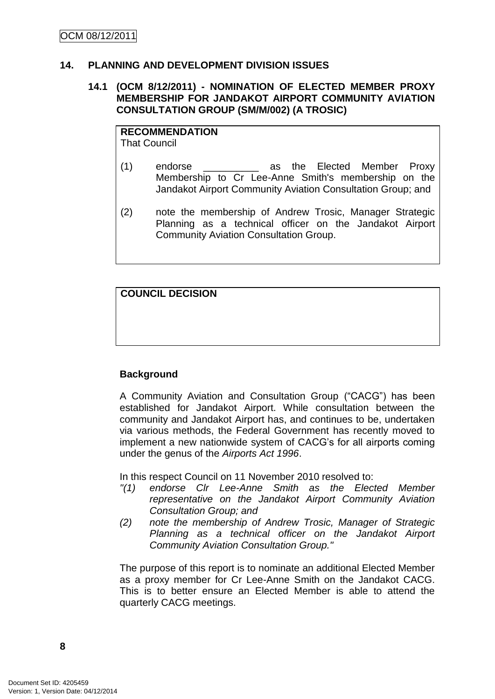#### **14. PLANNING AND DEVELOPMENT DIVISION ISSUES**

#### **14.1 (OCM 8/12/2011) - NOMINATION OF ELECTED MEMBER PROXY MEMBERSHIP FOR JANDAKOT AIRPORT COMMUNITY AVIATION CONSULTATION GROUP (SM/M/002) (A TROSIC)**

**RECOMMENDATION** That Council

- (1) endorse as the Elected Member Proxy Membership to Cr Lee-Anne Smith's membership on the Jandakot Airport Community Aviation Consultation Group; and
- (2) note the membership of Andrew Trosic, Manager Strategic Planning as a technical officer on the Jandakot Airport Community Aviation Consultation Group.

**COUNCIL DECISION**

### **Background**

A Community Aviation and Consultation Group ("CACG") has been established for Jandakot Airport. While consultation between the community and Jandakot Airport has, and continues to be, undertaken via various methods, the Federal Government has recently moved to implement a new nationwide system of CACG's for all airports coming under the genus of the *Airports Act 1996*.

In this respect Council on 11 November 2010 resolved to:

- *"(1) endorse Clr Lee-Anne Smith as the Elected Member representative on the Jandakot Airport Community Aviation Consultation Group; and*
- *(2) note the membership of Andrew Trosic, Manager of Strategic Planning as a technical officer on the Jandakot Airport Community Aviation Consultation Group."*

The purpose of this report is to nominate an additional Elected Member as a proxy member for Cr Lee-Anne Smith on the Jandakot CACG. This is to better ensure an Elected Member is able to attend the quarterly CACG meetings.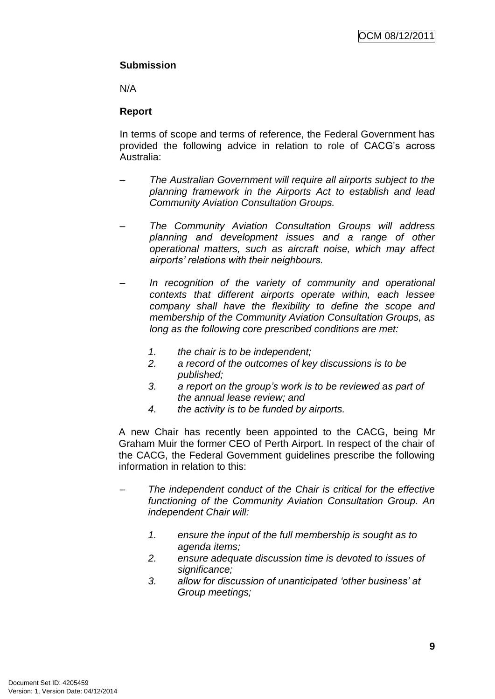### **Submission**

N/A

### **Report**

In terms of scope and terms of reference, the Federal Government has provided the following advice in relation to role of CACG's across Australia:

- *– The Australian Government will require all airports subject to the planning framework in the Airports Act to establish and lead Community Aviation Consultation Groups.*
- *– The Community Aviation Consultation Groups will address planning and development issues and a range of other operational matters, such as aircraft noise, which may affect airports" relations with their neighbours.*
- *– In recognition of the variety of community and operational contexts that different airports operate within, each lessee company shall have the flexibility to define the scope and membership of the Community Aviation Consultation Groups, as long as the following core prescribed conditions are met:*
	- *1. the chair is to be independent;*
	- *2. a record of the outcomes of key discussions is to be published;*
	- *3. a report on the group"s work is to be reviewed as part of the annual lease review; and*
	- *4. the activity is to be funded by airports.*

A new Chair has recently been appointed to the CACG, being Mr Graham Muir the former CEO of Perth Airport. In respect of the chair of the CACG, the Federal Government guidelines prescribe the following information in relation to this:

- *The independent conduct of the Chair is critical for the effective functioning of the Community Aviation Consultation Group. An independent Chair will:*
	- *1. ensure the input of the full membership is sought as to agenda items;*
	- *2. ensure adequate discussion time is devoted to issues of significance;*
	- *3. allow for discussion of unanticipated "other business" at Group meetings;*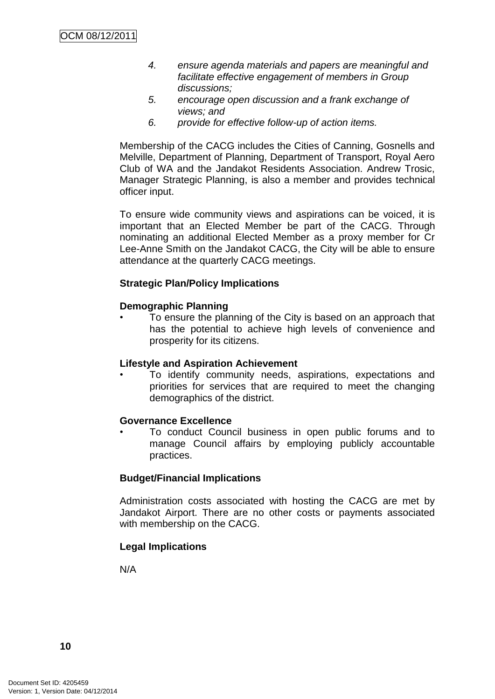- *4. ensure agenda materials and papers are meaningful and facilitate effective engagement of members in Group discussions;*
- *5. encourage open discussion and a frank exchange of views; and*
- *6. provide for effective follow-up of action items.*

Membership of the CACG includes the Cities of Canning, Gosnells and Melville, Department of Planning, Department of Transport, Royal Aero Club of WA and the Jandakot Residents Association. Andrew Trosic, Manager Strategic Planning, is also a member and provides technical officer input.

To ensure wide community views and aspirations can be voiced, it is important that an Elected Member be part of the CACG. Through nominating an additional Elected Member as a proxy member for Cr Lee-Anne Smith on the Jandakot CACG, the City will be able to ensure attendance at the quarterly CACG meetings.

#### **Strategic Plan/Policy Implications**

#### **Demographic Planning**

• To ensure the planning of the City is based on an approach that has the potential to achieve high levels of convenience and prosperity for its citizens.

#### **Lifestyle and Aspiration Achievement**

• To identify community needs, aspirations, expectations and priorities for services that are required to meet the changing demographics of the district.

#### **Governance Excellence**

• To conduct Council business in open public forums and to manage Council affairs by employing publicly accountable practices.

#### **Budget/Financial Implications**

Administration costs associated with hosting the CACG are met by Jandakot Airport. There are no other costs or payments associated with membership on the CACG.

#### **Legal Implications**

N/A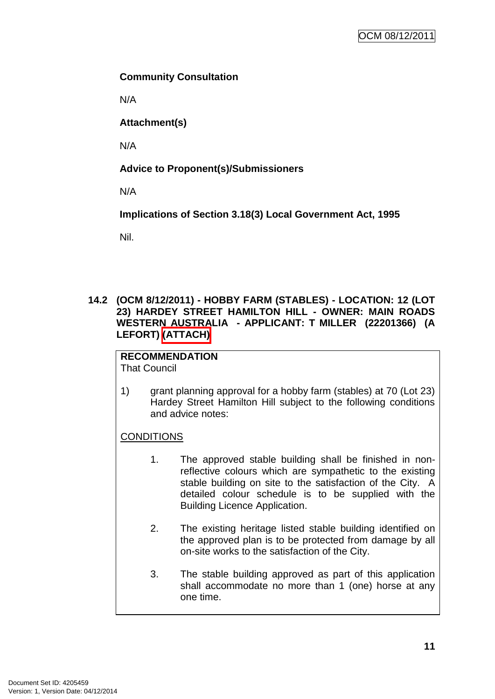### **Community Consultation**

N/A

**Attachment(s)**

N/A

# **Advice to Proponent(s)/Submissioners**

N/A

**Implications of Section 3.18(3) Local Government Act, 1995**

Nil.

### **14.2 (OCM 8/12/2011) - HOBBY FARM (STABLES) - LOCATION: 12 (LOT 23) HARDEY STREET HAMILTON HILL - OWNER: MAIN ROADS WESTERN AUSTRALIA - APPLICANT: T MILLER (22201366) (A LEFORT) (ATTACH)**

### **RECOMMENDATION**

That Council

1) grant planning approval for a hobby farm (stables) at 70 (Lot 23) Hardey Street Hamilton Hill subject to the following conditions and advice notes:

# **CONDITIONS**

- 1. The approved stable building shall be finished in nonreflective colours which are sympathetic to the existing stable building on site to the satisfaction of the City. A detailed colour schedule is to be supplied with the Building Licence Application.
- 2. The existing heritage listed stable building identified on the approved plan is to be protected from damage by all on-site works to the satisfaction of the City.
- 3. The stable building approved as part of this application shall accommodate no more than 1 (one) horse at any one time.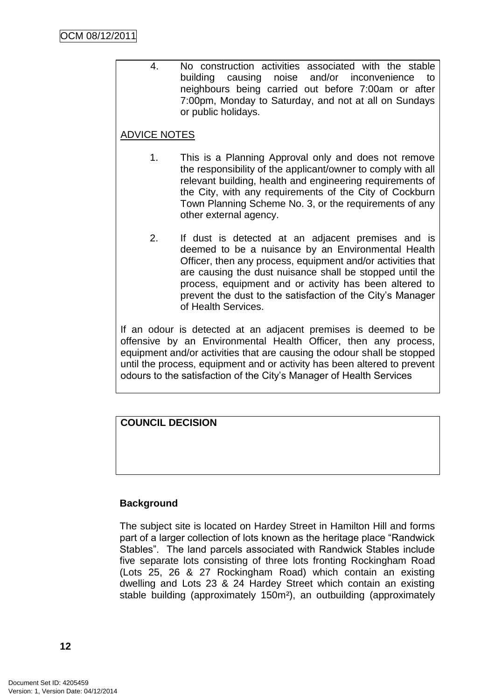4. No construction activities associated with the stable building causing noise and/or inconvenience to neighbours being carried out before 7:00am or after 7:00pm, Monday to Saturday, and not at all on Sundays or public holidays.

### ADVICE NOTES

- 1. This is a Planning Approval only and does not remove the responsibility of the applicant/owner to comply with all relevant building, health and engineering requirements of the City, with any requirements of the City of Cockburn Town Planning Scheme No. 3, or the requirements of any other external agency.
- 2. If dust is detected at an adjacent premises and is deemed to be a nuisance by an Environmental Health Officer, then any process, equipment and/or activities that are causing the dust nuisance shall be stopped until the process, equipment and or activity has been altered to prevent the dust to the satisfaction of the City's Manager of Health Services.

If an odour is detected at an adjacent premises is deemed to be offensive by an Environmental Health Officer, then any process, equipment and/or activities that are causing the odour shall be stopped until the process, equipment and or activity has been altered to prevent odours to the satisfaction of the City's Manager of Health Services

### **COUNCIL DECISION**

### **Background**

The subject site is located on Hardey Street in Hamilton Hill and forms part of a larger collection of lots known as the heritage place "Randwick" Stables". The land parcels associated with Randwick Stables include five separate lots consisting of three lots fronting Rockingham Road (Lots 25, 26 & 27 Rockingham Road) which contain an existing dwelling and Lots 23 & 24 Hardey Street which contain an existing stable building (approximately 150m²), an outbuilding (approximately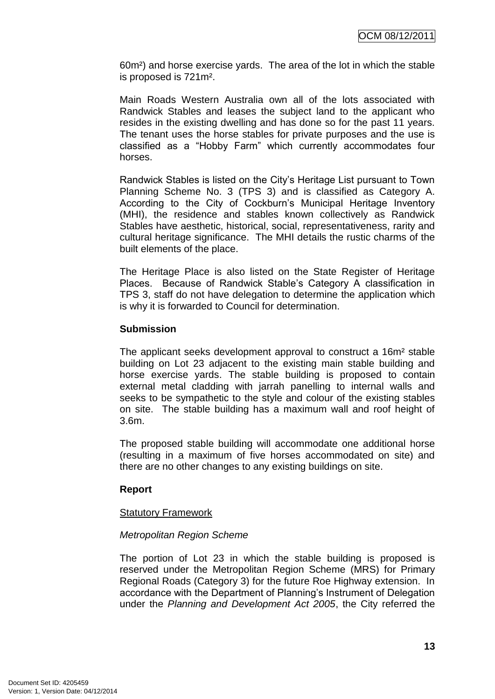60m²) and horse exercise yards. The area of the lot in which the stable is proposed is 721m².

Main Roads Western Australia own all of the lots associated with Randwick Stables and leases the subject land to the applicant who resides in the existing dwelling and has done so for the past 11 years. The tenant uses the horse stables for private purposes and the use is classified as a "Hobby Farm" which currently accommodates four horses.

Randwick Stables is listed on the City's Heritage List pursuant to Town Planning Scheme No. 3 (TPS 3) and is classified as Category A. According to the City of Cockburn's Municipal Heritage Inventory (MHI), the residence and stables known collectively as Randwick Stables have aesthetic, historical, social, representativeness, rarity and cultural heritage significance. The MHI details the rustic charms of the built elements of the place.

The Heritage Place is also listed on the State Register of Heritage Places. Because of Randwick Stable's Category A classification in TPS 3, staff do not have delegation to determine the application which is why it is forwarded to Council for determination.

#### **Submission**

The applicant seeks development approval to construct a 16m² stable building on Lot 23 adjacent to the existing main stable building and horse exercise yards. The stable building is proposed to contain external metal cladding with jarrah panelling to internal walls and seeks to be sympathetic to the style and colour of the existing stables on site. The stable building has a maximum wall and roof height of 3.6m.

The proposed stable building will accommodate one additional horse (resulting in a maximum of five horses accommodated on site) and there are no other changes to any existing buildings on site.

### **Report**

#### Statutory Framework

### *Metropolitan Region Scheme*

The portion of Lot 23 in which the stable building is proposed is reserved under the Metropolitan Region Scheme (MRS) for Primary Regional Roads (Category 3) for the future Roe Highway extension. In accordance with the Department of Planning's Instrument of Delegation under the *Planning and Development Act 2005*, the City referred the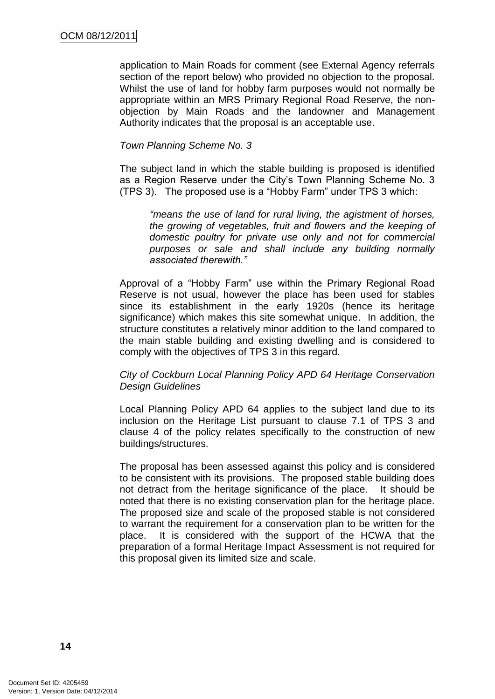application to Main Roads for comment (see External Agency referrals section of the report below) who provided no objection to the proposal. Whilst the use of land for hobby farm purposes would not normally be appropriate within an MRS Primary Regional Road Reserve, the nonobjection by Main Roads and the landowner and Management Authority indicates that the proposal is an acceptable use.

#### *Town Planning Scheme No. 3*

The subject land in which the stable building is proposed is identified as a Region Reserve under the City's Town Planning Scheme No. 3 (TPS 3). The proposed use is a "Hobby Farm" under TPS 3 which:

*"means the use of land for rural living, the agistment of horses, the growing of vegetables, fruit and flowers and the keeping of domestic poultry for private use only and not for commercial purposes or sale and shall include any building normally associated therewith."*

Approval of a "Hobby Farm" use within the Primary Regional Road Reserve is not usual, however the place has been used for stables since its establishment in the early 1920s (hence its heritage significance) which makes this site somewhat unique. In addition, the structure constitutes a relatively minor addition to the land compared to the main stable building and existing dwelling and is considered to comply with the objectives of TPS 3 in this regard.

#### *City of Cockburn Local Planning Policy APD 64 Heritage Conservation Design Guidelines*

Local Planning Policy APD 64 applies to the subject land due to its inclusion on the Heritage List pursuant to clause 7.1 of TPS 3 and clause 4 of the policy relates specifically to the construction of new buildings/structures.

The proposal has been assessed against this policy and is considered to be consistent with its provisions. The proposed stable building does not detract from the heritage significance of the place. It should be noted that there is no existing conservation plan for the heritage place. The proposed size and scale of the proposed stable is not considered to warrant the requirement for a conservation plan to be written for the place. It is considered with the support of the HCWA that the preparation of a formal Heritage Impact Assessment is not required for this proposal given its limited size and scale.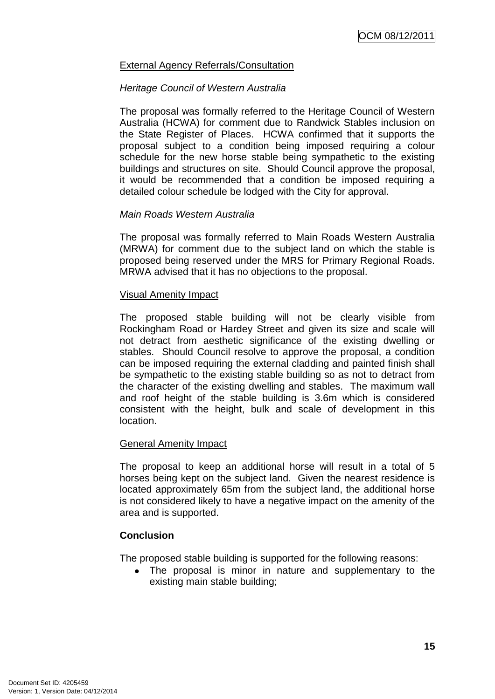### External Agency Referrals/Consultation

#### *Heritage Council of Western Australia*

The proposal was formally referred to the Heritage Council of Western Australia (HCWA) for comment due to Randwick Stables inclusion on the State Register of Places. HCWA confirmed that it supports the proposal subject to a condition being imposed requiring a colour schedule for the new horse stable being sympathetic to the existing buildings and structures on site. Should Council approve the proposal, it would be recommended that a condition be imposed requiring a detailed colour schedule be lodged with the City for approval.

#### *Main Roads Western Australia*

The proposal was formally referred to Main Roads Western Australia (MRWA) for comment due to the subject land on which the stable is proposed being reserved under the MRS for Primary Regional Roads. MRWA advised that it has no objections to the proposal.

#### Visual Amenity Impact

The proposed stable building will not be clearly visible from Rockingham Road or Hardey Street and given its size and scale will not detract from aesthetic significance of the existing dwelling or stables. Should Council resolve to approve the proposal, a condition can be imposed requiring the external cladding and painted finish shall be sympathetic to the existing stable building so as not to detract from the character of the existing dwelling and stables. The maximum wall and roof height of the stable building is 3.6m which is considered consistent with the height, bulk and scale of development in this location.

#### General Amenity Impact

The proposal to keep an additional horse will result in a total of 5 horses being kept on the subject land. Given the nearest residence is located approximately 65m from the subject land, the additional horse is not considered likely to have a negative impact on the amenity of the area and is supported.

#### **Conclusion**

The proposed stable building is supported for the following reasons:

The proposal is minor in nature and supplementary to the  $\bullet$ existing main stable building;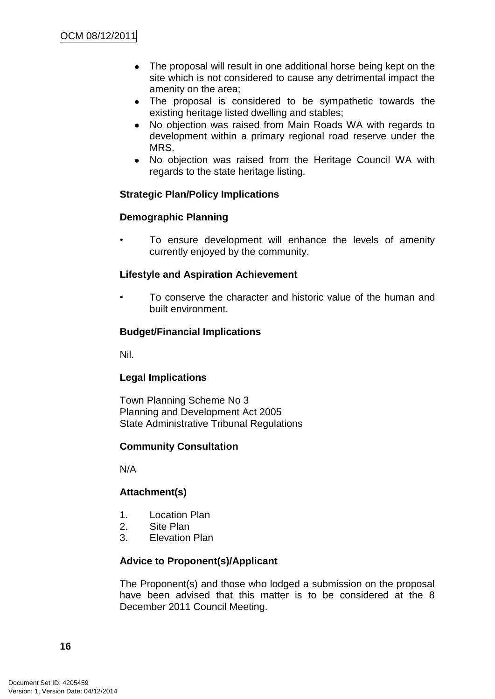- The proposal will result in one additional horse being kept on the  $\bullet$ site which is not considered to cause any detrimental impact the amenity on the area;
- The proposal is considered to be sympathetic towards the  $\bullet$ existing heritage listed dwelling and stables;
- No objection was raised from Main Roads WA with regards to  $\bullet$ development within a primary regional road reserve under the MRS.
- No objection was raised from the Heritage Council WA with regards to the state heritage listing.

### **Strategic Plan/Policy Implications**

### **Demographic Planning**

To ensure development will enhance the levels of amenity currently enjoyed by the community.

#### **Lifestyle and Aspiration Achievement**

• To conserve the character and historic value of the human and built environment.

### **Budget/Financial Implications**

Nil.

#### **Legal Implications**

Town Planning Scheme No 3 Planning and Development Act 2005 State Administrative Tribunal Regulations

#### **Community Consultation**

N/A

### **Attachment(s)**

- 1. Location Plan
- 2. Site Plan
- 3. Elevation Plan

#### **Advice to Proponent(s)/Applicant**

The Proponent(s) and those who lodged a submission on the proposal have been advised that this matter is to be considered at the 8 December 2011 Council Meeting.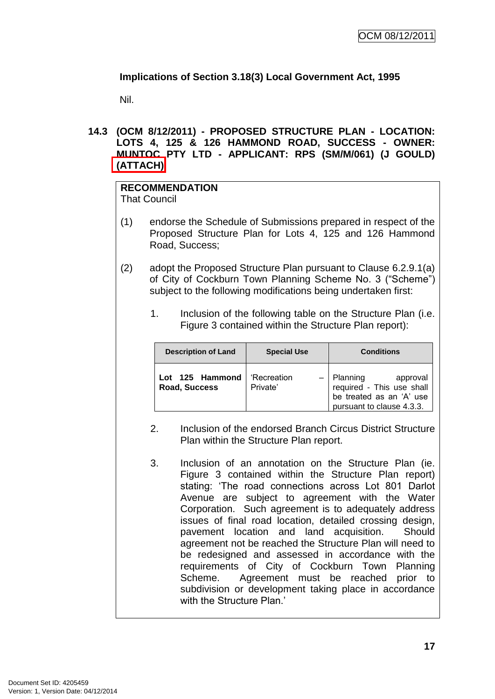# **Implications of Section 3.18(3) Local Government Act, 1995**

Nil.

**14.3 (OCM 8/12/2011) - PROPOSED STRUCTURE PLAN - LOCATION: LOTS 4, 125 & 126 HAMMOND ROAD, SUCCESS - OWNER: MUNTOC PTY LTD - APPLICANT: RPS (SM/M/061) (J GOULD) (ATTACH)**

# **RECOMMENDATION**

That Council

- (1) endorse the Schedule of Submissions prepared in respect of the Proposed Structure Plan for Lots 4, 125 and 126 Hammond Road, Success;
- (2) adopt the Proposed Structure Plan pursuant to Clause 6.2.9.1(a) of City of Cockburn Town Planning Scheme No. 3 ("Scheme") subject to the following modifications being undertaken first:
	- 1. Inclusion of the following table on the Structure Plan (i.e. Figure 3 contained within the Structure Plan report):

| <b>Description of Land</b>       | <b>Special Use</b>      | <b>Conditions</b>                                                                                                |
|----------------------------------|-------------------------|------------------------------------------------------------------------------------------------------------------|
| Lot 125 Hammond<br>Road, Success | 'Recreation<br>Private' | $-$   Planning<br>approval<br>required - This use shall<br>be treated as an 'A' use<br>pursuant to clause 4.3.3. |

- 2. Inclusion of the endorsed Branch Circus District Structure Plan within the Structure Plan report.
- 3. Inclusion of an annotation on the Structure Plan (ie. Figure 3 contained within the Structure Plan report) stating: 'The road connections across Lot 801 Darlot Avenue are subject to agreement with the Water Corporation. Such agreement is to adequately address issues of final road location, detailed crossing design, pavement location and land acquisition. Should agreement not be reached the Structure Plan will need to be redesigned and assessed in accordance with the requirements of City of Cockburn Town Planning Scheme. Agreement must be reached prior to subdivision or development taking place in accordance with the Structure Plan.'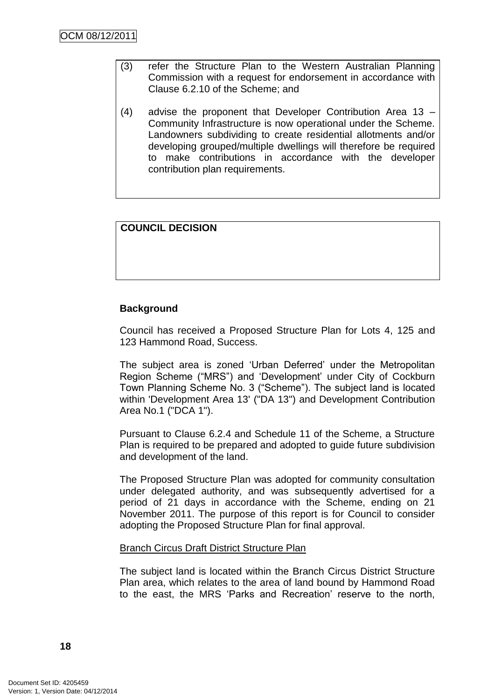- (3) refer the Structure Plan to the Western Australian Planning Commission with a request for endorsement in accordance with Clause 6.2.10 of the Scheme; and
- (4) advise the proponent that Developer Contribution Area 13 Community Infrastructure is now operational under the Scheme. Landowners subdividing to create residential allotments and/or developing grouped/multiple dwellings will therefore be required to make contributions in accordance with the developer contribution plan requirements.

### **COUNCIL DECISION**

### **Background**

Council has received a Proposed Structure Plan for Lots 4, 125 and 123 Hammond Road, Success.

The subject area is zoned 'Urban Deferred' under the Metropolitan Region Scheme ("MRS") and 'Development' under City of Cockburn Town Planning Scheme No. 3 ("Scheme"). The subject land is located within 'Development Area 13' ("DA 13") and Development Contribution Area No.1 ("DCA 1").

Pursuant to Clause 6.2.4 and Schedule 11 of the Scheme, a Structure Plan is required to be prepared and adopted to guide future subdivision and development of the land.

The Proposed Structure Plan was adopted for community consultation under delegated authority, and was subsequently advertised for a period of 21 days in accordance with the Scheme, ending on 21 November 2011. The purpose of this report is for Council to consider adopting the Proposed Structure Plan for final approval.

#### Branch Circus Draft District Structure Plan

The subject land is located within the Branch Circus District Structure Plan area, which relates to the area of land bound by Hammond Road to the east, the MRS 'Parks and Recreation' reserve to the north,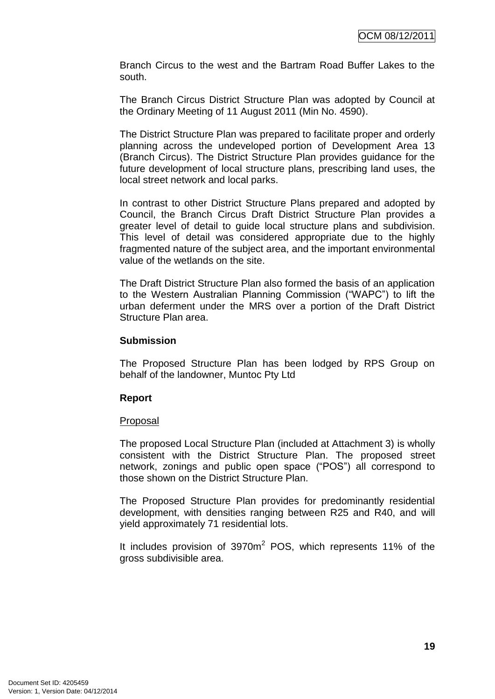Branch Circus to the west and the Bartram Road Buffer Lakes to the south.

The Branch Circus District Structure Plan was adopted by Council at the Ordinary Meeting of 11 August 2011 (Min No. 4590).

The District Structure Plan was prepared to facilitate proper and orderly planning across the undeveloped portion of Development Area 13 (Branch Circus). The District Structure Plan provides guidance for the future development of local structure plans, prescribing land uses, the local street network and local parks.

In contrast to other District Structure Plans prepared and adopted by Council, the Branch Circus Draft District Structure Plan provides a greater level of detail to guide local structure plans and subdivision. This level of detail was considered appropriate due to the highly fragmented nature of the subject area, and the important environmental value of the wetlands on the site.

The Draft District Structure Plan also formed the basis of an application to the Western Australian Planning Commission ("WAPC") to lift the urban deferment under the MRS over a portion of the Draft District Structure Plan area.

### **Submission**

The Proposed Structure Plan has been lodged by RPS Group on behalf of the landowner, Muntoc Pty Ltd

#### **Report**

#### Proposal

The proposed Local Structure Plan (included at Attachment 3) is wholly consistent with the District Structure Plan. The proposed street network, zonings and public open space ("POS") all correspond to those shown on the District Structure Plan.

The Proposed Structure Plan provides for predominantly residential development, with densities ranging between R25 and R40, and will yield approximately 71 residential lots.

It includes provision of 3970m<sup>2</sup> POS, which represents 11% of the gross subdivisible area.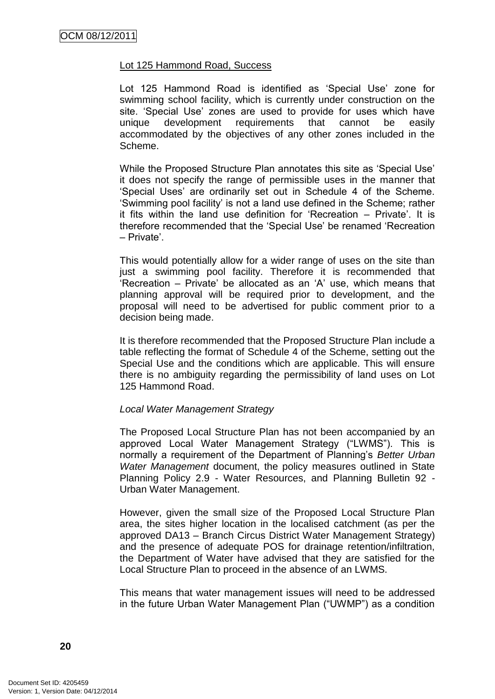#### Lot 125 Hammond Road, Success

Lot 125 Hammond Road is identified as 'Special Use' zone for swimming school facility, which is currently under construction on the site. 'Special Use' zones are used to provide for uses which have unique development requirements that cannot be easily accommodated by the objectives of any other zones included in the Scheme.

While the Proposed Structure Plan annotates this site as 'Special Use' it does not specify the range of permissible uses in the manner that ‗Special Uses' are ordinarily set out in Schedule 4 of the Scheme. ‗Swimming pool facility' is not a land use defined in the Scheme; rather it fits within the land use definition for 'Recreation  $-$  Private'. It is therefore recommended that the 'Special Use' be renamed 'Recreation – Private'.

This would potentially allow for a wider range of uses on the site than just a swimming pool facility. Therefore it is recommended that 'Recreation – Private' be allocated as an 'A' use, which means that planning approval will be required prior to development, and the proposal will need to be advertised for public comment prior to a decision being made.

It is therefore recommended that the Proposed Structure Plan include a table reflecting the format of Schedule 4 of the Scheme, setting out the Special Use and the conditions which are applicable. This will ensure there is no ambiguity regarding the permissibility of land uses on Lot 125 Hammond Road.

#### *Local Water Management Strategy*

The Proposed Local Structure Plan has not been accompanied by an approved Local Water Management Strategy ("LWMS"). This is normally a requirement of the Department of Planning's *Better Urban Water Management* document, the policy measures outlined in State Planning Policy 2.9 - Water Resources, and Planning Bulletin 92 - Urban Water Management.

However, given the small size of the Proposed Local Structure Plan area, the sites higher location in the localised catchment (as per the approved DA13 – Branch Circus District Water Management Strategy) and the presence of adequate POS for drainage retention/infiltration, the Department of Water have advised that they are satisfied for the Local Structure Plan to proceed in the absence of an LWMS.

This means that water management issues will need to be addressed in the future Urban Water Management Plan ("UWMP") as a condition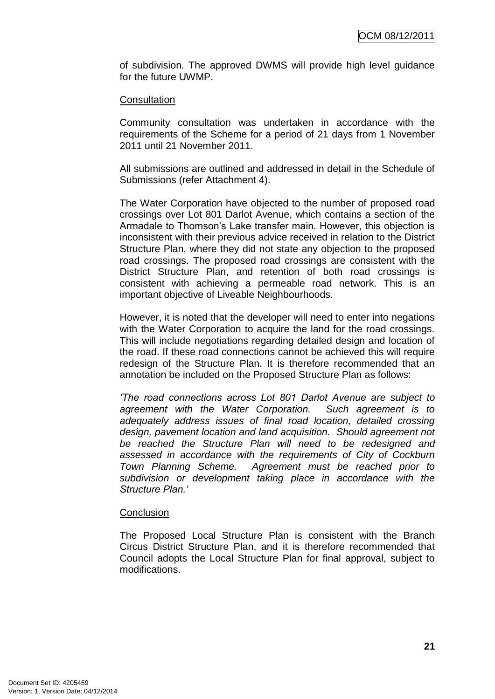of subdivision. The approved DWMS will provide high level guidance for the future UWMP.

#### **Consultation**

Community consultation was undertaken in accordance with the requirements of the Scheme for a period of 21 days from 1 November 2011 until 21 November 2011.

All submissions are outlined and addressed in detail in the Schedule of Submissions (refer Attachment 4).

The Water Corporation have objected to the number of proposed road crossings over Lot 801 Darlot Avenue, which contains a section of the Armadale to Thomson's Lake transfer main. However, this objection is inconsistent with their previous advice received in relation to the District Structure Plan, where they did not state any objection to the proposed road crossings. The proposed road crossings are consistent with the District Structure Plan, and retention of both road crossings is consistent with achieving a permeable road network. This is an important objective of Liveable Neighbourhoods.

However, it is noted that the developer will need to enter into negations with the Water Corporation to acquire the land for the road crossings. This will include negotiations regarding detailed design and location of the road. If these road connections cannot be achieved this will require redesign of the Structure Plan. It is therefore recommended that an annotation be included on the Proposed Structure Plan as follows:

*"The road connections across Lot 801 Darlot Avenue are subject to agreement with the Water Corporation. Such agreement is to adequately address issues of final road location, detailed crossing design, pavement location and land acquisition. Should agreement not be reached the Structure Plan will need to be redesigned and assessed in accordance with the requirements of City of Cockburn Town Planning Scheme. Agreement must be reached prior to subdivision or development taking place in accordance with the Structure Plan."*

#### **Conclusion**

The Proposed Local Structure Plan is consistent with the Branch Circus District Structure Plan, and it is therefore recommended that Council adopts the Local Structure Plan for final approval, subject to modifications.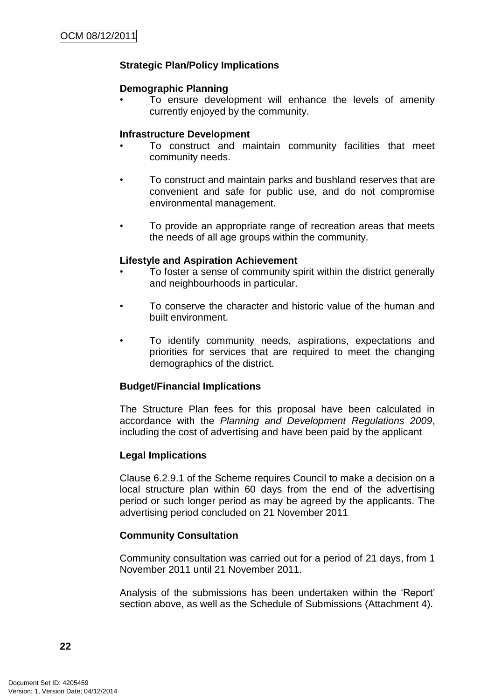### **Strategic Plan/Policy Implications**

#### **Demographic Planning**

• To ensure development will enhance the levels of amenity currently enjoyed by the community.

#### **Infrastructure Development**

- To construct and maintain community facilities that meet community needs.
- To construct and maintain parks and bushland reserves that are convenient and safe for public use, and do not compromise environmental management.
- To provide an appropriate range of recreation areas that meets the needs of all age groups within the community.

#### **Lifestyle and Aspiration Achievement**

- To foster a sense of community spirit within the district generally and neighbourhoods in particular.
- To conserve the character and historic value of the human and built environment.
- To identify community needs, aspirations, expectations and priorities for services that are required to meet the changing demographics of the district.

#### **Budget/Financial Implications**

The Structure Plan fees for this proposal have been calculated in accordance with the *Planning and Development Regulations 2009*, including the cost of advertising and have been paid by the applicant

#### **Legal Implications**

Clause 6.2.9.1 of the Scheme requires Council to make a decision on a local structure plan within 60 days from the end of the advertising period or such longer period as may be agreed by the applicants. The advertising period concluded on 21 November 2011

#### **Community Consultation**

Community consultation was carried out for a period of 21 days, from 1 November 2011 until 21 November 2011.

Analysis of the submissions has been undertaken within the 'Report' section above, as well as the Schedule of Submissions (Attachment 4).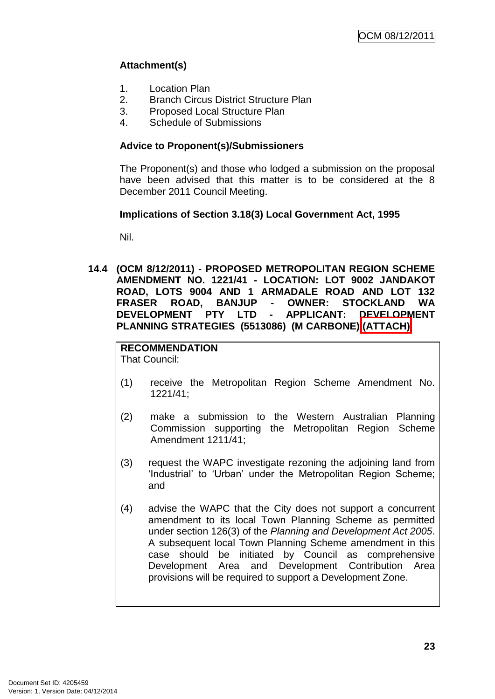# **Attachment(s)**

- 1. Location Plan
- 2. Branch Circus District Structure Plan
- 3. Proposed Local Structure Plan
- 4. Schedule of Submissions

### **Advice to Proponent(s)/Submissioners**

The Proponent(s) and those who lodged a submission on the proposal have been advised that this matter is to be considered at the 8 December 2011 Council Meeting.

### **Implications of Section 3.18(3) Local Government Act, 1995**

Nil.

**14.4 (OCM 8/12/2011) - PROPOSED METROPOLITAN REGION SCHEME AMENDMENT NO. 1221/41 - LOCATION: LOT 9002 JANDAKOT ROAD, LOTS 9004 AND 1 ARMADALE ROAD AND LOT 132 FRASER ROAD, BANJUP - OWNER: STOCKLAND WA DEVELOPMENT PTY LTD - APPLICANT: DEVELOPMENT PLANNING STRATEGIES (5513086) (M CARBONE) (ATTACH)**

# **RECOMMENDATION**

That Council:

- (1) receive the Metropolitan Region Scheme Amendment No. 1221/41;
- (2) make a submission to the Western Australian Planning Commission supporting the Metropolitan Region Scheme Amendment 1211/41;
- (3) request the WAPC investigate rezoning the adjoining land from 'Industrial' to 'Urban' under the Metropolitan Region Scheme; and
- (4) advise the WAPC that the City does not support a concurrent amendment to its local Town Planning Scheme as permitted under section 126(3) of the *Planning and Development Act 2005*. A subsequent local Town Planning Scheme amendment in this case should be initiated by Council as comprehensive Development Area and Development Contribution Area provisions will be required to support a Development Zone.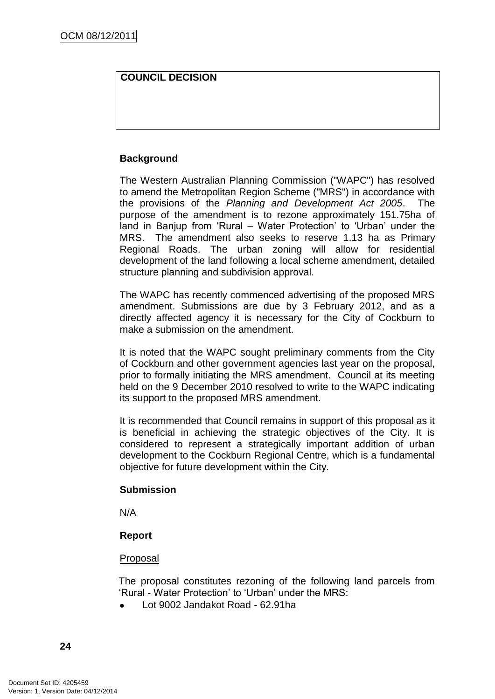### **COUNCIL DECISION**

### **Background**

The Western Australian Planning Commission ("WAPC") has resolved to amend the Metropolitan Region Scheme ("MRS") in accordance with the provisions of the *Planning and Development Act 2005*. The purpose of the amendment is to rezone approximately 151.75ha of land in Banjup from 'Rural – Water Protection' to 'Urban' under the MRS. The amendment also seeks to reserve 1.13 ha as Primary Regional Roads. The urban zoning will allow for residential development of the land following a local scheme amendment, detailed structure planning and subdivision approval.

The WAPC has recently commenced advertising of the proposed MRS amendment. Submissions are due by 3 February 2012, and as a directly affected agency it is necessary for the City of Cockburn to make a submission on the amendment.

It is noted that the WAPC sought preliminary comments from the City of Cockburn and other government agencies last year on the proposal, prior to formally initiating the MRS amendment. Council at its meeting held on the 9 December 2010 resolved to write to the WAPC indicating its support to the proposed MRS amendment.

It is recommended that Council remains in support of this proposal as it is beneficial in achieving the strategic objectives of the City. It is considered to represent a strategically important addition of urban development to the Cockburn Regional Centre, which is a fundamental objective for future development within the City.

#### **Submission**

N/A

#### **Report**

#### Proposal

The proposal constitutes rezoning of the following land parcels from ‗Rural - Water Protection' to ‗Urban' under the MRS:

Lot 9002 Jandakot Road - 62.91ha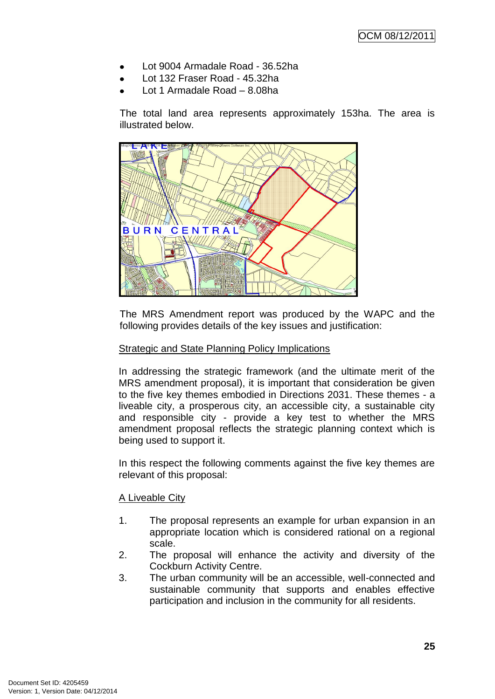- Lot 9004 Armadale Road 36.52ha
- Lot 132 Fraser Road 45.32ha
- Lot 1 Armadale Road 8.08ha

The total land area represents approximately 153ha. The area is illustrated below.



The MRS Amendment report was produced by the WAPC and the following provides details of the key issues and justification:

#### **Strategic and State Planning Policy Implications**

In addressing the strategic framework (and the ultimate merit of the MRS amendment proposal), it is important that consideration be given to the five key themes embodied in Directions 2031. These themes - a liveable city, a prosperous city, an accessible city, a sustainable city and responsible city - provide a key test to whether the MRS amendment proposal reflects the strategic planning context which is being used to support it.

In this respect the following comments against the five key themes are relevant of this proposal:

#### A Liveable City

- 1. The proposal represents an example for urban expansion in an appropriate location which is considered rational on a regional scale.
- 2. The proposal will enhance the activity and diversity of the Cockburn Activity Centre.
- 3. The urban community will be an accessible, well-connected and sustainable community that supports and enables effective participation and inclusion in the community for all residents.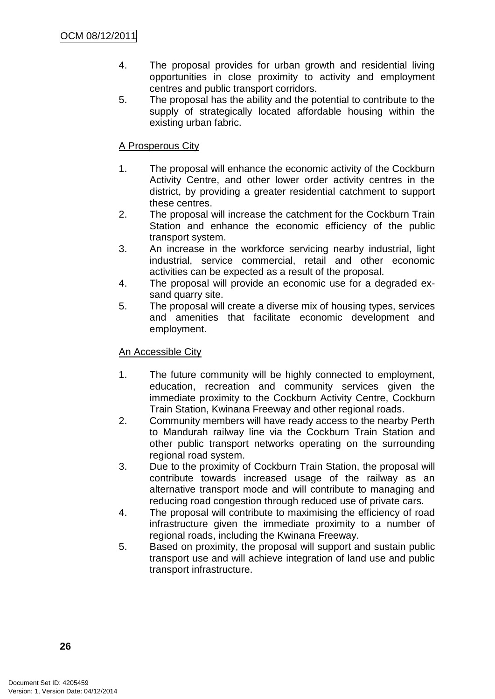- 4. The proposal provides for urban growth and residential living opportunities in close proximity to activity and employment centres and public transport corridors.
- 5. The proposal has the ability and the potential to contribute to the supply of strategically located affordable housing within the existing urban fabric.

### A Prosperous City

- 1. The proposal will enhance the economic activity of the Cockburn Activity Centre, and other lower order activity centres in the district, by providing a greater residential catchment to support these centres.
- 2. The proposal will increase the catchment for the Cockburn Train Station and enhance the economic efficiency of the public transport system.
- 3. An increase in the workforce servicing nearby industrial, light industrial, service commercial, retail and other economic activities can be expected as a result of the proposal.
- 4. The proposal will provide an economic use for a degraded exsand quarry site.
- 5. The proposal will create a diverse mix of housing types, services and amenities that facilitate economic development and employment.

#### An Accessible City

- 1. The future community will be highly connected to employment, education, recreation and community services given the immediate proximity to the Cockburn Activity Centre, Cockburn Train Station, Kwinana Freeway and other regional roads.
- 2. Community members will have ready access to the nearby Perth to Mandurah railway line via the Cockburn Train Station and other public transport networks operating on the surrounding regional road system.
- 3. Due to the proximity of Cockburn Train Station, the proposal will contribute towards increased usage of the railway as an alternative transport mode and will contribute to managing and reducing road congestion through reduced use of private cars.
- 4. The proposal will contribute to maximising the efficiency of road infrastructure given the immediate proximity to a number of regional roads, including the Kwinana Freeway.
- 5. Based on proximity, the proposal will support and sustain public transport use and will achieve integration of land use and public transport infrastructure.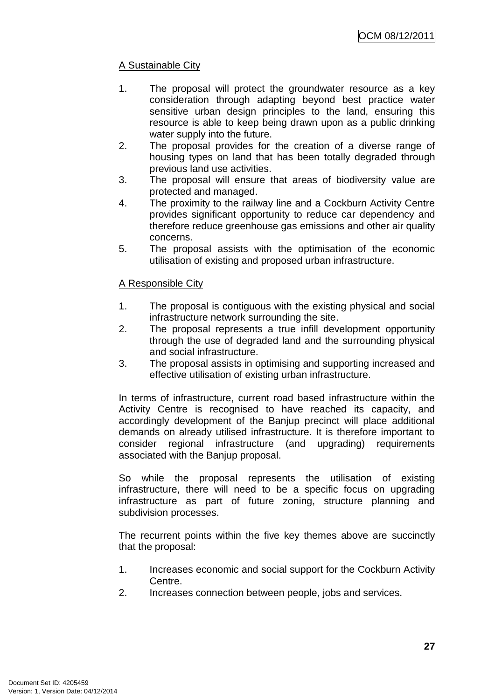# A Sustainable City

- 1. The proposal will protect the groundwater resource as a key consideration through adapting beyond best practice water sensitive urban design principles to the land, ensuring this resource is able to keep being drawn upon as a public drinking water supply into the future.
- 2. The proposal provides for the creation of a diverse range of housing types on land that has been totally degraded through previous land use activities.
- 3. The proposal will ensure that areas of biodiversity value are protected and managed.
- 4. The proximity to the railway line and a Cockburn Activity Centre provides significant opportunity to reduce car dependency and therefore reduce greenhouse gas emissions and other air quality concerns.
- 5. The proposal assists with the optimisation of the economic utilisation of existing and proposed urban infrastructure.

### A Responsible City

- 1. The proposal is contiguous with the existing physical and social infrastructure network surrounding the site.
- 2. The proposal represents a true infill development opportunity through the use of degraded land and the surrounding physical and social infrastructure.
- 3. The proposal assists in optimising and supporting increased and effective utilisation of existing urban infrastructure.

In terms of infrastructure, current road based infrastructure within the Activity Centre is recognised to have reached its capacity, and accordingly development of the Banjup precinct will place additional demands on already utilised infrastructure. It is therefore important to consider regional infrastructure (and upgrading) requirements associated with the Banjup proposal.

So while the proposal represents the utilisation of existing infrastructure, there will need to be a specific focus on upgrading infrastructure as part of future zoning, structure planning and subdivision processes.

The recurrent points within the five key themes above are succinctly that the proposal:

- 1. Increases economic and social support for the Cockburn Activity Centre.
- 2. Increases connection between people, jobs and services.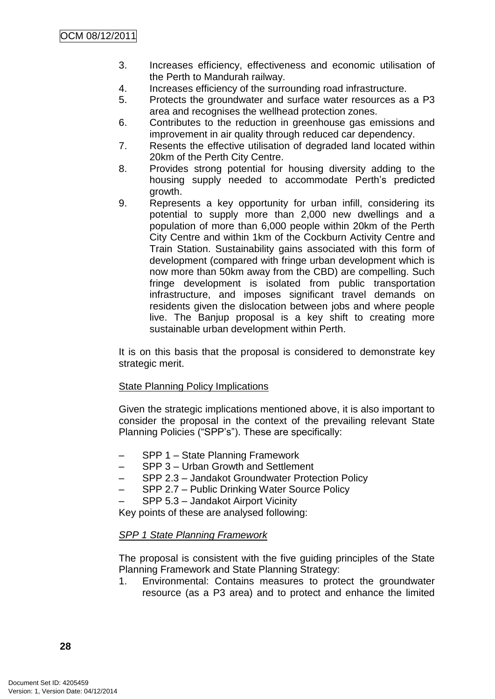- 3. Increases efficiency, effectiveness and economic utilisation of the Perth to Mandurah railway.
- 4. Increases efficiency of the surrounding road infrastructure.
- 5. Protects the groundwater and surface water resources as a P3 area and recognises the wellhead protection zones.
- 6. Contributes to the reduction in greenhouse gas emissions and improvement in air quality through reduced car dependency.
- 7. Resents the effective utilisation of degraded land located within 20km of the Perth City Centre.
- 8. Provides strong potential for housing diversity adding to the housing supply needed to accommodate Perth's predicted growth.
- 9. Represents a key opportunity for urban infill, considering its potential to supply more than 2,000 new dwellings and a population of more than 6,000 people within 20km of the Perth City Centre and within 1km of the Cockburn Activity Centre and Train Station. Sustainability gains associated with this form of development (compared with fringe urban development which is now more than 50km away from the CBD) are compelling. Such fringe development is isolated from public transportation infrastructure, and imposes significant travel demands on residents given the dislocation between jobs and where people live. The Banjup proposal is a key shift to creating more sustainable urban development within Perth.

It is on this basis that the proposal is considered to demonstrate key strategic merit.

#### State Planning Policy Implications

Given the strategic implications mentioned above, it is also important to consider the proposal in the context of the prevailing relevant State Planning Policies ("SPP's"). These are specifically:

- SPP 1 State Planning Framework
- SPP 3 Urban Growth and Settlement
- SPP 2.3 Jandakot Groundwater Protection Policy
- SPP 2.7 Public Drinking Water Source Policy
- SPP 5.3 Jandakot Airport Vicinity

Key points of these are analysed following:

### *SPP 1 State Planning Framework*

The proposal is consistent with the five guiding principles of the State Planning Framework and State Planning Strategy:

1. Environmental: Contains measures to protect the groundwater resource (as a P3 area) and to protect and enhance the limited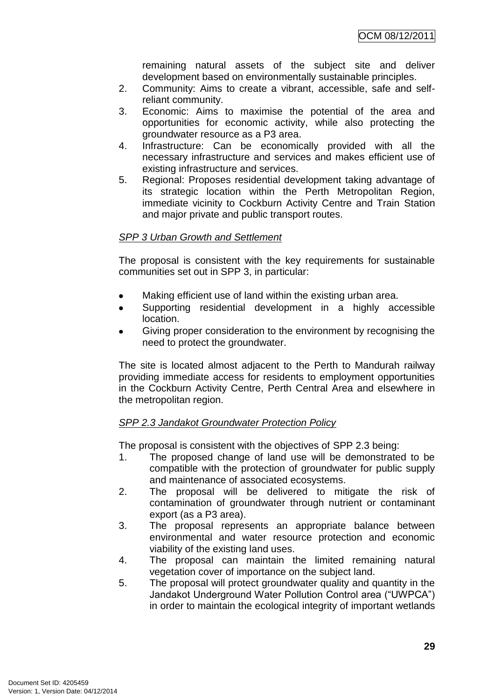remaining natural assets of the subject site and deliver development based on environmentally sustainable principles.

- 2. Community: Aims to create a vibrant, accessible, safe and selfreliant community.
- 3. Economic: Aims to maximise the potential of the area and opportunities for economic activity, while also protecting the groundwater resource as a P3 area.
- 4. Infrastructure: Can be economically provided with all the necessary infrastructure and services and makes efficient use of existing infrastructure and services.
- 5. Regional: Proposes residential development taking advantage of its strategic location within the Perth Metropolitan Region, immediate vicinity to Cockburn Activity Centre and Train Station and major private and public transport routes.

### *SPP 3 Urban Growth and Settlement*

The proposal is consistent with the key requirements for sustainable communities set out in SPP 3, in particular:

- Making efficient use of land within the existing urban area.
- Supporting residential development in a highly accessible  $\bullet$ location.
- Giving proper consideration to the environment by recognising the need to protect the groundwater.

The site is located almost adjacent to the Perth to Mandurah railway providing immediate access for residents to employment opportunities in the Cockburn Activity Centre, Perth Central Area and elsewhere in the metropolitan region.

### *SPP 2.3 Jandakot Groundwater Protection Policy*

The proposal is consistent with the objectives of SPP 2.3 being:

- 1. The proposed change of land use will be demonstrated to be compatible with the protection of groundwater for public supply and maintenance of associated ecosystems.
- 2. The proposal will be delivered to mitigate the risk of contamination of groundwater through nutrient or contaminant export (as a P3 area).
- 3. The proposal represents an appropriate balance between environmental and water resource protection and economic viability of the existing land uses.
- 4. The proposal can maintain the limited remaining natural vegetation cover of importance on the subject land.
- 5. The proposal will protect groundwater quality and quantity in the Jandakot Underground Water Pollution Control area ("UWPCA") in order to maintain the ecological integrity of important wetlands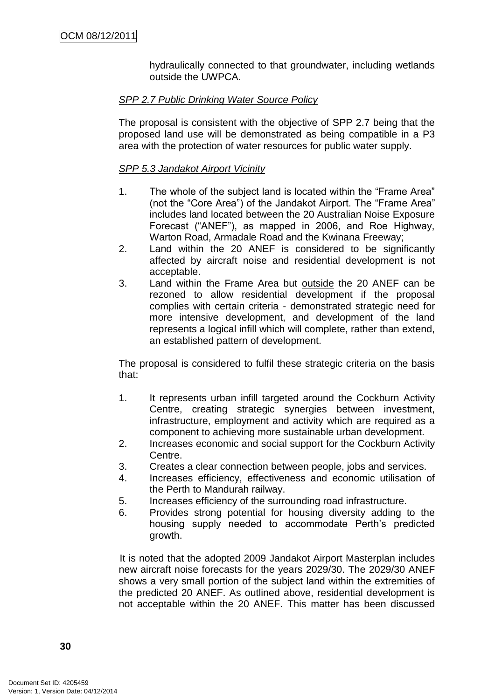hydraulically connected to that groundwater, including wetlands outside the UWPCA.

### *SPP 2.7 Public Drinking Water Source Policy*

The proposal is consistent with the objective of SPP 2.7 being that the proposed land use will be demonstrated as being compatible in a P3 area with the protection of water resources for public water supply.

### *SPP 5.3 Jandakot Airport Vicinity*

- 1. The whole of the subject land is located within the "Frame Area" (not the "Core Area") of the Jandakot Airport. The "Frame Area" includes land located between the 20 Australian Noise Exposure Forecast ("ANEF"), as mapped in 2006, and Roe Highway, Warton Road, Armadale Road and the Kwinana Freeway;
- 2. Land within the 20 ANEF is considered to be significantly affected by aircraft noise and residential development is not acceptable.
- 3. Land within the Frame Area but outside the 20 ANEF can be rezoned to allow residential development if the proposal complies with certain criteria - demonstrated strategic need for more intensive development, and development of the land represents a logical infill which will complete, rather than extend, an established pattern of development.

The proposal is considered to fulfil these strategic criteria on the basis that:

- 1. It represents urban infill targeted around the Cockburn Activity Centre, creating strategic synergies between investment, infrastructure, employment and activity which are required as a component to achieving more sustainable urban development.
- 2. Increases economic and social support for the Cockburn Activity Centre.
- 3. Creates a clear connection between people, jobs and services.
- 4. Increases efficiency, effectiveness and economic utilisation of the Perth to Mandurah railway.
- 5. Increases efficiency of the surrounding road infrastructure.
- 6. Provides strong potential for housing diversity adding to the housing supply needed to accommodate Perth's predicted growth.

It is noted that the adopted 2009 Jandakot Airport Masterplan includes new aircraft noise forecasts for the years 2029/30. The 2029/30 ANEF shows a very small portion of the subject land within the extremities of the predicted 20 ANEF. As outlined above, residential development is not acceptable within the 20 ANEF. This matter has been discussed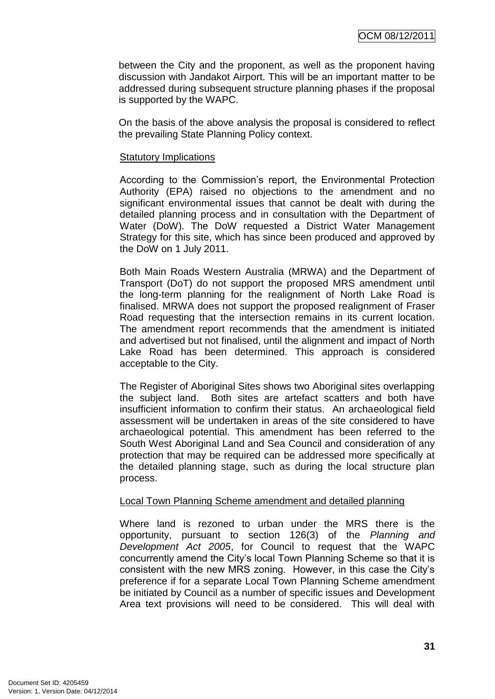between the City and the proponent, as well as the proponent having discussion with Jandakot Airport. This will be an important matter to be addressed during subsequent structure planning phases if the proposal is supported by the WAPC.

On the basis of the above analysis the proposal is considered to reflect the prevailing State Planning Policy context.

#### Statutory Implications

According to the Commission's report, the Environmental Protection Authority (EPA) raised no objections to the amendment and no significant environmental issues that cannot be dealt with during the detailed planning process and in consultation with the Department of Water (DoW). The DoW requested a District Water Management Strategy for this site, which has since been produced and approved by the DoW on 1 July 2011.

Both Main Roads Western Australia (MRWA) and the Department of Transport (DoT) do not support the proposed MRS amendment until the long-term planning for the realignment of North Lake Road is finalised. MRWA does not support the proposed realignment of Fraser Road requesting that the intersection remains in its current location. The amendment report recommends that the amendment is initiated and advertised but not finalised, until the alignment and impact of North Lake Road has been determined. This approach is considered acceptable to the City.

The Register of Aboriginal Sites shows two Aboriginal sites overlapping the subject land. Both sites are artefact scatters and both have insufficient information to confirm their status. An archaeological field assessment will be undertaken in areas of the site considered to have archaeological potential. This amendment has been referred to the South West Aboriginal Land and Sea Council and consideration of any protection that may be required can be addressed more specifically at the detailed planning stage, such as during the local structure plan process.

#### Local Town Planning Scheme amendment and detailed planning

Where land is rezoned to urban under the MRS there is the opportunity, pursuant to section 126(3) of the *Planning and Development Act 2005*, for Council to request that the WAPC concurrently amend the City's local Town Planning Scheme so that it is consistent with the new MRS zoning. However, in this case the City's preference if for a separate Local Town Planning Scheme amendment be initiated by Council as a number of specific issues and Development Area text provisions will need to be considered. This will deal with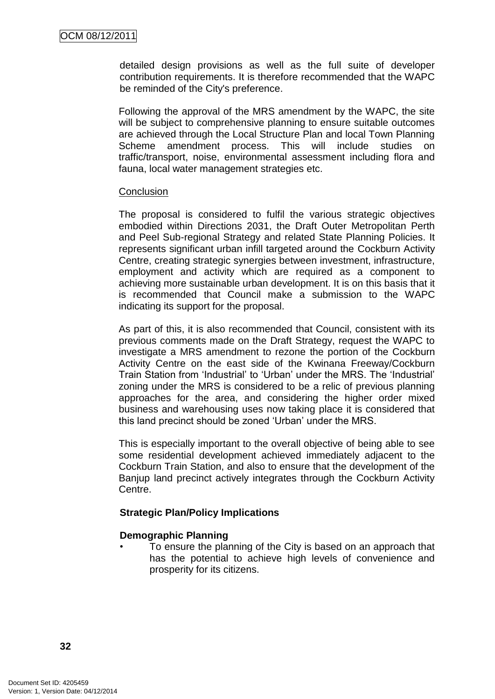detailed design provisions as well as the full suite of developer contribution requirements. It is therefore recommended that the WAPC be reminded of the City's preference.

Following the approval of the MRS amendment by the WAPC, the site will be subject to comprehensive planning to ensure suitable outcomes are achieved through the Local Structure Plan and local Town Planning Scheme amendment process. This will include studies on traffic/transport, noise, environmental assessment including flora and fauna, local water management strategies etc.

#### **Conclusion**

The proposal is considered to fulfil the various strategic objectives embodied within Directions 2031, the Draft Outer Metropolitan Perth and Peel Sub-regional Strategy and related State Planning Policies. It represents significant urban infill targeted around the Cockburn Activity Centre, creating strategic synergies between investment, infrastructure, employment and activity which are required as a component to achieving more sustainable urban development. It is on this basis that it is recommended that Council make a submission to the WAPC indicating its support for the proposal.

As part of this, it is also recommended that Council, consistent with its previous comments made on the Draft Strategy, request the WAPC to investigate a MRS amendment to rezone the portion of the Cockburn Activity Centre on the east side of the Kwinana Freeway/Cockburn Train Station from 'Industrial' to 'Urban' under the MRS. The 'Industrial' zoning under the MRS is considered to be a relic of previous planning approaches for the area, and considering the higher order mixed business and warehousing uses now taking place it is considered that this land precinct should be zoned 'Urban' under the MRS.

This is especially important to the overall objective of being able to see some residential development achieved immediately adjacent to the Cockburn Train Station, and also to ensure that the development of the Banjup land precinct actively integrates through the Cockburn Activity Centre.

#### **Strategic Plan/Policy Implications**

### **Demographic Planning**

• To ensure the planning of the City is based on an approach that has the potential to achieve high levels of convenience and prosperity for its citizens.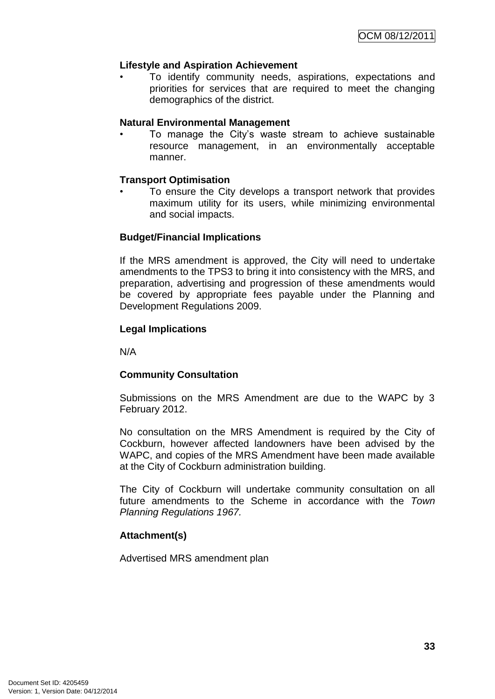# **Lifestyle and Aspiration Achievement**

• To identify community needs, aspirations, expectations and priorities for services that are required to meet the changing demographics of the district.

#### **Natural Environmental Management**

• To manage the City's waste stream to achieve sustainable resource management, in an environmentally acceptable manner.

#### **Transport Optimisation**

To ensure the City develops a transport network that provides maximum utility for its users, while minimizing environmental and social impacts.

#### **Budget/Financial Implications**

If the MRS amendment is approved, the City will need to undertake amendments to the TPS3 to bring it into consistency with the MRS, and preparation, advertising and progression of these amendments would be covered by appropriate fees payable under the Planning and Development Regulations 2009.

#### **Legal Implications**

N/A

# **Community Consultation**

Submissions on the MRS Amendment are due to the WAPC by 3 February 2012.

No consultation on the MRS Amendment is required by the City of Cockburn, however affected landowners have been advised by the WAPC, and copies of the MRS Amendment have been made available at the City of Cockburn administration building.

The City of Cockburn will undertake community consultation on all future amendments to the Scheme in accordance with the *Town Planning Regulations 1967.*

# **Attachment(s)**

Advertised MRS amendment plan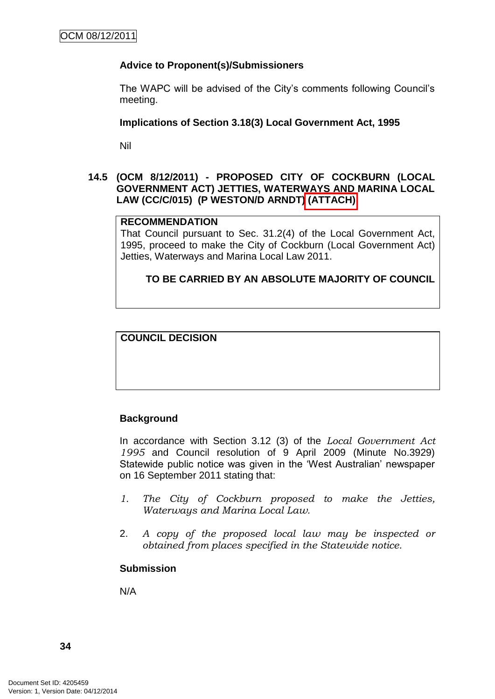## **Advice to Proponent(s)/Submissioners**

The WAPC will be advised of the City's comments following Council's meeting.

#### **Implications of Section 3.18(3) Local Government Act, 1995**

Nil

#### **14.5 (OCM 8/12/2011) - PROPOSED CITY OF COCKBURN (LOCAL GOVERNMENT ACT) JETTIES, WATERWAYS AND MARINA LOCAL LAW (CC/C/015) (P WESTON/D ARNDT) (ATTACH)**

#### **RECOMMENDATION**

That Council pursuant to Sec. 31.2(4) of the Local Government Act, 1995, proceed to make the City of Cockburn (Local Government Act) Jetties, Waterways and Marina Local Law 2011.

**TO BE CARRIED BY AN ABSOLUTE MAJORITY OF COUNCIL**

#### **COUNCIL DECISION**

#### **Background**

In accordance with Section 3.12 (3) of the *Local Government Act 1995* and Council resolution of 9 April 2009 (Minute No.3929) Statewide public notice was given in the 'West Australian' newspaper on 16 September 2011 stating that:

- *1. The City of Cockburn proposed to make the Jetties, Waterways and Marina Local Law.*
- 2. *A copy of the proposed local law may be inspected or obtained from places specified in the Statewide notice.*

#### **Submission**

N/A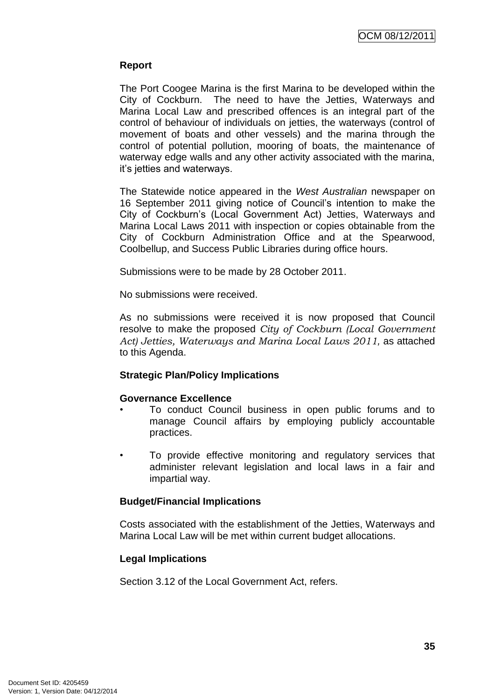## **Report**

The Port Coogee Marina is the first Marina to be developed within the City of Cockburn. The need to have the Jetties, Waterways and Marina Local Law and prescribed offences is an integral part of the control of behaviour of individuals on jetties, the waterways (control of movement of boats and other vessels) and the marina through the control of potential pollution, mooring of boats, the maintenance of waterway edge walls and any other activity associated with the marina, it's jetties and waterways.

The Statewide notice appeared in the *West Australian* newspaper on 16 September 2011 giving notice of Council's intention to make the City of Cockburn's (Local Government Act) Jetties, Waterways and Marina Local Laws 2011 with inspection or copies obtainable from the City of Cockburn Administration Office and at the Spearwood, Coolbellup, and Success Public Libraries during office hours.

Submissions were to be made by 28 October 2011.

No submissions were received.

As no submissions were received it is now proposed that Council resolve to make the proposed *City of Cockburn (Local Government Act) Jetties, Waterways and Marina Local Laws 2011,* as attached to this Agenda.

#### **Strategic Plan/Policy Implications**

#### **Governance Excellence**

- To conduct Council business in open public forums and to manage Council affairs by employing publicly accountable practices.
- To provide effective monitoring and regulatory services that administer relevant legislation and local laws in a fair and impartial way.

#### **Budget/Financial Implications**

Costs associated with the establishment of the Jetties, Waterways and Marina Local Law will be met within current budget allocations.

# **Legal Implications**

Section 3.12 of the Local Government Act, refers.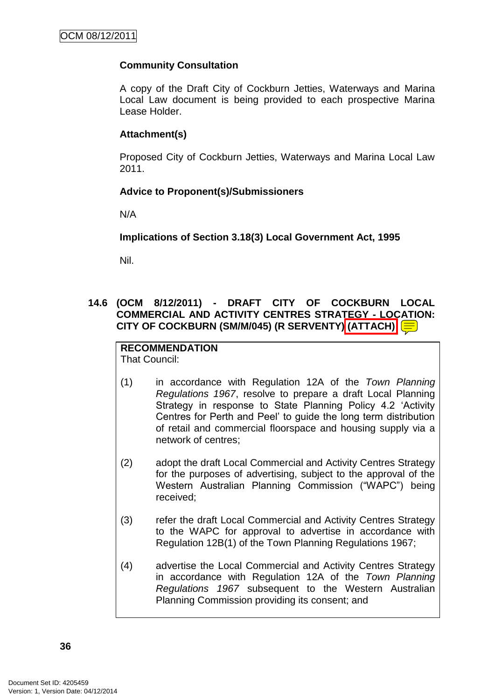# **Community Consultation**

A copy of the Draft City of Cockburn Jetties, Waterways and Marina Local Law document is being provided to each prospective Marina Lease Holder.

# **Attachment(s)**

Proposed City of Cockburn Jetties, Waterways and Marina Local Law 2011.

# **Advice to Proponent(s)/Submissioners**

N/A

# **Implications of Section 3.18(3) Local Government Act, 1995**

Nil.

# **14.6 (OCM 8/12/2011) - DRAFT CITY OF COCKBURN LOCAL COMMERCIAL AND ACTIVITY CENTRES STRATEGY - LOCATION: CITY OF COCKBURN (SM/M/045) (R SERVENTY) (ATTACH)**

#### **RECOMMENDATION** That Council:

- (1) in accordance with Regulation 12A of the *Town Planning Regulations 1967*, resolve to prepare a draft Local Planning Strategy in response to State Planning Policy 4.2 'Activity Centres for Perth and Peel' to guide the long term distribution of retail and commercial floorspace and housing supply via a network of centres;
- (2) adopt the draft Local Commercial and Activity Centres Strategy for the purposes of advertising, subject to the approval of the Western Australian Planning Commission ("WAPC") being received;
- (3) refer the draft Local Commercial and Activity Centres Strategy to the WAPC for approval to advertise in accordance with Regulation 12B(1) of the Town Planning Regulations 1967;
- (4) advertise the Local Commercial and Activity Centres Strategy in accordance with Regulation 12A of the *Town Planning Regulations 1967* subsequent to the Western Australian Planning Commission providing its consent; and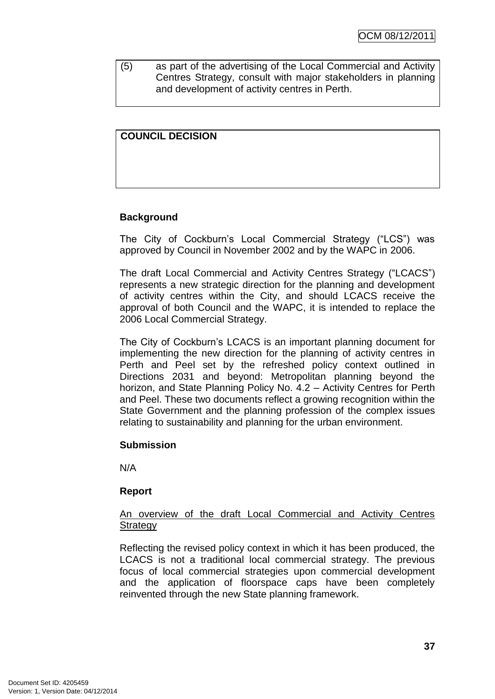(5) as part of the advertising of the Local Commercial and Activity Centres Strategy, consult with major stakeholders in planning and development of activity centres in Perth.

# **COUNCIL DECISION**

# **Background**

The City of Cockburn's Local Commercial Strategy ("LCS") was approved by Council in November 2002 and by the WAPC in 2006.

The draft Local Commercial and Activity Centres Strategy ("LCACS") represents a new strategic direction for the planning and development of activity centres within the City, and should LCACS receive the approval of both Council and the WAPC, it is intended to replace the 2006 Local Commercial Strategy.

The City of Cockburn's LCACS is an important planning document for implementing the new direction for the planning of activity centres in Perth and Peel set by the refreshed policy context outlined in Directions 2031 and beyond: Metropolitan planning beyond the horizon, and State Planning Policy No. 4.2 – Activity Centres for Perth and Peel. These two documents reflect a growing recognition within the State Government and the planning profession of the complex issues relating to sustainability and planning for the urban environment.

#### **Submission**

N/A

#### **Report**

#### An overview of the draft Local Commercial and Activity Centres **Strategy**

Reflecting the revised policy context in which it has been produced, the LCACS is not a traditional local commercial strategy. The previous focus of local commercial strategies upon commercial development and the application of floorspace caps have been completely reinvented through the new State planning framework.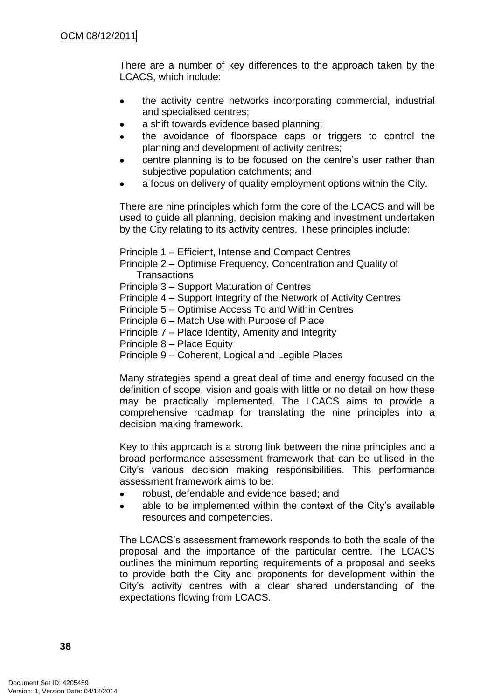There are a number of key differences to the approach taken by the LCACS, which include:

- the activity centre networks incorporating commercial, industrial  $\bullet$ and specialised centres;
- a shift towards evidence based planning;
- the avoidance of floorspace caps or triggers to control the  $\bullet$ planning and development of activity centres;
- centre planning is to be focused on the centre's user rather than subjective population catchments; and
- a focus on delivery of quality employment options within the City.

There are nine principles which form the core of the LCACS and will be used to guide all planning, decision making and investment undertaken by the City relating to its activity centres. These principles include:

Principle 1 – Efficient, Intense and Compact Centres

Principle 2 – Optimise Frequency, Concentration and Quality of **Transactions** 

- Principle 3 Support Maturation of Centres
- Principle 4 Support Integrity of the Network of Activity Centres
- Principle 5 Optimise Access To and Within Centres
- Principle 6 Match Use with Purpose of Place
- Principle 7 Place Identity, Amenity and Integrity
- Principle 8 Place Equity
- Principle 9 Coherent, Logical and Legible Places

Many strategies spend a great deal of time and energy focused on the definition of scope, vision and goals with little or no detail on how these may be practically implemented. The LCACS aims to provide a comprehensive roadmap for translating the nine principles into a decision making framework.

Key to this approach is a strong link between the nine principles and a broad performance assessment framework that can be utilised in the City's various decision making responsibilities. This performance assessment framework aims to be:

- robust, defendable and evidence based; and
- able to be implemented within the context of the City's available resources and competencies.

The LCACS's assessment framework responds to both the scale of the proposal and the importance of the particular centre. The LCACS outlines the minimum reporting requirements of a proposal and seeks to provide both the City and proponents for development within the City's activity centres with a clear shared understanding of the expectations flowing from LCACS.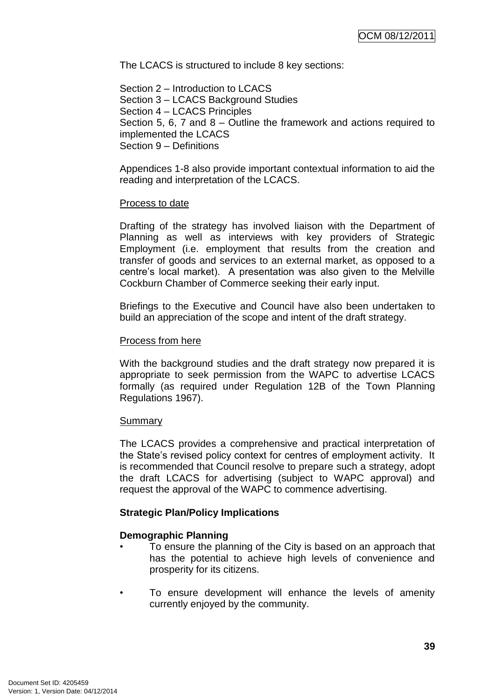The LCACS is structured to include 8 key sections:

Section 2 – Introduction to LCACS Section 3 – LCACS Background Studies Section 4 – LCACS Principles Section 5, 6, 7 and 8 – Outline the framework and actions required to implemented the LCACS Section 9 – Definitions

Appendices 1-8 also provide important contextual information to aid the reading and interpretation of the LCACS.

#### Process to date

Drafting of the strategy has involved liaison with the Department of Planning as well as interviews with key providers of Strategic Employment (i.e. employment that results from the creation and transfer of goods and services to an external market, as opposed to a centre's local market). A presentation was also given to the Melville Cockburn Chamber of Commerce seeking their early input.

Briefings to the Executive and Council have also been undertaken to build an appreciation of the scope and intent of the draft strategy.

#### Process from here

With the background studies and the draft strategy now prepared it is appropriate to seek permission from the WAPC to advertise LCACS formally (as required under Regulation 12B of the Town Planning Regulations 1967).

#### Summary

The LCACS provides a comprehensive and practical interpretation of the State's revised policy context for centres of employment activity. It is recommended that Council resolve to prepare such a strategy, adopt the draft LCACS for advertising (subject to WAPC approval) and request the approval of the WAPC to commence advertising.

#### **Strategic Plan/Policy Implications**

#### **Demographic Planning**

- To ensure the planning of the City is based on an approach that has the potential to achieve high levels of convenience and prosperity for its citizens.
- To ensure development will enhance the levels of amenity currently enjoyed by the community.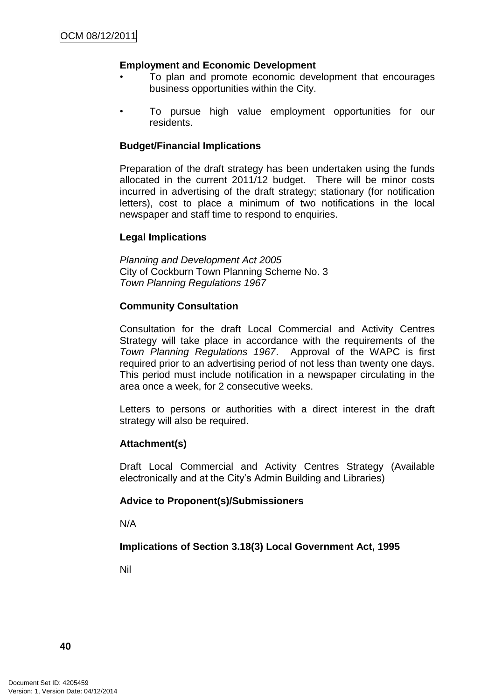# **Employment and Economic Development**

- To plan and promote economic development that encourages business opportunities within the City.
- To pursue high value employment opportunities for our residents.

#### **Budget/Financial Implications**

Preparation of the draft strategy has been undertaken using the funds allocated in the current 2011/12 budget. There will be minor costs incurred in advertising of the draft strategy; stationary (for notification letters), cost to place a minimum of two notifications in the local newspaper and staff time to respond to enquiries.

# **Legal Implications**

*Planning and Development Act 2005* City of Cockburn Town Planning Scheme No. 3 *Town Planning Regulations 1967*

#### **Community Consultation**

Consultation for the draft Local Commercial and Activity Centres Strategy will take place in accordance with the requirements of the *Town Planning Regulations 1967*. Approval of the WAPC is first required prior to an advertising period of not less than twenty one days. This period must include notification in a newspaper circulating in the area once a week, for 2 consecutive weeks.

Letters to persons or authorities with a direct interest in the draft strategy will also be required.

#### **Attachment(s)**

Draft Local Commercial and Activity Centres Strategy (Available electronically and at the City's Admin Building and Libraries)

#### **Advice to Proponent(s)/Submissioners**

N/A

# **Implications of Section 3.18(3) Local Government Act, 1995**

Nil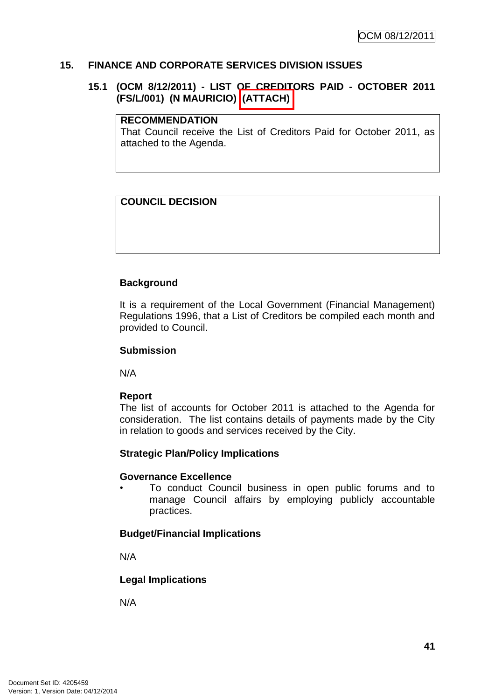#### **15. FINANCE AND CORPORATE SERVICES DIVISION ISSUES**

#### **15.1 (OCM 8/12/2011) - LIST OF CREDITORS PAID - OCTOBER 2011 (FS/L/001) (N MAURICIO) (ATTACH)**

#### **RECOMMENDATION**

That Council receive the List of Creditors Paid for October 2011, as attached to the Agenda.

#### **COUNCIL DECISION**

#### **Background**

It is a requirement of the Local Government (Financial Management) Regulations 1996, that a List of Creditors be compiled each month and provided to Council.

#### **Submission**

N/A

#### **Report**

The list of accounts for October 2011 is attached to the Agenda for consideration. The list contains details of payments made by the City in relation to goods and services received by the City.

#### **Strategic Plan/Policy Implications**

#### **Governance Excellence**

• To conduct Council business in open public forums and to manage Council affairs by employing publicly accountable practices.

#### **Budget/Financial Implications**

N/A

# **Legal Implications**

N/A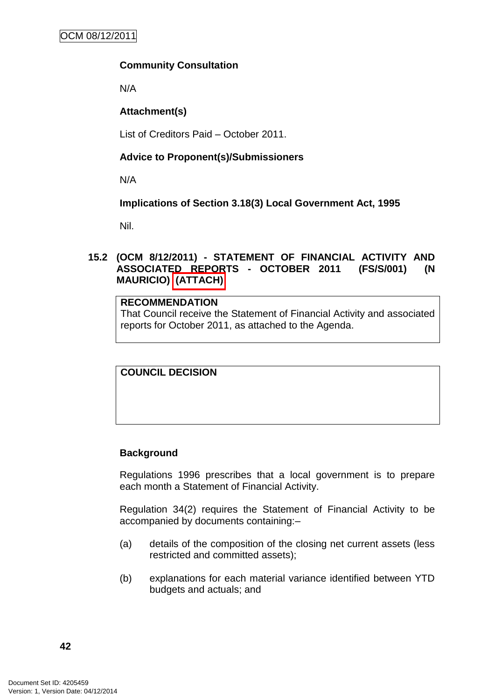# **Community Consultation**

N/A

# **Attachment(s)**

List of Creditors Paid – October 2011.

# **Advice to Proponent(s)/Submissioners**

N/A

# **Implications of Section 3.18(3) Local Government Act, 1995**

Nil.

# **15.2 (OCM 8/12/2011) - STATEMENT OF FINANCIAL ACTIVITY AND ASSOCIATED REPORTS - OCTOBER 2011 (FS/S/001) (N MAURICIO) (ATTACH)**

# **RECOMMENDATION**

That Council receive the Statement of Financial Activity and associated reports for October 2011, as attached to the Agenda.

## **COUNCIL DECISION**

# **Background**

Regulations 1996 prescribes that a local government is to prepare each month a Statement of Financial Activity.

Regulation 34(2) requires the Statement of Financial Activity to be accompanied by documents containing:–

- (a) details of the composition of the closing net current assets (less restricted and committed assets);
- (b) explanations for each material variance identified between YTD budgets and actuals; and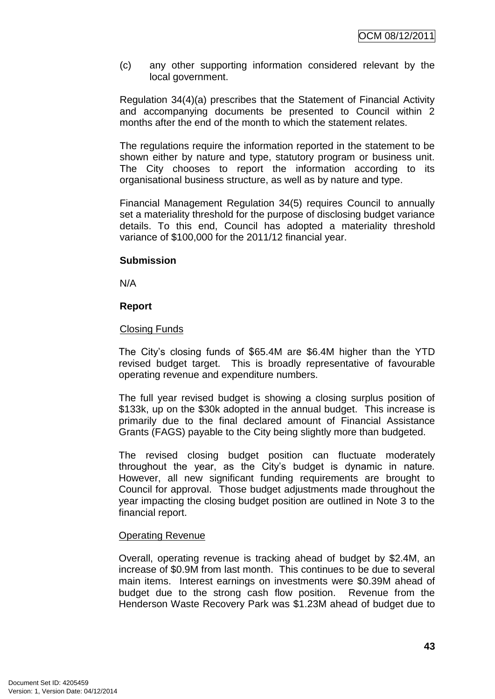(c) any other supporting information considered relevant by the local government.

Regulation 34(4)(a) prescribes that the Statement of Financial Activity and accompanying documents be presented to Council within 2 months after the end of the month to which the statement relates.

The regulations require the information reported in the statement to be shown either by nature and type, statutory program or business unit. The City chooses to report the information according to its organisational business structure, as well as by nature and type.

Financial Management Regulation 34(5) requires Council to annually set a materiality threshold for the purpose of disclosing budget variance details. To this end, Council has adopted a materiality threshold variance of \$100,000 for the 2011/12 financial year.

#### **Submission**

N/A

# **Report**

# Closing Funds

The City's closing funds of \$65.4M are \$6.4M higher than the YTD revised budget target. This is broadly representative of favourable operating revenue and expenditure numbers.

The full year revised budget is showing a closing surplus position of \$133k, up on the \$30k adopted in the annual budget. This increase is primarily due to the final declared amount of Financial Assistance Grants (FAGS) payable to the City being slightly more than budgeted.

The revised closing budget position can fluctuate moderately throughout the year, as the City's budget is dynamic in nature. However, all new significant funding requirements are brought to Council for approval. Those budget adjustments made throughout the year impacting the closing budget position are outlined in Note 3 to the financial report.

#### Operating Revenue

Overall, operating revenue is tracking ahead of budget by \$2.4M, an increase of \$0.9M from last month. This continues to be due to several main items. Interest earnings on investments were \$0.39M ahead of budget due to the strong cash flow position. Revenue from the Henderson Waste Recovery Park was \$1.23M ahead of budget due to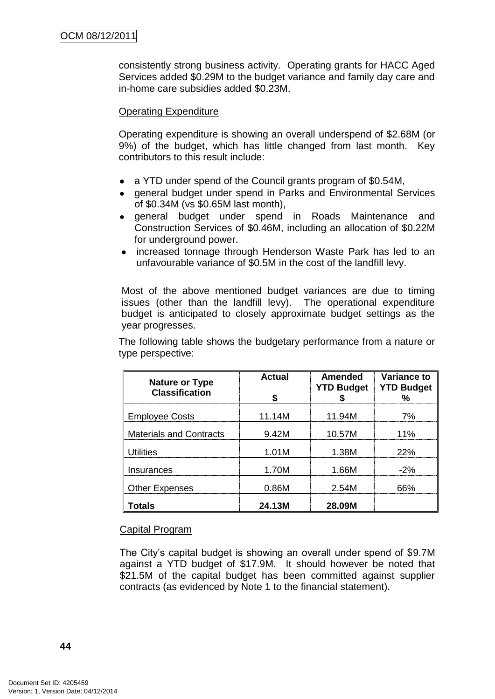consistently strong business activity. Operating grants for HACC Aged Services added \$0.29M to the budget variance and family day care and in-home care subsidies added \$0.23M.

#### Operating Expenditure

Operating expenditure is showing an overall underspend of \$2.68M (or 9%) of the budget, which has little changed from last month. Key contributors to this result include:

- a YTD under spend of the Council grants program of \$0.54M,
- general budget under spend in Parks and Environmental Services of \$0.34M (vs \$0.65M last month),
- general budget under spend in Roads Maintenance and Construction Services of \$0.46M, including an allocation of \$0.22M for underground power.
- increased tonnage through Henderson Waste Park has led to an unfavourable variance of \$0.5M in the cost of the landfill levy.

Most of the above mentioned budget variances are due to timing issues (other than the landfill levy). The operational expenditure budget is anticipated to closely approximate budget settings as the year progresses.

The following table shows the budgetary performance from a nature or type perspective:

| <b>Nature or Type</b><br><b>Classification</b> | <b>Actual</b> | Amended<br><b>YTD Budget</b> | <b>Variance to</b><br><b>YTD Budget</b> |  |
|------------------------------------------------|---------------|------------------------------|-----------------------------------------|--|
| <b>Employee Costs</b>                          | 11.14M        | 11.94M                       | 7%                                      |  |
| <b>Materials and Contracts</b>                 | 9.42M         | 10.57M                       | 11%                                     |  |
| Utilities                                      | 1.01M         | 1.38M                        | 22%                                     |  |
| Insurances                                     | 1.70M         | 1.66M                        | $-2%$                                   |  |
| <b>Other Expenses</b>                          | 0.86M         | 2.54M                        | አሜራ                                     |  |
| Totals                                         | 24.13M        | 28.09M                       |                                         |  |

#### Capital Program

The City's capital budget is showing an overall under spend of \$9.7M against a YTD budget of \$17.9M. It should however be noted that \$21.5M of the capital budget has been committed against supplier contracts (as evidenced by Note 1 to the financial statement).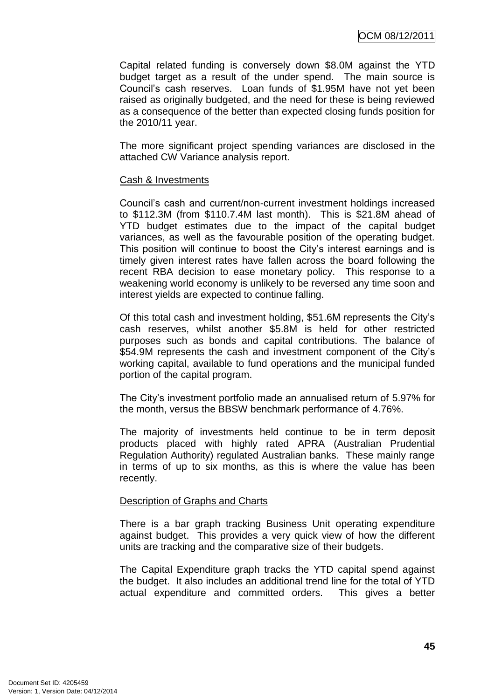OCM 08/12/2011

Capital related funding is conversely down \$8.0M against the YTD budget target as a result of the under spend. The main source is Council's cash reserves. Loan funds of \$1.95M have not yet been raised as originally budgeted, and the need for these is being reviewed as a consequence of the better than expected closing funds position for the 2010/11 year.

The more significant project spending variances are disclosed in the attached CW Variance analysis report.

#### Cash & Investments

Council's cash and current/non-current investment holdings increased to \$112.3M (from \$110.7.4M last month). This is \$21.8M ahead of YTD budget estimates due to the impact of the capital budget variances, as well as the favourable position of the operating budget. This position will continue to boost the City's interest earnings and is timely given interest rates have fallen across the board following the recent RBA decision to ease monetary policy. This response to a weakening world economy is unlikely to be reversed any time soon and interest yields are expected to continue falling.

Of this total cash and investment holding, \$51.6M represents the City's cash reserves, whilst another \$5.8M is held for other restricted purposes such as bonds and capital contributions. The balance of \$54.9M represents the cash and investment component of the City's working capital, available to fund operations and the municipal funded portion of the capital program.

The City's investment portfolio made an annualised return of 5.97% for the month, versus the BBSW benchmark performance of 4.76%.

The majority of investments held continue to be in term deposit products placed with highly rated APRA (Australian Prudential Regulation Authority) regulated Australian banks. These mainly range in terms of up to six months, as this is where the value has been recently.

#### Description of Graphs and Charts

There is a bar graph tracking Business Unit operating expenditure against budget. This provides a very quick view of how the different units are tracking and the comparative size of their budgets.

The Capital Expenditure graph tracks the YTD capital spend against the budget. It also includes an additional trend line for the total of YTD actual expenditure and committed orders. This gives a better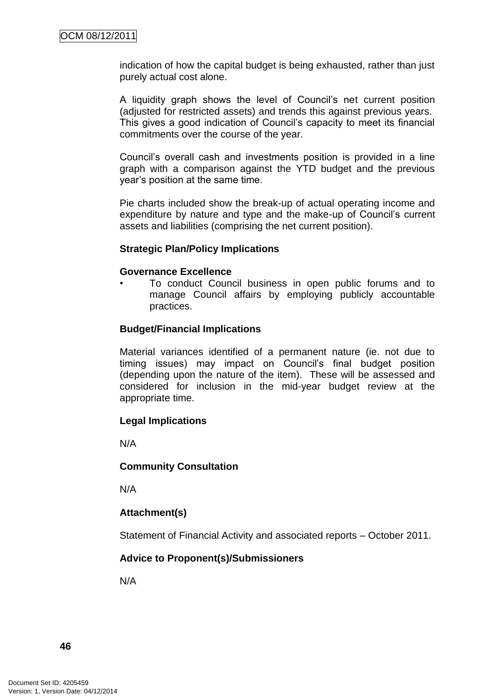indication of how the capital budget is being exhausted, rather than just purely actual cost alone.

A liquidity graph shows the level of Council's net current position (adjusted for restricted assets) and trends this against previous years. This gives a good indication of Council's capacity to meet its financial commitments over the course of the year.

Council's overall cash and investments position is provided in a line graph with a comparison against the YTD budget and the previous year's position at the same time.

Pie charts included show the break-up of actual operating income and expenditure by nature and type and the make-up of Council's current assets and liabilities (comprising the net current position).

#### **Strategic Plan/Policy Implications**

#### **Governance Excellence**

• To conduct Council business in open public forums and to manage Council affairs by employing publicly accountable practices.

#### **Budget/Financial Implications**

Material variances identified of a permanent nature (ie. not due to timing issues) may impact on Council's final budget position (depending upon the nature of the item). These will be assessed and considered for inclusion in the mid-year budget review at the appropriate time.

#### **Legal Implications**

N/A

#### **Community Consultation**

N/A

#### **Attachment(s)**

Statement of Financial Activity and associated reports – October 2011.

# **Advice to Proponent(s)/Submissioners**

N/A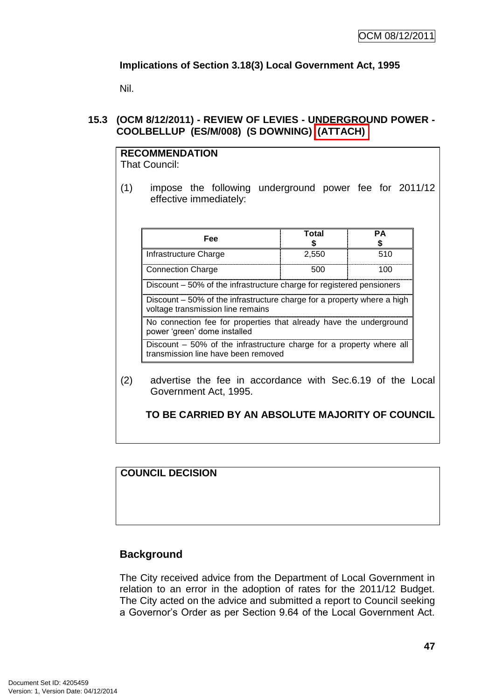# **Implications of Section 3.18(3) Local Government Act, 1995**

Nil.

# **15.3 (OCM 8/12/2011) - REVIEW OF LEVIES - UNDERGROUND POWER - COOLBELLUP (ES/M/008) (S DOWNING) (ATTACH)**

| <b>RECOMMENDATION</b> |  |
|-----------------------|--|
| <b>That Council:</b>  |  |

(1) impose the following underground power fee for 2011/12 effective immediately:

| Fee                                                                                                          | Total | PА  |
|--------------------------------------------------------------------------------------------------------------|-------|-----|
| Infrastructure Charge                                                                                        | 2,550 | 510 |
| <b>Connection Charge</b>                                                                                     | 500   | 100 |
| Discount – 50% of the infrastructure charge for registered pensioners                                        |       |     |
| Discount – 50% of the infrastructure charge for a property where a high<br>voltage transmission line remains |       |     |
| No connection fee for properties that already have the underground<br>power 'green' dome installed           |       |     |
| Discount – 50% of the infrastructure charge for a property where all<br>transmission line have been removed  |       |     |

(2) advertise the fee in accordance with Sec.6.19 of the Local Government Act, 1995.

**TO BE CARRIED BY AN ABSOLUTE MAJORITY OF COUNCIL**

**COUNCIL DECISION**

#### **Background**

The City received advice from the Department of Local Government in relation to an error in the adoption of rates for the 2011/12 Budget. The City acted on the advice and submitted a report to Council seeking a Governor's Order as per Section 9.64 of the Local Government Act.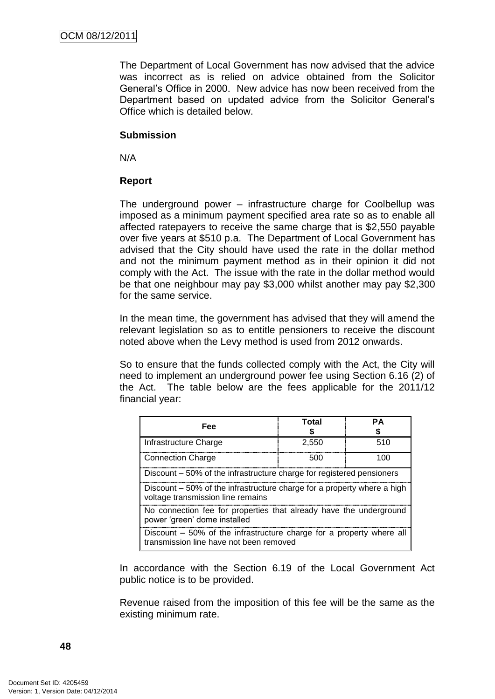The Department of Local Government has now advised that the advice was incorrect as is relied on advice obtained from the Solicitor General's Office in 2000. New advice has now been received from the Department based on updated advice from the Solicitor General's Office which is detailed below.

#### **Submission**

N/A

#### **Report**

The underground power – infrastructure charge for Coolbellup was imposed as a minimum payment specified area rate so as to enable all affected ratepayers to receive the same charge that is \$2,550 payable over five years at \$510 p.a. The Department of Local Government has advised that the City should have used the rate in the dollar method and not the minimum payment method as in their opinion it did not comply with the Act. The issue with the rate in the dollar method would be that one neighbour may pay \$3,000 whilst another may pay \$2,300 for the same service.

In the mean time, the government has advised that they will amend the relevant legislation so as to entitle pensioners to receive the discount noted above when the Levy method is used from 2012 onwards.

So to ensure that the funds collected comply with the Act, the City will need to implement an underground power fee using Section 6.16 (2) of the Act. The table below are the fees applicable for the 2011/12 financial year:

| Fee                                                                                                             | Total | PΔ  |
|-----------------------------------------------------------------------------------------------------------------|-------|-----|
| Infrastructure Charge                                                                                           | 2,550 | 510 |
| <b>Connection Charge</b>                                                                                        | 500   | 100 |
| Discount – 50% of the infrastructure charge for registered pensioners                                           |       |     |
| Discount – 50% of the infrastructure charge for a property where a high<br>voltage transmission line remains    |       |     |
| No connection fee for properties that already have the underground<br>power 'green' dome installed              |       |     |
| Discount – 50% of the infrastructure charge for a property where all<br>transmission line have not been removed |       |     |

In accordance with the Section 6.19 of the Local Government Act public notice is to be provided.

Revenue raised from the imposition of this fee will be the same as the existing minimum rate.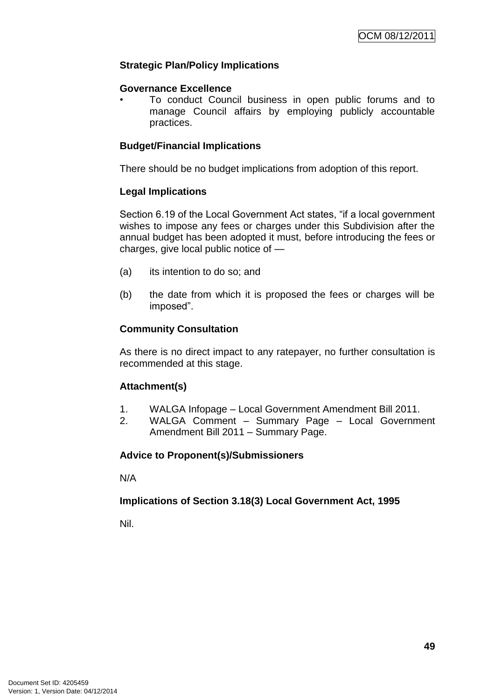# **Strategic Plan/Policy Implications**

#### **Governance Excellence**

• To conduct Council business in open public forums and to manage Council affairs by employing publicly accountable practices.

#### **Budget/Financial Implications**

There should be no budget implications from adoption of this report.

#### **Legal Implications**

Section 6.19 of the Local Government Act states, "if a local government wishes to impose any fees or charges under this Subdivision after the annual budget has been adopted it must, before introducing the fees or charges, give local public notice of —

- (a) its intention to do so; and
- (b) the date from which it is proposed the fees or charges will be imposed".

#### **Community Consultation**

As there is no direct impact to any ratepayer, no further consultation is recommended at this stage.

#### **Attachment(s)**

- 1. WALGA Infopage Local Government Amendment Bill 2011.
- 2. WALGA Comment Summary Page Local Government Amendment Bill 2011 – Summary Page.

#### **Advice to Proponent(s)/Submissioners**

N/A

#### **Implications of Section 3.18(3) Local Government Act, 1995**

Nil.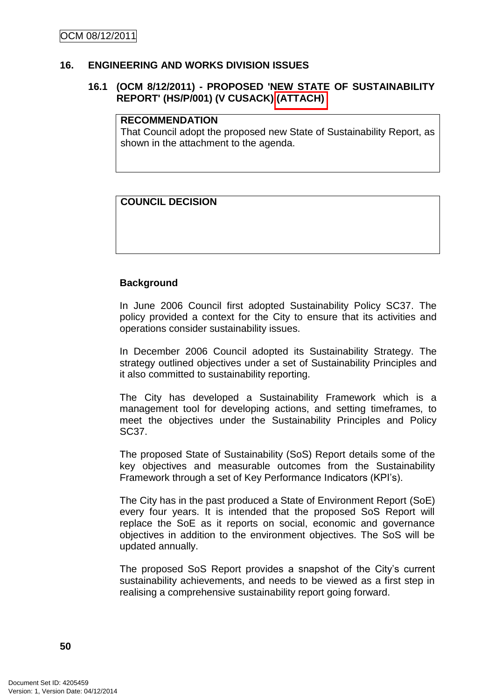#### **16. ENGINEERING AND WORKS DIVISION ISSUES**

#### **16.1 (OCM 8/12/2011) - PROPOSED 'NEW STATE OF SUSTAINABILITY REPORT' (HS/P/001) (V CUSACK) (ATTACH)**

#### **RECOMMENDATION**

That Council adopt the proposed new State of Sustainability Report, as shown in the attachment to the agenda.

# **COUNCIL DECISION**

#### **Background**

In June 2006 Council first adopted Sustainability Policy SC37. The policy provided a context for the City to ensure that its activities and operations consider sustainability issues.

In December 2006 Council adopted its Sustainability Strategy. The strategy outlined objectives under a set of Sustainability Principles and it also committed to sustainability reporting.

The City has developed a Sustainability Framework which is a management tool for developing actions, and setting timeframes, to meet the objectives under the Sustainability Principles and Policy SC37.

The proposed State of Sustainability (SoS) Report details some of the key objectives and measurable outcomes from the Sustainability Framework through a set of Key Performance Indicators (KPI's).

The City has in the past produced a State of Environment Report (SoE) every four years. It is intended that the proposed SoS Report will replace the SoE as it reports on social, economic and governance objectives in addition to the environment objectives. The SoS will be updated annually.

The proposed SoS Report provides a snapshot of the City's current sustainability achievements, and needs to be viewed as a first step in realising a comprehensive sustainability report going forward.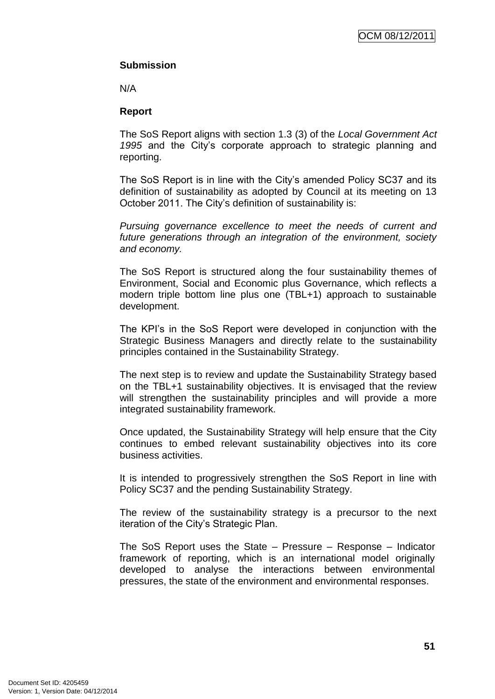# **Submission**

N/A

#### **Report**

The SoS Report aligns with section 1.3 (3) of the *Local Government Act 1995* and the City's corporate approach to strategic planning and reporting.

The SoS Report is in line with the City's amended Policy SC37 and its definition of sustainability as adopted by Council at its meeting on 13 October 2011. The City's definition of sustainability is:

*Pursuing governance excellence to meet the needs of current and future generations through an integration of the environment, society and economy.*

The SoS Report is structured along the four sustainability themes of Environment, Social and Economic plus Governance, which reflects a modern triple bottom line plus one (TBL+1) approach to sustainable development.

The KPI's in the SoS Report were developed in conjunction with the Strategic Business Managers and directly relate to the sustainability principles contained in the Sustainability Strategy.

The next step is to review and update the Sustainability Strategy based on the TBL+1 sustainability objectives. It is envisaged that the review will strengthen the sustainability principles and will provide a more integrated sustainability framework.

Once updated, the Sustainability Strategy will help ensure that the City continues to embed relevant sustainability objectives into its core business activities.

It is intended to progressively strengthen the SoS Report in line with Policy SC37 and the pending Sustainability Strategy.

The review of the sustainability strategy is a precursor to the next iteration of the City's Strategic Plan.

The SoS Report uses the State – Pressure – Response – Indicator framework of reporting, which is an international model originally developed to analyse the interactions between environmental pressures, the state of the environment and environmental responses.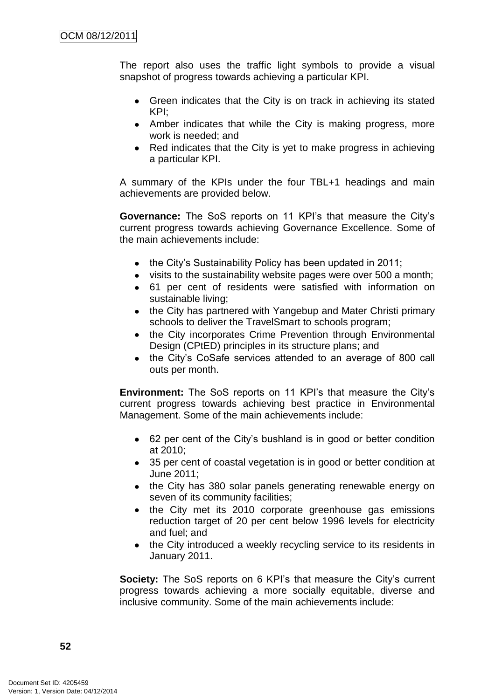The report also uses the traffic light symbols to provide a visual snapshot of progress towards achieving a particular KPI.

- Green indicates that the City is on track in achieving its stated  $\bullet$ KPI;
- Amber indicates that while the City is making progress, more work is needed; and
- Red indicates that the City is yet to make progress in achieving a particular KPI.

A summary of the KPIs under the four TBL+1 headings and main achievements are provided below.

**Governance:** The SoS reports on 11 KPI's that measure the City's current progress towards achieving Governance Excellence. Some of the main achievements include:

- the City's Sustainability Policy has been updated in 2011;
- visits to the sustainability website pages were over 500 a month;
- 61 per cent of residents were satisfied with information on sustainable living;
- the City has partnered with Yangebup and Mater Christi primary schools to deliver the TravelSmart to schools program;
- the City incorporates Crime Prevention through Environmental Design (CPtED) principles in its structure plans; and
- the City's CoSafe services attended to an average of 800 call outs per month.

**Environment:** The SoS reports on 11 KPI's that measure the City's current progress towards achieving best practice in Environmental Management. Some of the main achievements include:

- 62 per cent of the City's bushland is in good or better condition at 2010;
- 35 per cent of coastal vegetation is in good or better condition at June 2011;
- the City has 380 solar panels generating renewable energy on seven of its community facilities;
- the City met its 2010 corporate greenhouse gas emissions  $\bullet$ reduction target of 20 per cent below 1996 levels for electricity and fuel; and
- $\bullet$ the City introduced a weekly recycling service to its residents in January 2011.

**Society:** The SoS reports on 6 KPI's that measure the City's current progress towards achieving a more socially equitable, diverse and inclusive community. Some of the main achievements include: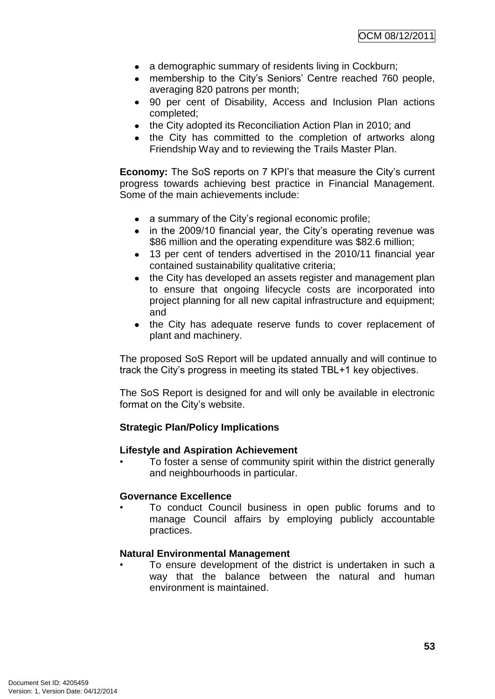- a demographic summary of residents living in Cockburn;
- membership to the City's Seniors' Centre reached 760 people, averaging 820 patrons per month;
- 90 per cent of Disability, Access and Inclusion Plan actions completed;
- the City adopted its Reconciliation Action Plan in 2010; and
- the City has committed to the completion of artworks along Friendship Way and to reviewing the Trails Master Plan.

**Economy:** The SoS reports on 7 KPI's that measure the City's current progress towards achieving best practice in Financial Management. Some of the main achievements include:

- a summary of the City's regional economic profile;
- in the 2009/10 financial year, the City's operating revenue was \$86 million and the operating expenditure was \$82.6 million;
- 13 per cent of tenders advertised in the 2010/11 financial year contained sustainability qualitative criteria;
- the City has developed an assets register and management plan to ensure that ongoing lifecycle costs are incorporated into project planning for all new capital infrastructure and equipment; and
- the City has adequate reserve funds to cover replacement of  $\bullet$ plant and machinery.

The proposed SoS Report will be updated annually and will continue to track the City's progress in meeting its stated TBL+1 key objectives.

The SoS Report is designed for and will only be available in electronic format on the City's website.

# **Strategic Plan/Policy Implications**

#### **Lifestyle and Aspiration Achievement**

• To foster a sense of community spirit within the district generally and neighbourhoods in particular.

#### **Governance Excellence**

• To conduct Council business in open public forums and to manage Council affairs by employing publicly accountable practices.

#### **Natural Environmental Management**

To ensure development of the district is undertaken in such a way that the balance between the natural and human environment is maintained.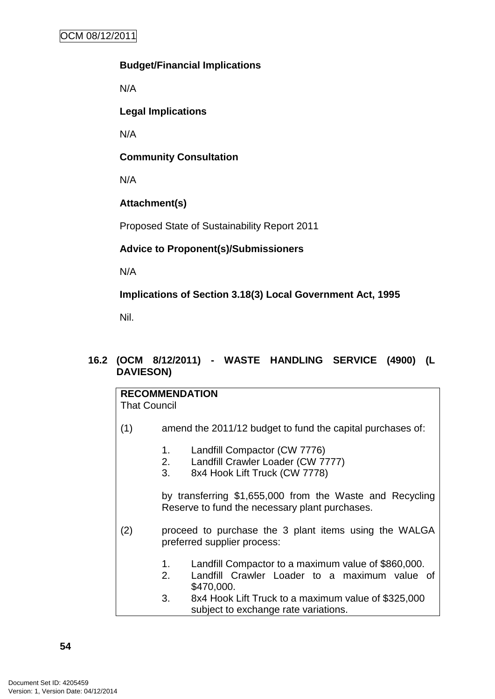# **Budget/Financial Implications**

N/A

**Legal Implications**

N/A

**Community Consultation**

N/A

# **Attachment(s)**

Proposed State of Sustainability Report 2011

# **Advice to Proponent(s)/Submissioners**

N/A

**Implications of Section 3.18(3) Local Government Act, 1995**

Nil.

# **16.2 (OCM 8/12/2011) - WASTE HANDLING SERVICE (4900) (L DAVIESON)**

| <b>RECOMMENDATION</b><br><b>That Council</b> |                                                                                      |                                                                                                                    |  |
|----------------------------------------------|--------------------------------------------------------------------------------------|--------------------------------------------------------------------------------------------------------------------|--|
| (1)                                          | amend the 2011/12 budget to fund the capital purchases of:                           |                                                                                                                    |  |
|                                              | 1.<br>2.<br>3.                                                                       | Landfill Compactor (CW 7776)<br>Landfill Crawler Loader (CW 7777)<br>8x4 Hook Lift Truck (CW 7778)                 |  |
|                                              |                                                                                      | by transferring \$1,655,000 from the Waste and Recycling<br>Reserve to fund the necessary plant purchases.         |  |
| (2)                                          | proceed to purchase the 3 plant items using the WALGA<br>preferred supplier process: |                                                                                                                    |  |
|                                              | 1.<br>2.                                                                             | Landfill Compactor to a maximum value of \$860,000.<br>Landfill Crawler Loader to a maximum value of<br>\$470,000. |  |
|                                              | 3.                                                                                   | 8x4 Hook Lift Truck to a maximum value of \$325,000<br>subject to exchange rate variations.                        |  |
|                                              |                                                                                      |                                                                                                                    |  |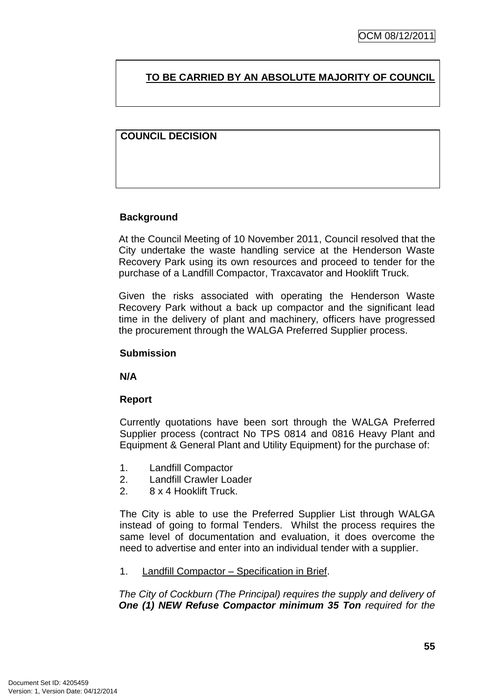# **TO BE CARRIED BY AN ABSOLUTE MAJORITY OF COUNCIL**

# **COUNCIL DECISION**

# **Background**

At the Council Meeting of 10 November 2011, Council resolved that the City undertake the waste handling service at the Henderson Waste Recovery Park using its own resources and proceed to tender for the purchase of a Landfill Compactor, Traxcavator and Hooklift Truck.

Given the risks associated with operating the Henderson Waste Recovery Park without a back up compactor and the significant lead time in the delivery of plant and machinery, officers have progressed the procurement through the WALGA Preferred Supplier process.

#### **Submission**

**N/A**

#### **Report**

Currently quotations have been sort through the WALGA Preferred Supplier process (contract No TPS 0814 and 0816 Heavy Plant and Equipment & General Plant and Utility Equipment) for the purchase of:

- 1. Landfill Compactor
- 2. Landfill Crawler Loader
- 2. 8 x 4 Hooklift Truck.

The City is able to use the Preferred Supplier List through WALGA instead of going to formal Tenders. Whilst the process requires the same level of documentation and evaluation, it does overcome the need to advertise and enter into an individual tender with a supplier.

1. Landfill Compactor – Specification in Brief.

*The City of Cockburn (The Principal) requires the supply and delivery of One (1) NEW Refuse Compactor minimum 35 Ton required for the*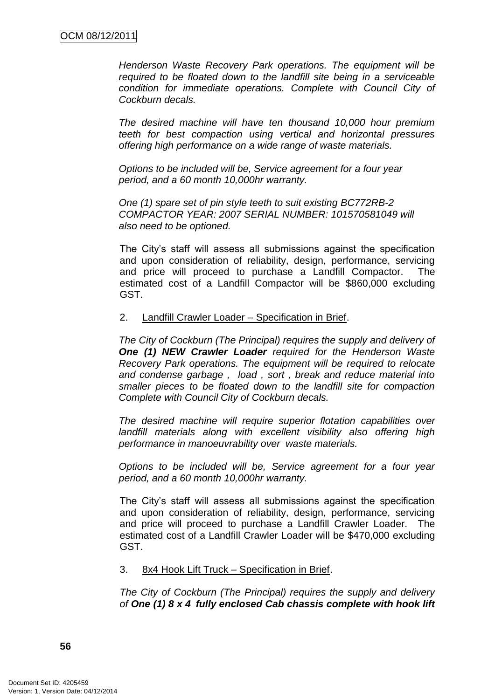*Henderson Waste Recovery Park operations. The equipment will be required to be floated down to the landfill site being in a serviceable condition for immediate operations. Complete with Council City of Cockburn decals.*

*The desired machine will have ten thousand 10,000 hour premium teeth for best compaction using vertical and horizontal pressures offering high performance on a wide range of waste materials.*

*Options to be included will be, Service agreement for a four year period, and a 60 month 10,000hr warranty.*

*One (1) spare set of pin style teeth to suit existing BC772RB-2 COMPACTOR YEAR: 2007 SERIAL NUMBER: 101570581049 will also need to be optioned.*

The City's staff will assess all submissions against the specification and upon consideration of reliability, design, performance, servicing and price will proceed to purchase a Landfill Compactor. The estimated cost of a Landfill Compactor will be \$860,000 excluding GST.

#### 2. Landfill Crawler Loader – Specification in Brief.

*The City of Cockburn (The Principal) requires the supply and delivery of One (1) NEW Crawler Loader required for the Henderson Waste Recovery Park operations. The equipment will be required to relocate and condense garbage , load , sort , break and reduce material into smaller pieces to be floated down to the landfill site for compaction Complete with Council City of Cockburn decals.*

*The desired machine will require superior flotation capabilities over landfill materials along with excellent visibility also offering high performance in manoeuvrability over waste materials.*

*Options to be included will be, Service agreement for a four year period, and a 60 month 10,000hr warranty.*

The City's staff will assess all submissions against the specification and upon consideration of reliability, design, performance, servicing and price will proceed to purchase a Landfill Crawler Loader. The estimated cost of a Landfill Crawler Loader will be \$470,000 excluding GST.

#### 3. 8x4 Hook Lift Truck – Specification in Brief.

*The City of Cockburn (The Principal) requires the supply and delivery of One (1) 8 x 4 fully enclosed Cab chassis complete with hook lift*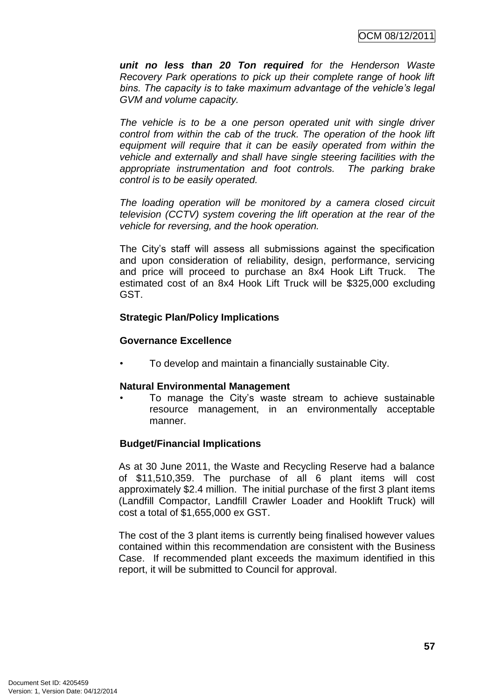*unit no less than 20 Ton required for the Henderson Waste Recovery Park operations to pick up their complete range of hook lift bins. The capacity is to take maximum advantage of the vehicle"s legal GVM and volume capacity.*

*The vehicle is to be a one person operated unit with single driver control from within the cab of the truck. The operation of the hook lift equipment will require that it can be easily operated from within the vehicle and externally and shall have single steering facilities with the appropriate instrumentation and foot controls. The parking brake control is to be easily operated.*

*The loading operation will be monitored by a camera closed circuit television (CCTV) system covering the lift operation at the rear of the vehicle for reversing, and the hook operation.* 

The City's staff will assess all submissions against the specification and upon consideration of reliability, design, performance, servicing and price will proceed to purchase an 8x4 Hook Lift Truck. The estimated cost of an 8x4 Hook Lift Truck will be \$325,000 excluding GST.

# **Strategic Plan/Policy Implications**

#### **Governance Excellence**

• To develop and maintain a financially sustainable City.

#### **Natural Environmental Management**

• To manage the City's waste stream to achieve sustainable resource management, in an environmentally acceptable manner.

#### **Budget/Financial Implications**

As at 30 June 2011, the Waste and Recycling Reserve had a balance of \$11,510,359. The purchase of all 6 plant items will cost approximately \$2.4 million. The initial purchase of the first 3 plant items (Landfill Compactor, Landfill Crawler Loader and Hooklift Truck) will cost a total of \$1,655,000 ex GST.

The cost of the 3 plant items is currently being finalised however values contained within this recommendation are consistent with the Business Case. If recommended plant exceeds the maximum identified in this report, it will be submitted to Council for approval.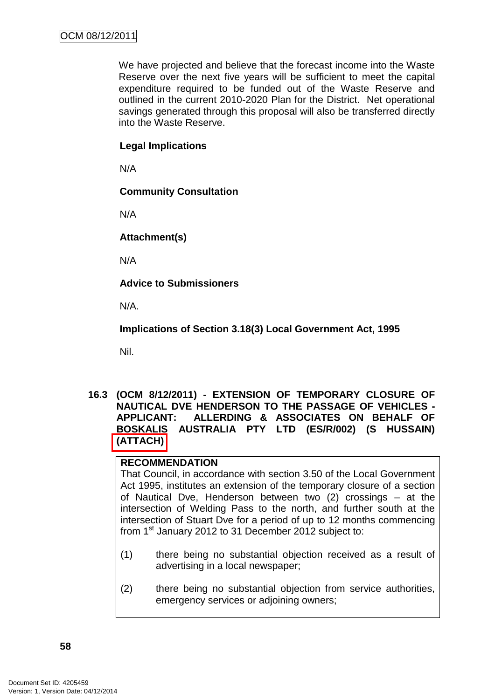We have projected and believe that the forecast income into the Waste Reserve over the next five years will be sufficient to meet the capital expenditure required to be funded out of the Waste Reserve and outlined in the current 2010-2020 Plan for the District. Net operational savings generated through this proposal will also be transferred directly into the Waste Reserve.

#### **Legal Implications**

N/A

#### **Community Consultation**

N/A

**Attachment(s)**

N/A

**Advice to Submissioners**

N/A.

**Implications of Section 3.18(3) Local Government Act, 1995**

Nil.

**16.3 (OCM 8/12/2011) - EXTENSION OF TEMPORARY CLOSURE OF NAUTICAL DVE HENDERSON TO THE PASSAGE OF VEHICLES - APPLICANT: ALLERDING & ASSOCIATES ON BEHALF OF BOSKALIS AUSTRALIA PTY LTD (ES/R/002) (S HUSSAIN) (ATTACH)**

# **RECOMMENDATION**

That Council, in accordance with section 3.50 of the Local Government Act 1995, institutes an extension of the temporary closure of a section of Nautical Dve, Henderson between two (2) crossings – at the intersection of Welding Pass to the north, and further south at the intersection of Stuart Dve for a period of up to 12 months commencing from 1<sup>st</sup> January 2012 to 31 December 2012 subject to:

- (1) there being no substantial objection received as a result of advertising in a local newspaper;
- (2) there being no substantial objection from service authorities, emergency services or adjoining owners;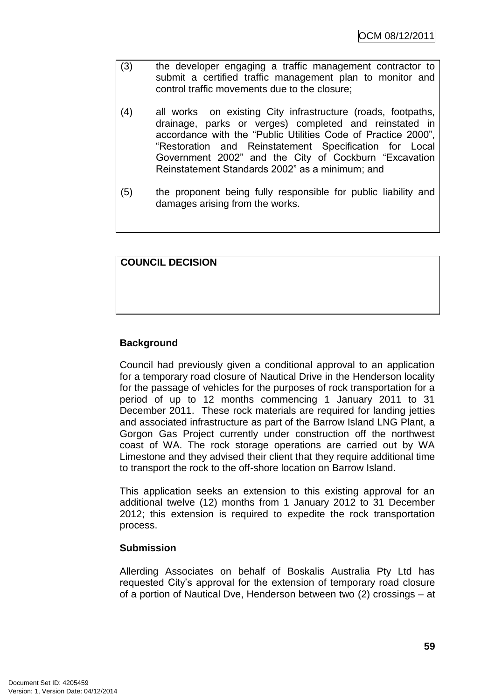- (3) the developer engaging a traffic management contractor to submit a certified traffic management plan to monitor and control traffic movements due to the closure;
- (4) all works on existing City infrastructure (roads, footpaths, drainage, parks or verges) completed and reinstated in accordance with the "Public Utilities Code of Practice 2000". ―Restoration and Reinstatement Specification for Local Government 2002" and the City of Cockburn "Excavation Reinstatement Standards 2002‖ as a minimum; and
- (5) the proponent being fully responsible for public liability and damages arising from the works.

# **COUNCIL DECISION**

# **Background**

Council had previously given a conditional approval to an application for a temporary road closure of Nautical Drive in the Henderson locality for the passage of vehicles for the purposes of rock transportation for a period of up to 12 months commencing 1 January 2011 to 31 December 2011. These rock materials are required for landing jetties and associated infrastructure as part of the Barrow Island LNG Plant, a Gorgon Gas Project currently under construction off the northwest coast of WA. The rock storage operations are carried out by WA Limestone and they advised their client that they require additional time to transport the rock to the off-shore location on Barrow Island.

This application seeks an extension to this existing approval for an additional twelve (12) months from 1 January 2012 to 31 December 2012; this extension is required to expedite the rock transportation process.

#### **Submission**

Allerding Associates on behalf of Boskalis Australia Pty Ltd has requested City's approval for the extension of temporary road closure of a portion of Nautical Dve, Henderson between two (2) crossings – at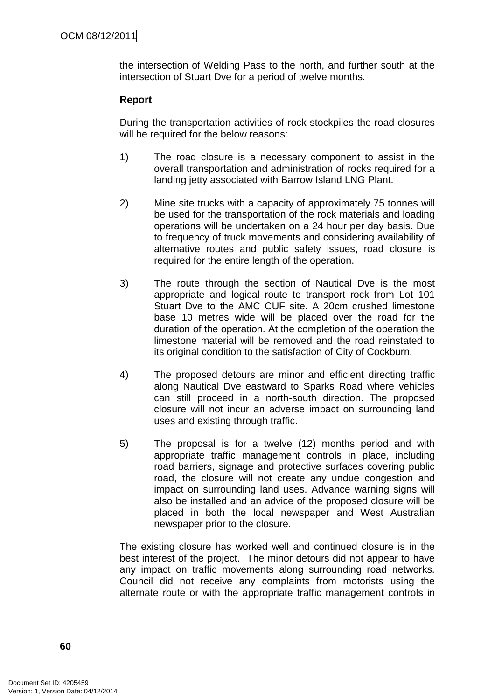the intersection of Welding Pass to the north, and further south at the intersection of Stuart Dve for a period of twelve months.

# **Report**

During the transportation activities of rock stockpiles the road closures will be required for the below reasons:

- 1) The road closure is a necessary component to assist in the overall transportation and administration of rocks required for a landing jetty associated with Barrow Island LNG Plant.
- 2) Mine site trucks with a capacity of approximately 75 tonnes will be used for the transportation of the rock materials and loading operations will be undertaken on a 24 hour per day basis. Due to frequency of truck movements and considering availability of alternative routes and public safety issues, road closure is required for the entire length of the operation.
- 3) The route through the section of Nautical Dve is the most appropriate and logical route to transport rock from Lot 101 Stuart Dve to the AMC CUF site. A 20cm crushed limestone base 10 metres wide will be placed over the road for the duration of the operation. At the completion of the operation the limestone material will be removed and the road reinstated to its original condition to the satisfaction of City of Cockburn.
- 4) The proposed detours are minor and efficient directing traffic along Nautical Dve eastward to Sparks Road where vehicles can still proceed in a north-south direction. The proposed closure will not incur an adverse impact on surrounding land uses and existing through traffic.
- 5) The proposal is for a twelve (12) months period and with appropriate traffic management controls in place, including road barriers, signage and protective surfaces covering public road, the closure will not create any undue congestion and impact on surrounding land uses. Advance warning signs will also be installed and an advice of the proposed closure will be placed in both the local newspaper and West Australian newspaper prior to the closure.

The existing closure has worked well and continued closure is in the best interest of the project. The minor detours did not appear to have any impact on traffic movements along surrounding road networks. Council did not receive any complaints from motorists using the alternate route or with the appropriate traffic management controls in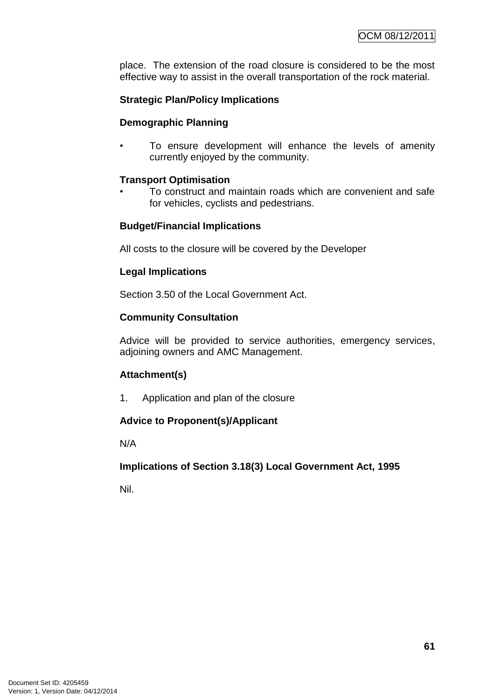place. The extension of the road closure is considered to be the most effective way to assist in the overall transportation of the rock material.

# **Strategic Plan/Policy Implications**

# **Demographic Planning**

To ensure development will enhance the levels of amenity currently enjoyed by the community.

# **Transport Optimisation**

• To construct and maintain roads which are convenient and safe for vehicles, cyclists and pedestrians.

# **Budget/Financial Implications**

All costs to the closure will be covered by the Developer

# **Legal Implications**

Section 3.50 of the Local Government Act.

# **Community Consultation**

Advice will be provided to service authorities, emergency services, adjoining owners and AMC Management.

# **Attachment(s)**

1. Application and plan of the closure

# **Advice to Proponent(s)/Applicant**

N/A

# **Implications of Section 3.18(3) Local Government Act, 1995**

Nil.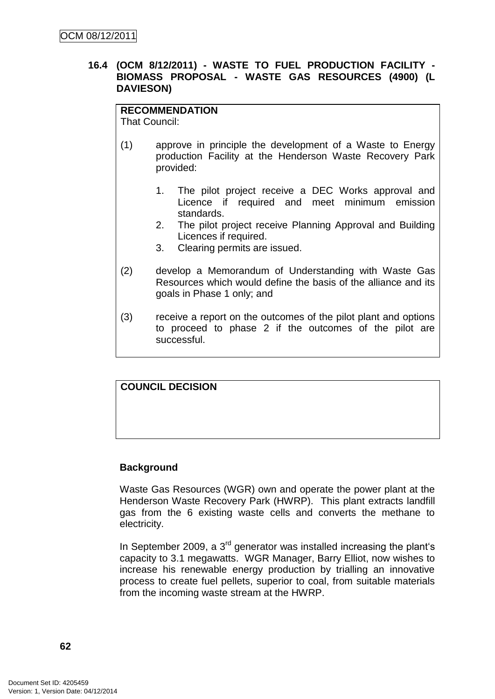#### **16.4 (OCM 8/12/2011) - WASTE TO FUEL PRODUCTION FACILITY - BIOMASS PROPOSAL - WASTE GAS RESOURCES (4900) (L DAVIESON)**

# **RECOMMENDATION**

That Council:

- (1) approve in principle the development of a Waste to Energy production Facility at the Henderson Waste Recovery Park provided:
	- 1. The pilot project receive a DEC Works approval and Licence if required and meet minimum emission standards.
	- 2. The pilot project receive Planning Approval and Building Licences if required.
	- 3. Clearing permits are issued.
- (2) develop a Memorandum of Understanding with Waste Gas Resources which would define the basis of the alliance and its goals in Phase 1 only; and
- (3) receive a report on the outcomes of the pilot plant and options to proceed to phase 2 if the outcomes of the pilot are successful.

# **COUNCIL DECISION**

#### **Background**

Waste Gas Resources (WGR) own and operate the power plant at the Henderson Waste Recovery Park (HWRP). This plant extracts landfill gas from the 6 existing waste cells and converts the methane to electricity.

In September 2009, a  $3<sup>rd</sup>$  generator was installed increasing the plant's capacity to 3.1 megawatts. WGR Manager, Barry Elliot, now wishes to increase his renewable energy production by trialling an innovative process to create fuel pellets, superior to coal, from suitable materials from the incoming waste stream at the HWRP.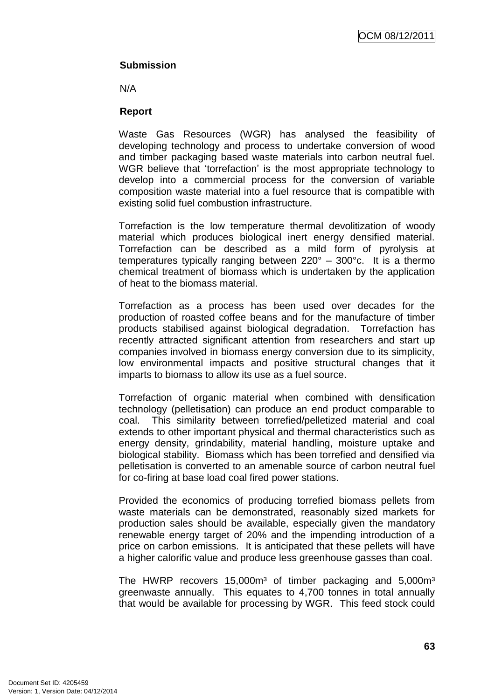OCM 08/12/2011

## **Submission**

N/A

#### **Report**

Waste Gas Resources (WGR) has analysed the feasibility of developing technology and process to undertake conversion of wood and timber packaging based waste materials into carbon neutral fuel. WGR believe that 'torrefaction' is the most appropriate technology to develop into a commercial process for the conversion of variable composition waste material into a fuel resource that is compatible with existing solid fuel combustion infrastructure.

Torrefaction is the low temperature thermal devolitization of woody material which produces biological inert energy densified material. Torrefaction can be described as a mild form of pyrolysis at temperatures typically ranging between 220° – 300°c. It is a thermo chemical treatment of biomass which is undertaken by the application of heat to the biomass material.

Torrefaction as a process has been used over decades for the production of roasted coffee beans and for the manufacture of timber products stabilised against biological degradation. Torrefaction has recently attracted significant attention from researchers and start up companies involved in biomass energy conversion due to its simplicity, low environmental impacts and positive structural changes that it imparts to biomass to allow its use as a fuel source.

Torrefaction of organic material when combined with densification technology (pelletisation) can produce an end product comparable to coal. This similarity between torrefied/pelletized material and coal extends to other important physical and thermal characteristics such as energy density, grindability, material handling, moisture uptake and biological stability. Biomass which has been torrefied and densified via pelletisation is converted to an amenable source of carbon neutral fuel for co-firing at base load coal fired power stations.

Provided the economics of producing torrefied biomass pellets from waste materials can be demonstrated, reasonably sized markets for production sales should be available, especially given the mandatory renewable energy target of 20% and the impending introduction of a price on carbon emissions. It is anticipated that these pellets will have a higher calorific value and produce less greenhouse gasses than coal.

The HWRP recovers 15,000m<sup>3</sup> of timber packaging and 5,000m<sup>3</sup> greenwaste annually. This equates to 4,700 tonnes in total annually that would be available for processing by WGR. This feed stock could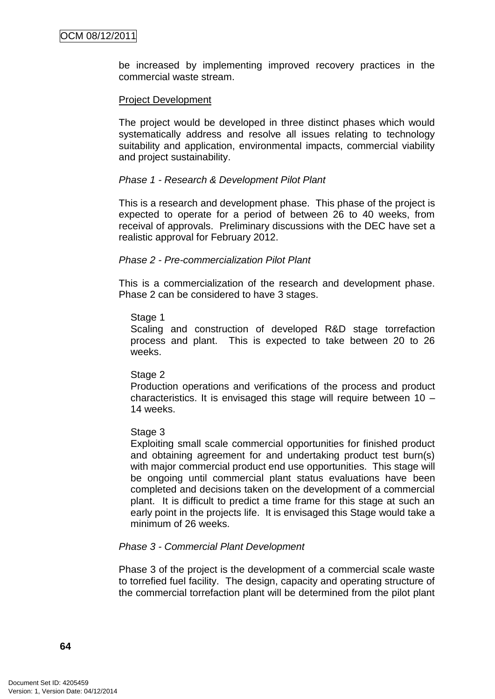be increased by implementing improved recovery practices in the commercial waste stream.

#### Project Development

The project would be developed in three distinct phases which would systematically address and resolve all issues relating to technology suitability and application, environmental impacts, commercial viability and project sustainability.

#### *Phase 1 - Research & Development Pilot Plant*

This is a research and development phase. This phase of the project is expected to operate for a period of between 26 to 40 weeks, from receival of approvals. Preliminary discussions with the DEC have set a realistic approval for February 2012.

#### *Phase 2 - Pre-commercialization Pilot Plant*

This is a commercialization of the research and development phase. Phase 2 can be considered to have 3 stages.

#### Stage 1

Scaling and construction of developed R&D stage torrefaction process and plant. This is expected to take between 20 to 26 weeks.

#### Stage 2

Production operations and verifications of the process and product characteristics. It is envisaged this stage will require between 10 – 14 weeks.

#### Stage 3

Exploiting small scale commercial opportunities for finished product and obtaining agreement for and undertaking product test burn(s) with major commercial product end use opportunities. This stage will be ongoing until commercial plant status evaluations have been completed and decisions taken on the development of a commercial plant. It is difficult to predict a time frame for this stage at such an early point in the projects life. It is envisaged this Stage would take a minimum of 26 weeks.

#### *Phase 3 - Commercial Plant Development*

Phase 3 of the project is the development of a commercial scale waste to torrefied fuel facility. The design, capacity and operating structure of the commercial torrefaction plant will be determined from the pilot plant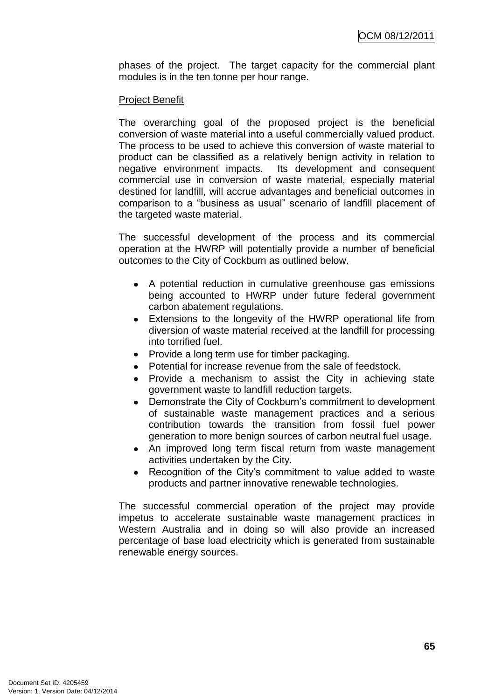phases of the project. The target capacity for the commercial plant modules is in the ten tonne per hour range.

#### Project Benefit

The overarching goal of the proposed project is the beneficial conversion of waste material into a useful commercially valued product. The process to be used to achieve this conversion of waste material to product can be classified as a relatively benign activity in relation to negative environment impacts. Its development and consequent commercial use in conversion of waste material, especially material destined for landfill, will accrue advantages and beneficial outcomes in comparison to a "business as usual" scenario of landfill placement of the targeted waste material.

The successful development of the process and its commercial operation at the HWRP will potentially provide a number of beneficial outcomes to the City of Cockburn as outlined below.

- A potential reduction in cumulative greenhouse gas emissions being accounted to HWRP under future federal government carbon abatement regulations.
- Extensions to the longevity of the HWRP operational life from diversion of waste material received at the landfill for processing into torrified fuel.
- Provide a long term use for timber packaging.
- Potential for increase revenue from the sale of feedstock.
- Provide a mechanism to assist the City in achieving state government waste to landfill reduction targets.
- Demonstrate the City of Cockburn's commitment to development of sustainable waste management practices and a serious contribution towards the transition from fossil fuel power generation to more benign sources of carbon neutral fuel usage.
- An improved long term fiscal return from waste management activities undertaken by the City.
- Recognition of the City's commitment to value added to waste products and partner innovative renewable technologies.

The successful commercial operation of the project may provide impetus to accelerate sustainable waste management practices in Western Australia and in doing so will also provide an increased percentage of base load electricity which is generated from sustainable renewable energy sources.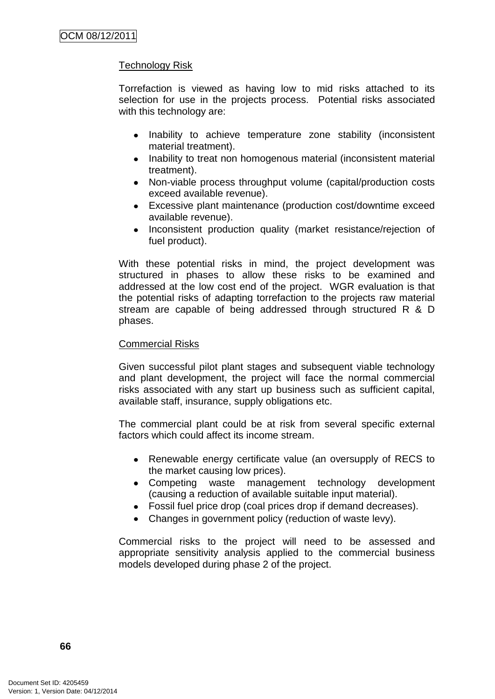# Technology Risk

Torrefaction is viewed as having low to mid risks attached to its selection for use in the projects process. Potential risks associated with this technology are:

- Inability to achieve temperature zone stability (inconsistent material treatment).
- Inability to treat non homogenous material (inconsistent material treatment).
- Non-viable process throughput volume (capital/production costs exceed available revenue).
- Excessive plant maintenance (production cost/downtime exceed available revenue).
- Inconsistent production quality (market resistance/rejection of fuel product).

With these potential risks in mind, the project development was structured in phases to allow these risks to be examined and addressed at the low cost end of the project. WGR evaluation is that the potential risks of adapting torrefaction to the projects raw material stream are capable of being addressed through structured R & D phases.

#### Commercial Risks

Given successful pilot plant stages and subsequent viable technology and plant development, the project will face the normal commercial risks associated with any start up business such as sufficient capital, available staff, insurance, supply obligations etc.

The commercial plant could be at risk from several specific external factors which could affect its income stream.

- Renewable energy certificate value (an oversupply of RECS to the market causing low prices).
- Competing waste management technology development (causing a reduction of available suitable input material).
- Fossil fuel price drop (coal prices drop if demand decreases).
- Changes in government policy (reduction of waste levy).  $\bullet$

Commercial risks to the project will need to be assessed and appropriate sensitivity analysis applied to the commercial business models developed during phase 2 of the project.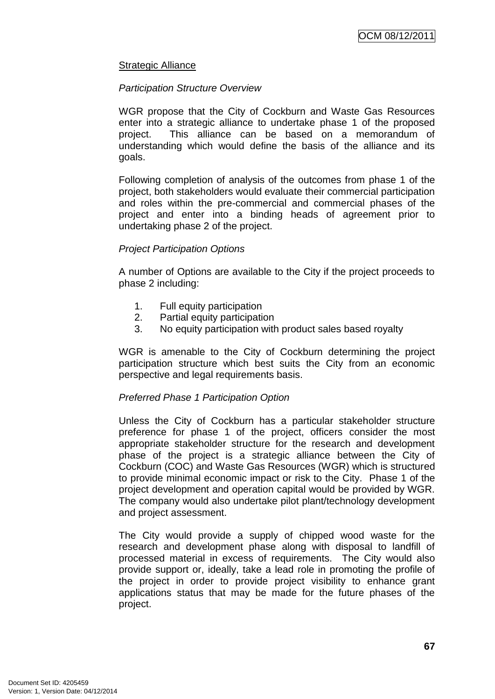#### Strategic Alliance

#### *Participation Structure Overview*

WGR propose that the City of Cockburn and Waste Gas Resources enter into a strategic alliance to undertake phase 1 of the proposed project. This alliance can be based on a memorandum of understanding which would define the basis of the alliance and its goals.

Following completion of analysis of the outcomes from phase 1 of the project, both stakeholders would evaluate their commercial participation and roles within the pre-commercial and commercial phases of the project and enter into a binding heads of agreement prior to undertaking phase 2 of the project.

#### *Project Participation Options*

A number of Options are available to the City if the project proceeds to phase 2 including:

- 1. Full equity participation
- 2. Partial equity participation
- 3. No equity participation with product sales based royalty

WGR is amenable to the City of Cockburn determining the project participation structure which best suits the City from an economic perspective and legal requirements basis.

#### *Preferred Phase 1 Participation Option*

Unless the City of Cockburn has a particular stakeholder structure preference for phase 1 of the project, officers consider the most appropriate stakeholder structure for the research and development phase of the project is a strategic alliance between the City of Cockburn (COC) and Waste Gas Resources (WGR) which is structured to provide minimal economic impact or risk to the City. Phase 1 of the project development and operation capital would be provided by WGR. The company would also undertake pilot plant/technology development and project assessment.

The City would provide a supply of chipped wood waste for the research and development phase along with disposal to landfill of processed material in excess of requirements. The City would also provide support or, ideally, take a lead role in promoting the profile of the project in order to provide project visibility to enhance grant applications status that may be made for the future phases of the project.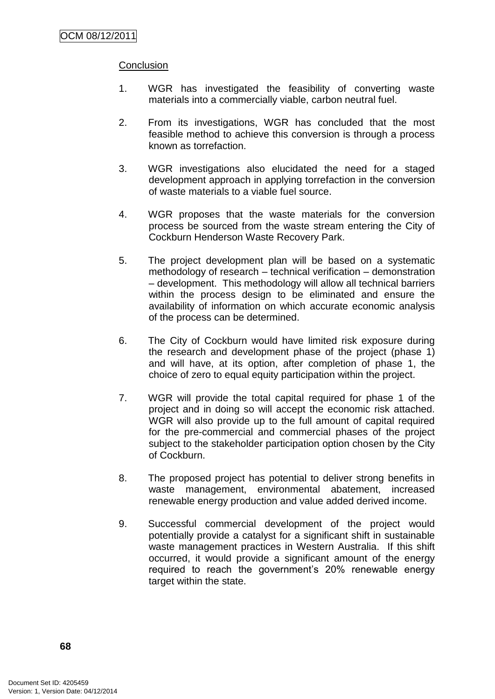#### **Conclusion**

- 1. WGR has investigated the feasibility of converting waste materials into a commercially viable, carbon neutral fuel.
- 2. From its investigations, WGR has concluded that the most feasible method to achieve this conversion is through a process known as torrefaction.
- 3. WGR investigations also elucidated the need for a staged development approach in applying torrefaction in the conversion of waste materials to a viable fuel source.
- 4. WGR proposes that the waste materials for the conversion process be sourced from the waste stream entering the City of Cockburn Henderson Waste Recovery Park.
- 5. The project development plan will be based on a systematic methodology of research – technical verification – demonstration – development. This methodology will allow all technical barriers within the process design to be eliminated and ensure the availability of information on which accurate economic analysis of the process can be determined.
- 6. The City of Cockburn would have limited risk exposure during the research and development phase of the project (phase 1) and will have, at its option, after completion of phase 1, the choice of zero to equal equity participation within the project.
- 7. WGR will provide the total capital required for phase 1 of the project and in doing so will accept the economic risk attached. WGR will also provide up to the full amount of capital required for the pre-commercial and commercial phases of the project subject to the stakeholder participation option chosen by the City of Cockburn.
- 8. The proposed project has potential to deliver strong benefits in waste management, environmental abatement, increased renewable energy production and value added derived income.
- 9. Successful commercial development of the project would potentially provide a catalyst for a significant shift in sustainable waste management practices in Western Australia. If this shift occurred, it would provide a significant amount of the energy required to reach the government's 20% renewable energy target within the state.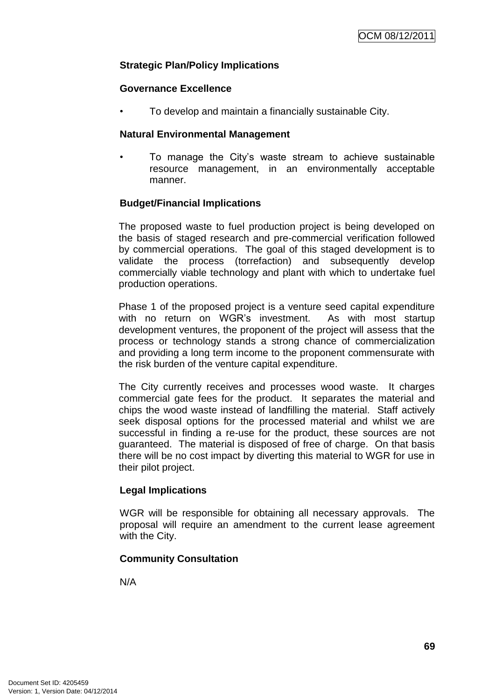### **Strategic Plan/Policy Implications**

#### **Governance Excellence**

• To develop and maintain a financially sustainable City.

#### **Natural Environmental Management**

• To manage the City's waste stream to achieve sustainable resource management, in an environmentally acceptable manner.

### **Budget/Financial Implications**

The proposed waste to fuel production project is being developed on the basis of staged research and pre-commercial verification followed by commercial operations. The goal of this staged development is to validate the process (torrefaction) and subsequently develop commercially viable technology and plant with which to undertake fuel production operations.

Phase 1 of the proposed project is a venture seed capital expenditure with no return on WGR's investment. As with most startup development ventures, the proponent of the project will assess that the process or technology stands a strong chance of commercialization and providing a long term income to the proponent commensurate with the risk burden of the venture capital expenditure.

The City currently receives and processes wood waste. It charges commercial gate fees for the product. It separates the material and chips the wood waste instead of landfilling the material. Staff actively seek disposal options for the processed material and whilst we are successful in finding a re-use for the product, these sources are not guaranteed. The material is disposed of free of charge. On that basis there will be no cost impact by diverting this material to WGR for use in their pilot project.

### **Legal Implications**

WGR will be responsible for obtaining all necessary approvals. The proposal will require an amendment to the current lease agreement with the City.

### **Community Consultation**

N/A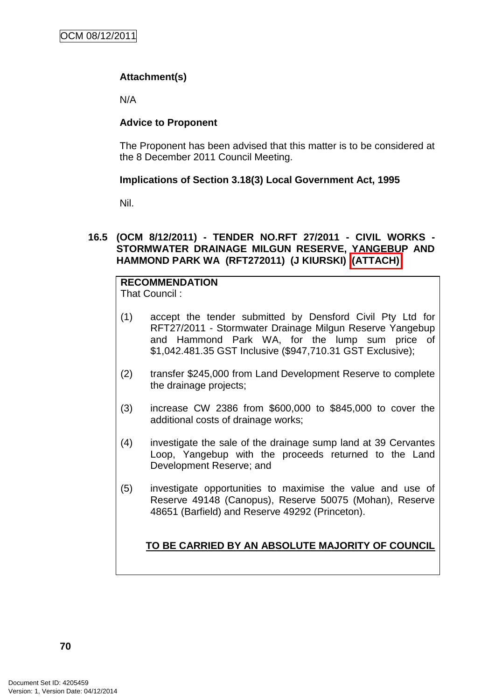# **Attachment(s)**

N/A

## **Advice to Proponent**

The Proponent has been advised that this matter is to be considered at the 8 December 2011 Council Meeting.

## **Implications of Section 3.18(3) Local Government Act, 1995**

Nil.

## **16.5 (OCM 8/12/2011) - TENDER NO.RFT 27/2011 - CIVIL WORKS - STORMWATER DRAINAGE MILGUN RESERVE, YANGEBUP AND HAMMOND PARK WA (RFT272011) (J KIURSKI) (ATTACH)**

#### **RECOMMENDATION** That Council :

- (1) accept the tender submitted by Densford Civil Pty Ltd for RFT27/2011 - Stormwater Drainage Milgun Reserve Yangebup and Hammond Park WA, for the lump sum price of \$1,042.481.35 GST Inclusive (\$947,710.31 GST Exclusive);
- (2) transfer \$245,000 from Land Development Reserve to complete the drainage projects;
- (3) increase CW 2386 from \$600,000 to \$845,000 to cover the additional costs of drainage works;
- (4) investigate the sale of the drainage sump land at 39 Cervantes Loop, Yangebup with the proceeds returned to the Land Development Reserve; and
- (5) investigate opportunities to maximise the value and use of Reserve 49148 (Canopus), Reserve 50075 (Mohan), Reserve 48651 (Barfield) and Reserve 49292 (Princeton).

# **TO BE CARRIED BY AN ABSOLUTE MAJORITY OF COUNCIL**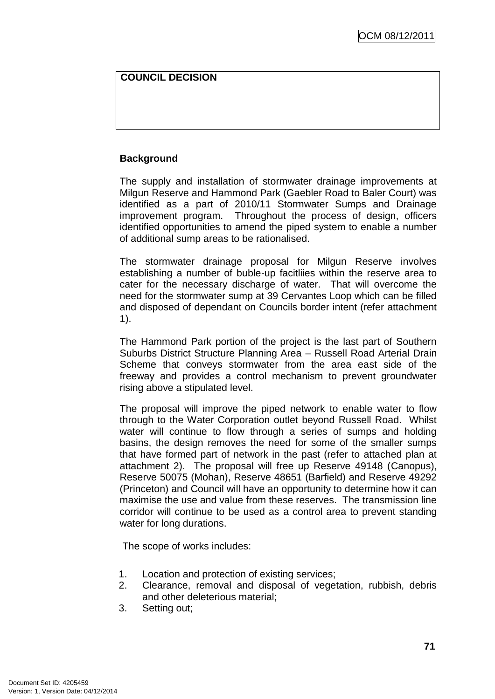## **COUNCIL DECISION**

## **Background**

The supply and installation of stormwater drainage improvements at Milgun Reserve and Hammond Park (Gaebler Road to Baler Court) was identified as a part of 2010/11 Stormwater Sumps and Drainage improvement program. Throughout the process of design, officers identified opportunities to amend the piped system to enable a number of additional sump areas to be rationalised.

The stormwater drainage proposal for Milgun Reserve involves establishing a number of buble-up facitliies within the reserve area to cater for the necessary discharge of water. That will overcome the need for the stormwater sump at 39 Cervantes Loop which can be filled and disposed of dependant on Councils border intent (refer attachment 1).

The Hammond Park portion of the project is the last part of Southern Suburbs District Structure Planning Area – Russell Road Arterial Drain Scheme that conveys stormwater from the area east side of the freeway and provides a control mechanism to prevent groundwater rising above a stipulated level.

The proposal will improve the piped network to enable water to flow through to the Water Corporation outlet beyond Russell Road. Whilst water will continue to flow through a series of sumps and holding basins, the design removes the need for some of the smaller sumps that have formed part of network in the past (refer to attached plan at attachment 2). The proposal will free up Reserve 49148 (Canopus), Reserve 50075 (Mohan), Reserve 48651 (Barfield) and Reserve 49292 (Princeton) and Council will have an opportunity to determine how it can maximise the use and value from these reserves. The transmission line corridor will continue to be used as a control area to prevent standing water for long durations.

The scope of works includes:

- 1. Location and protection of existing services;
- 2. Clearance, removal and disposal of vegetation, rubbish, debris and other deleterious material;
- 3. Setting out;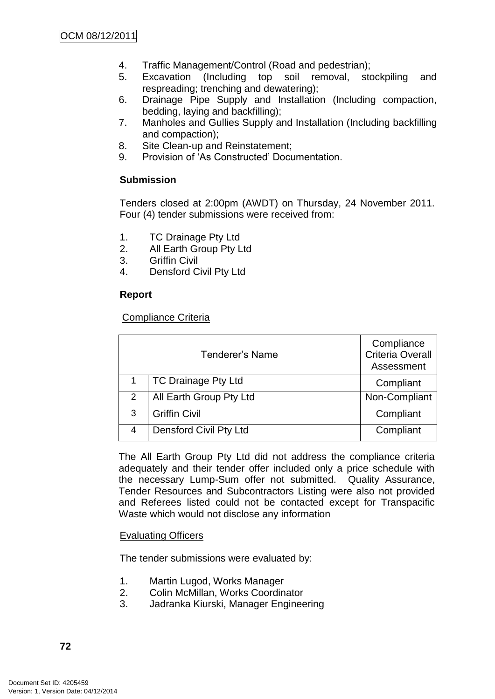- 4. Traffic Management/Control (Road and pedestrian);
- 5. Excavation (Including top soil removal, stockpiling and respreading; trenching and dewatering);
- 6. Drainage Pipe Supply and Installation (Including compaction, bedding, laying and backfilling);
- 7. Manholes and Gullies Supply and Installation (Including backfilling and compaction);
- 8. Site Clean-up and Reinstatement;
- 9. Provision of 'As Constructed' Documentation.

## **Submission**

Tenders closed at 2:00pm (AWDT) on Thursday, 24 November 2011. Four (4) tender submissions were received from:

- 1. TC Drainage Pty Ltd
- 2. All Earth Group Pty Ltd
- 3. Griffin Civil
- 4. Densford Civil Pty Ltd

## **Report**

### Compliance Criteria

|   | Tenderer's Name            | Compliance<br><b>Criteria Overall</b><br>Assessment |
|---|----------------------------|-----------------------------------------------------|
|   | <b>TC Drainage Pty Ltd</b> | Compliant                                           |
| 2 | All Earth Group Pty Ltd    | Non-Compliant                                       |
| 3 | <b>Griffin Civil</b>       | Compliant                                           |
| 4 | Densford Civil Pty Ltd     | Compliant                                           |

The All Earth Group Pty Ltd did not address the compliance criteria adequately and their tender offer included only a price schedule with the necessary Lump-Sum offer not submitted. Quality Assurance, Tender Resources and Subcontractors Listing were also not provided and Referees listed could not be contacted except for Transpacific Waste which would not disclose any information

### Evaluating Officers

The tender submissions were evaluated by:

- 1. Martin Lugod, Works Manager
- 2. Colin McMillan, Works Coordinator
- 3. Jadranka Kiurski, Manager Engineering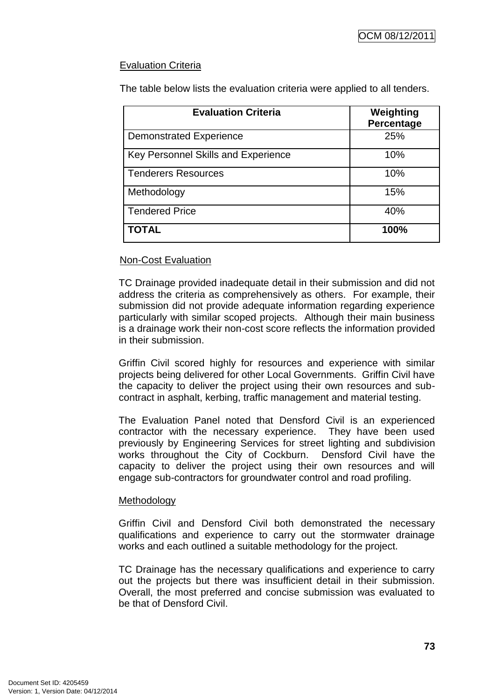# Evaluation Criteria

The table below lists the evaluation criteria were applied to all tenders.

| <b>Evaluation Criteria</b>                 | Weighting<br>Percentage |
|--------------------------------------------|-------------------------|
| <b>Demonstrated Experience</b>             | 25%                     |
| <b>Key Personnel Skills and Experience</b> | 10%                     |
| <b>Tenderers Resources</b>                 | 10%                     |
| Methodology                                | 15%                     |
| <b>Tendered Price</b>                      | 40%                     |
| TOTAL                                      | 100%                    |

# Non-Cost Evaluation

TC Drainage provided inadequate detail in their submission and did not address the criteria as comprehensively as others. For example, their submission did not provide adequate information regarding experience particularly with similar scoped projects. Although their main business is a drainage work their non-cost score reflects the information provided in their submission.

Griffin Civil scored highly for resources and experience with similar projects being delivered for other Local Governments. Griffin Civil have the capacity to deliver the project using their own resources and subcontract in asphalt, kerbing, traffic management and material testing.

The Evaluation Panel noted that Densford Civil is an experienced contractor with the necessary experience. They have been used previously by Engineering Services for street lighting and subdivision works throughout the City of Cockburn. Densford Civil have the capacity to deliver the project using their own resources and will engage sub-contractors for groundwater control and road profiling.

### **Methodology**

Griffin Civil and Densford Civil both demonstrated the necessary qualifications and experience to carry out the stormwater drainage works and each outlined a suitable methodology for the project.

TC Drainage has the necessary qualifications and experience to carry out the projects but there was insufficient detail in their submission. Overall, the most preferred and concise submission was evaluated to be that of Densford Civil.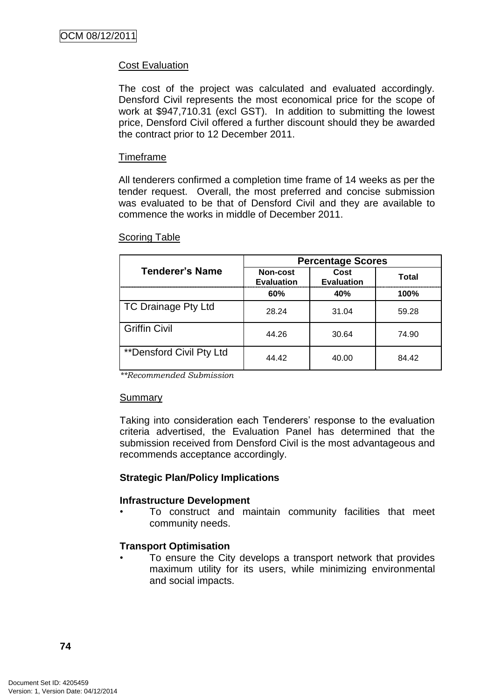# Cost Evaluation

The cost of the project was calculated and evaluated accordingly. Densford Civil represents the most economical price for the scope of work at \$947,710.31 (excl GST). In addition to submitting the lowest price, Densford Civil offered a further discount should they be awarded the contract prior to 12 December 2011.

#### Timeframe

All tenderers confirmed a completion time frame of 14 weeks as per the tender request. Overall, the most preferred and concise submission was evaluated to be that of Densford Civil and they are available to commence the works in middle of December 2011.

|                                 | <b>Percentage Scores</b>      |                           |       |
|---------------------------------|-------------------------------|---------------------------|-------|
| <b>Tenderer's Name</b>          | Non-cost<br><b>Evaluation</b> | Cost<br><b>Evaluation</b> | Total |
|                                 | 60%                           | 40%                       | 100%  |
| <b>TC Drainage Pty Ltd</b>      | 28.24                         | 31.04                     | 59.28 |
| <b>Griffin Civil</b>            | 44.26                         | 30.64                     | 74.90 |
| <b>**Densford Civil Pty Ltd</b> | 44 42                         | 40.00                     | 84.42 |

#### Scoring Table

*\*\*Recommended Submission*

#### Summary

Taking into consideration each Tenderers' response to the evaluation criteria advertised, the Evaluation Panel has determined that the submission received from Densford Civil is the most advantageous and recommends acceptance accordingly.

### **Strategic Plan/Policy Implications**

### **Infrastructure Development**

• To construct and maintain community facilities that meet community needs.

### **Transport Optimisation**

To ensure the City develops a transport network that provides maximum utility for its users, while minimizing environmental and social impacts.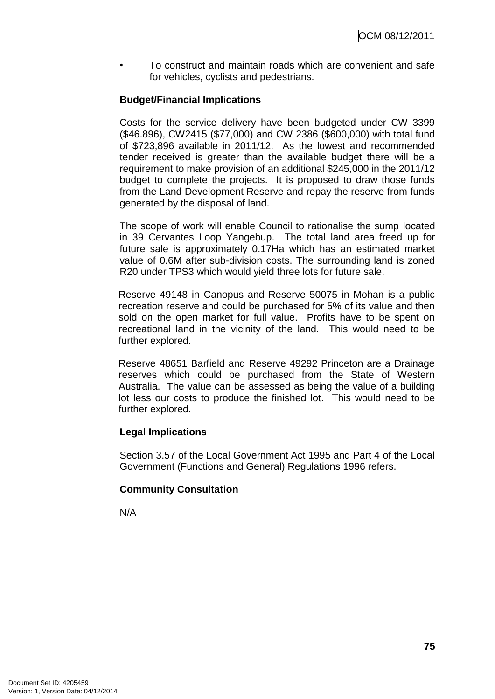• To construct and maintain roads which are convenient and safe for vehicles, cyclists and pedestrians.

## **Budget/Financial Implications**

Costs for the service delivery have been budgeted under CW 3399 (\$46.896), CW2415 (\$77,000) and CW 2386 (\$600,000) with total fund of \$723,896 available in 2011/12. As the lowest and recommended tender received is greater than the available budget there will be a requirement to make provision of an additional \$245,000 in the 2011/12 budget to complete the projects. It is proposed to draw those funds from the Land Development Reserve and repay the reserve from funds generated by the disposal of land.

The scope of work will enable Council to rationalise the sump located in 39 Cervantes Loop Yangebup. The total land area freed up for future sale is approximately 0.17Ha which has an estimated market value of 0.6M after sub-division costs. The surrounding land is zoned R20 under TPS3 which would yield three lots for future sale.

Reserve 49148 in Canopus and Reserve 50075 in Mohan is a public recreation reserve and could be purchased for 5% of its value and then sold on the open market for full value. Profits have to be spent on recreational land in the vicinity of the land. This would need to be further explored.

Reserve 48651 Barfield and Reserve 49292 Princeton are a Drainage reserves which could be purchased from the State of Western Australia. The value can be assessed as being the value of a building lot less our costs to produce the finished lot. This would need to be further explored.

### **Legal Implications**

Section 3.57 of the Local Government Act 1995 and Part 4 of the Local Government (Functions and General) Regulations 1996 refers.

# **Community Consultation**

N/A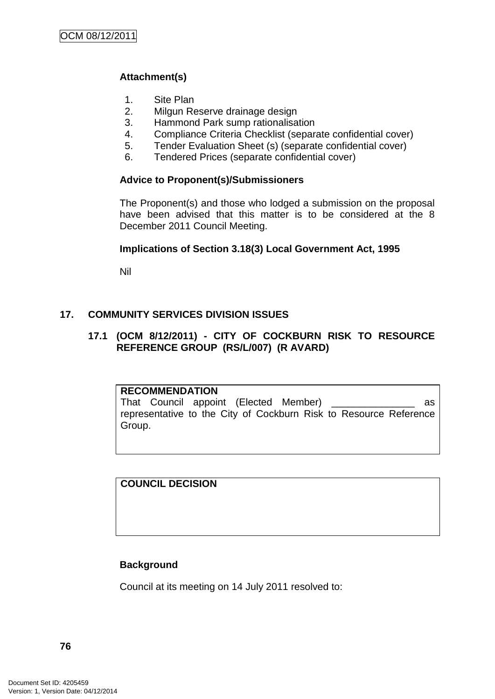# **Attachment(s)**

- 1. Site Plan
- 2. Milgun Reserve drainage design
- 3. Hammond Park sump rationalisation
- 4. Compliance Criteria Checklist (separate confidential cover)
- 5. Tender Evaluation Sheet (s) (separate confidential cover)
- 6. Tendered Prices (separate confidential cover)

## **Advice to Proponent(s)/Submissioners**

The Proponent(s) and those who lodged a submission on the proposal have been advised that this matter is to be considered at the 8 December 2011 Council Meeting.

### **Implications of Section 3.18(3) Local Government Act, 1995**

Nil

# **17. COMMUNITY SERVICES DIVISION ISSUES**

## **17.1 (OCM 8/12/2011) - CITY OF COCKBURN RISK TO RESOURCE REFERENCE GROUP (RS/L/007) (R AVARD)**

### **RECOMMENDATION**

That Council appoint (Elected Member) \_\_\_\_\_\_\_\_\_\_\_\_\_\_\_ as representative to the City of Cockburn Risk to Resource Reference Group.

**COUNCIL DECISION**

### **Background**

Council at its meeting on 14 July 2011 resolved to: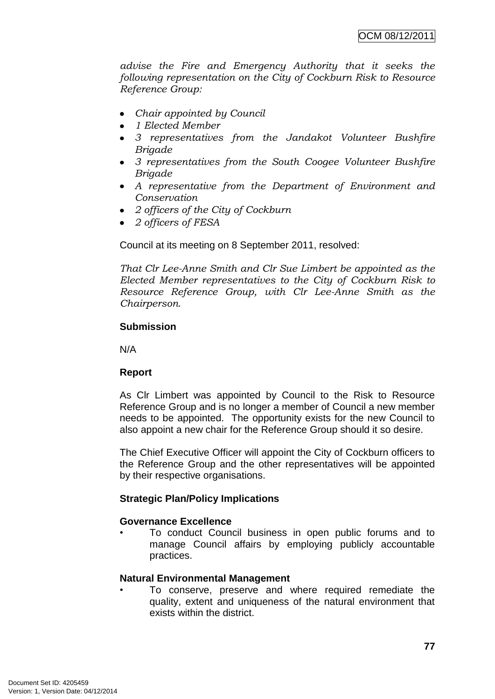*advise the Fire and Emergency Authority that it seeks the following representation on the City of Cockburn Risk to Resource Reference Group:*

- *Chair appointed by Council*
- *1 Elected Member*
- *3 representatives from the Jandakot Volunteer Bushfire Brigade*
- *3 representatives from the South Coogee Volunteer Bushfire Brigade*
- *A representative from the Department of Environment and Conservation*
- *2 officers of the City of Cockburn*
- *2 officers of FESA*

Council at its meeting on 8 September 2011, resolved:

*That Clr Lee-Anne Smith and Clr Sue Limbert be appointed as the Elected Member representatives to the City of Cockburn Risk to Resource Reference Group, with Clr Lee-Anne Smith as the Chairperson*.

# **Submission**

N/A

# **Report**

As Clr Limbert was appointed by Council to the Risk to Resource Reference Group and is no longer a member of Council a new member needs to be appointed. The opportunity exists for the new Council to also appoint a new chair for the Reference Group should it so desire.

The Chief Executive Officer will appoint the City of Cockburn officers to the Reference Group and the other representatives will be appointed by their respective organisations.

# **Strategic Plan/Policy Implications**

# **Governance Excellence**

• To conduct Council business in open public forums and to manage Council affairs by employing publicly accountable practices.

# **Natural Environmental Management**

• To conserve, preserve and where required remediate the quality, extent and uniqueness of the natural environment that exists within the district.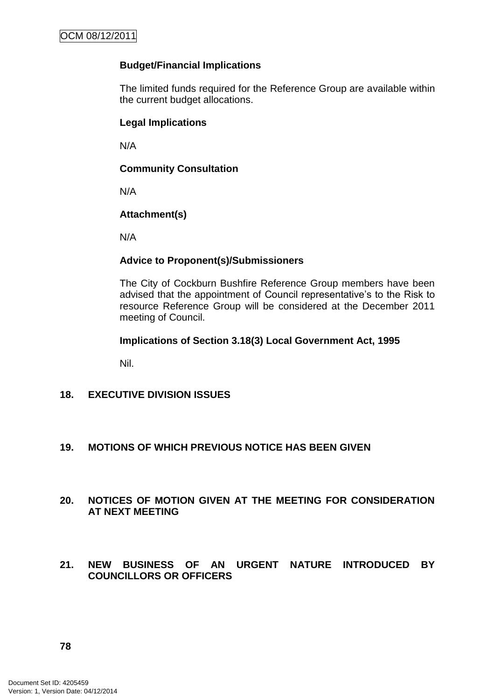## **Budget/Financial Implications**

The limited funds required for the Reference Group are available within the current budget allocations.

## **Legal Implications**

N/A

## **Community Consultation**

N/A

## **Attachment(s)**

N/A

## **Advice to Proponent(s)/Submissioners**

The City of Cockburn Bushfire Reference Group members have been advised that the appointment of Council representative's to the Risk to resource Reference Group will be considered at the December 2011 meeting of Council.

### **Implications of Section 3.18(3) Local Government Act, 1995**

Nil.

# **18. EXECUTIVE DIVISION ISSUES**

### **19. MOTIONS OF WHICH PREVIOUS NOTICE HAS BEEN GIVEN**

### **20. NOTICES OF MOTION GIVEN AT THE MEETING FOR CONSIDERATION AT NEXT MEETING**

### **21. NEW BUSINESS OF AN URGENT NATURE INTRODUCED BY COUNCILLORS OR OFFICERS**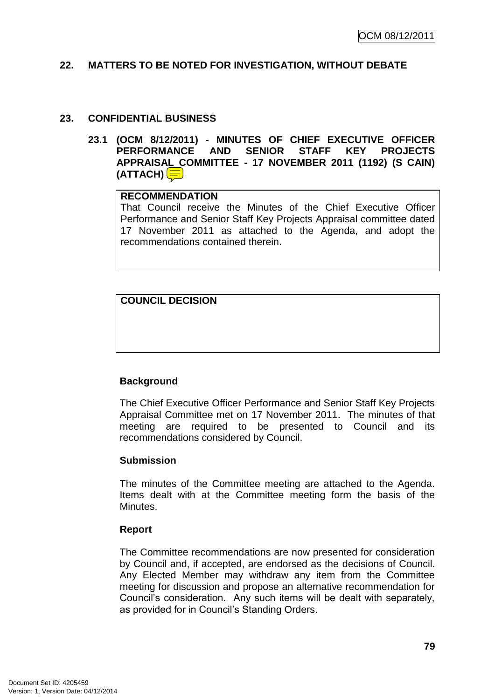#### **22. MATTERS TO BE NOTED FOR INVESTIGATION, WITHOUT DEBATE**

#### **23. CONFIDENTIAL BUSINESS**

**23.1 (OCM 8/12/2011) - MINUTES OF CHIEF EXECUTIVE OFFICER PERFORMANCE AND SENIOR STAFF KEY PROJECTS APPRAISAL COMMITTEE - 17 NOVEMBER 2011 (1192) (S CAIN) (ATTACH)**

#### **RECOMMENDATION**

That Council receive the Minutes of the Chief Executive Officer Performance and Senior Staff Key Projects Appraisal committee dated 17 November 2011 as attached to the Agenda, and adopt the recommendations contained therein.

**COUNCIL DECISION**

# **Background**

The Chief Executive Officer Performance and Senior Staff Key Projects Appraisal Committee met on 17 November 2011. The minutes of that meeting are required to be presented to Council and its recommendations considered by Council.

### **Submission**

The minutes of the Committee meeting are attached to the Agenda. Items dealt with at the Committee meeting form the basis of the Minutes.

### **Report**

The Committee recommendations are now presented for consideration by Council and, if accepted, are endorsed as the decisions of Council. Any Elected Member may withdraw any item from the Committee meeting for discussion and propose an alternative recommendation for Council's consideration. Any such items will be dealt with separately, as provided for in Council's Standing Orders.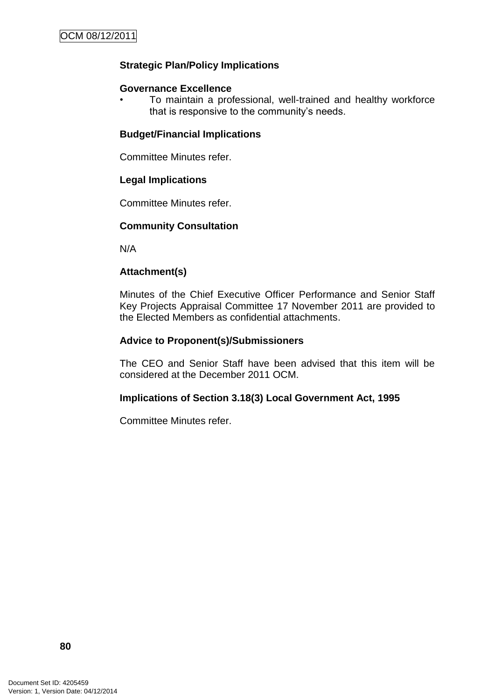# **Strategic Plan/Policy Implications**

#### **Governance Excellence**

• To maintain a professional, well-trained and healthy workforce that is responsive to the community's needs.

### **Budget/Financial Implications**

Committee Minutes refer.

## **Legal Implications**

Committee Minutes refer.

## **Community Consultation**

N/A

## **Attachment(s)**

Minutes of the Chief Executive Officer Performance and Senior Staff Key Projects Appraisal Committee 17 November 2011 are provided to the Elected Members as confidential attachments.

### **Advice to Proponent(s)/Submissioners**

The CEO and Senior Staff have been advised that this item will be considered at the December 2011 OCM.

### **Implications of Section 3.18(3) Local Government Act, 1995**

Committee Minutes refer.